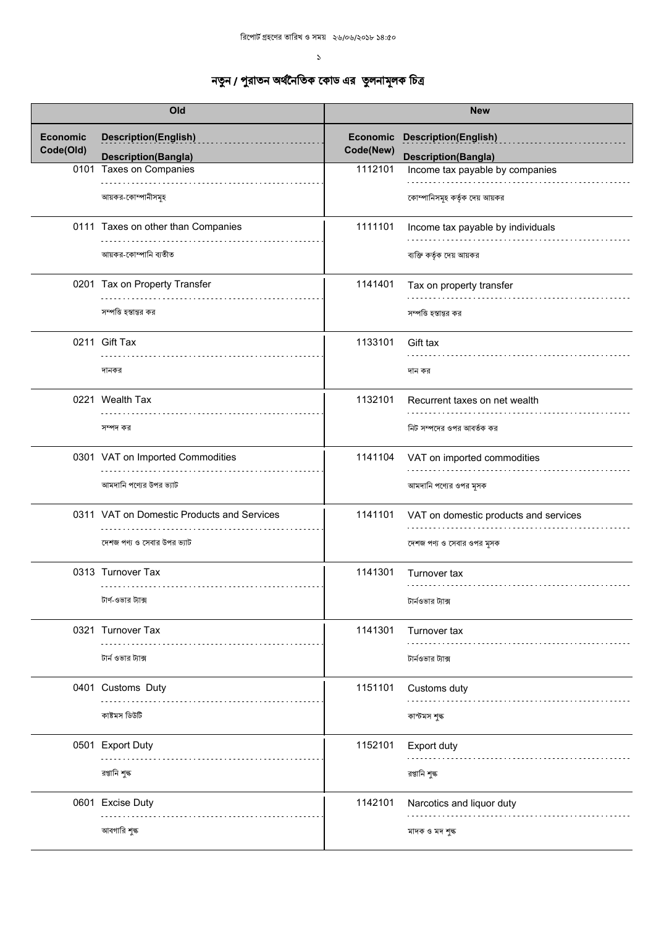|                 | Old                                        |           | <b>New</b>                            |
|-----------------|--------------------------------------------|-----------|---------------------------------------|
| <b>Economic</b> | <b>Description(English)</b>                |           | Economic Description(English)         |
| Code(Old)       | <b>Description(Bangla)</b>                 | Code(New) | <b>Description(Bangla)</b>            |
|                 | 0101 Taxes on Companies                    | 1112101   | Income tax payable by companies       |
|                 | আয়কর-কোম্পানীসমূহ                         |           | কোম্পানিসমূহ কর্তৃক দেয় আয়কর        |
|                 | 0111 Taxes on other than Companies         | 1111101   | Income tax payable by individuals     |
|                 | আয়কর-কোম্পানি ব্যতীত                      |           | ব্যক্তি কর্তৃক দেয় আয়কর             |
|                 | 0201 Tax on Property Transfer              | 1141401   | Tax on property transfer              |
|                 | সম্পত্তি হস্তান্তর কর                      |           | সম্পত্তি হস্তান্তর কর                 |
|                 | 0211 Gift Tax                              | 1133101   | Gift tax                              |
|                 | দানকর                                      |           | দান কর                                |
|                 | 0221 Wealth Tax                            | 1132101   | Recurrent taxes on net wealth         |
|                 | সম্পদ কর                                   |           | নিট সম্পদের ওপর আবর্তক কর             |
|                 | 0301 VAT on Imported Commodities           | 1141104   | VAT on imported commodities           |
|                 | আমদানি পণ্যের উপর ভ্যাট                    |           | আমদানি পণ্যের ওপর মূসক                |
|                 | 0311 VAT on Domestic Products and Services | 1141101   | VAT on domestic products and services |
|                 | দেশজ পণ্য ও সেবার উপর ভ্যাট                |           | দেশজ পণ্য ও সেবার ওপর মূসক            |
|                 | 0313 Turnover Tax                          | 1141301   | Turnover tax<br>.                     |
|                 | টার্ণ-ওভার ট্যাক্স                         |           | টার্নওভার ট্যাক্স                     |
|                 | 0321 Turnover Tax                          | 1141301   | Turnover tax                          |
|                 | টার্ন ওভার ট্যাক্স                         |           | টার্নওভার ট্যাক্স                     |
|                 | 0401 Customs Duty                          | 1151101   | Customs duty                          |
|                 | কাষ্টমস ডিউটি                              |           | কাস্টমস শুল্ক                         |
|                 | 0501 Export Duty                           | 1152101   | Export duty                           |
|                 | রপ্তানি শুল্ক                              |           | রপ্তানি শুল্ক                         |
|                 | 0601 Excise Duty                           | 1142101   | Narcotics and liquor duty             |
|                 | আবগারি শুল্ক                               |           | মাদক ও মদ শুল্ক                       |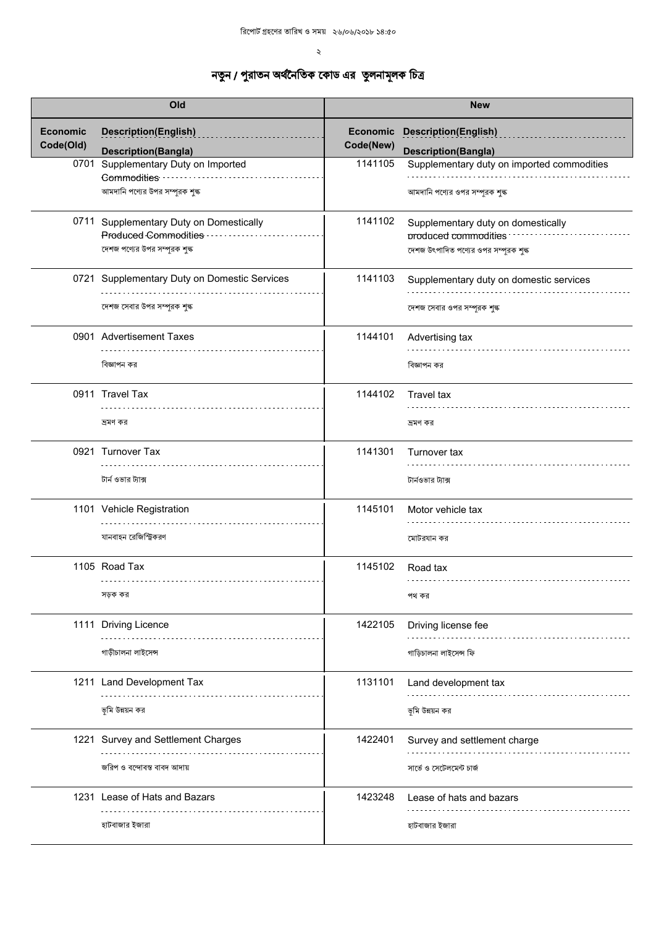|                              | Old                                                               |           | <b>New</b>                                                         |
|------------------------------|-------------------------------------------------------------------|-----------|--------------------------------------------------------------------|
| <b>Economic</b><br>Code(Old) | <b>Description(English)</b><br><b>Description(Bangla)</b>         | Code(New) | <b>Economic Description(English)</b><br><b>Description(Bangla)</b> |
|                              | 0701 Supplementary Duty on Imported<br>Commodities                | 1141105   | Supplementary duty on imported commodities                         |
|                              | আমদানি পণ্যের উপর সম্পূরক শুল্ক                                   |           | আমদানি পণ্যের ওপর সম্পূরক শুল্ক                                    |
|                              | 0711 Supplementary Duty on Domestically<br>Produced Commodities - | 1141102   | Supplementary duty on domestically<br>produced commodities         |
|                              | দেশজ পণ্যের উপর সম্পূরক শুল্ক                                     |           | দেশজ উৎপাদিত পণ্যের ওপর সম্পূরক শুল্ক                              |
|                              | 0721 Supplementary Duty on Domestic Services                      | 1141103   | Supplementary duty on domestic services                            |
|                              | দেশজ সেবার উপর সম্পূরক শুল্ক                                      |           | দেশজ সেবার ওপর সম্পূরক শুল্ক                                       |
|                              | 0901 Advertisement Taxes                                          | 1144101   | Advertising tax                                                    |
|                              | বিজ্ঞাপন কর                                                       |           | বিজ্ঞাপন কর                                                        |
|                              | 0911 Travel Tax                                                   | 1144102   | Travel tax                                                         |
|                              | দ্রমণ কর                                                          |           | ভ্ৰমণ কর                                                           |
|                              | 0921 Turnover Tax                                                 | 1141301   | Turnover tax                                                       |
|                              | টার্ন ওভার ট্যাক্স                                                |           | টার্নওভার ট্যাক্স                                                  |
|                              | 1101 Vehicle Registration                                         | 1145101   | Motor vehicle tax                                                  |
|                              | যানবাহন রেজিস্ট্রিকরণ                                             |           | মোটরযান কর                                                         |
|                              | 1105 Road Tax<br>.                                                | 1145102   | Road tax                                                           |
|                              | সড়ক কর                                                           |           | পথ কর                                                              |
|                              | 1111 Driving Licence                                              | 1422105   | Driving license fee                                                |
|                              | গাড়ীচালনা লাইসেন্স                                               |           | গাড়িচালনা লাইসেন্স ফি                                             |
|                              | 1211 Land Development Tax                                         | 1131101   | Land development tax                                               |
|                              | ভূমি উন্নয়ন কর                                                   |           | ভূমি উন্নয়ন কর                                                    |
|                              | 1221 Survey and Settlement Charges                                | 1422401   | Survey and settlement charge                                       |
|                              | জরিপ ও বন্দোবস্ত বাবদ আদায়                                       |           | সার্ভে ও সেটেলমেন্ট চার্জ                                          |
|                              | 1231 Lease of Hats and Bazars                                     | 1423248   | Lease of hats and bazars                                           |
|                              | হাটবাজার ইজারা                                                    |           | হাটবাজার ইজারা                                                     |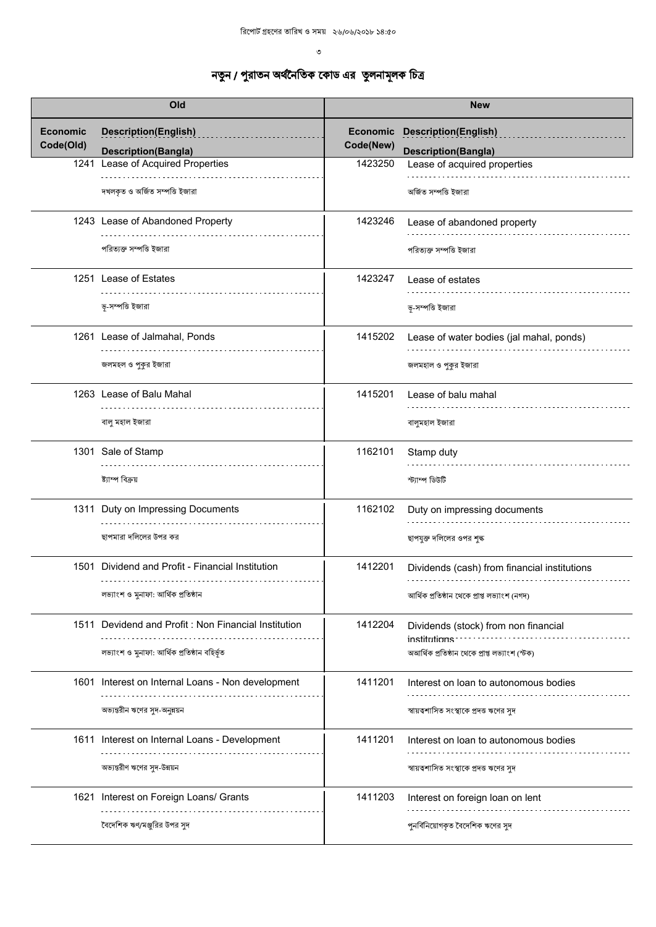| Old                          |                                                           | <b>New</b>                   |                                                           |
|------------------------------|-----------------------------------------------------------|------------------------------|-----------------------------------------------------------|
| <b>Economic</b><br>Code(Old) | <b>Description(English)</b><br><b>Description(Bangla)</b> | <b>Economic</b><br>Code(New) | <b>Description(English)</b><br><b>Description(Bangla)</b> |
|                              | 1241 Lease of Acquired Properties                         | 1423250                      | Lease of acquired properties                              |
|                              | দখলকৃত ও অৰ্জিত সম্পত্তি ইজারা                            |                              | অৰ্জিত সম্পত্তি ইজারা                                     |
|                              | 1243 Lease of Abandoned Property                          | 1423246                      | Lease of abandoned property                               |
|                              | পরিত্যক্ত সম্পত্তি ইজারা                                  |                              | পরিত্যক্ত সম্পত্তি ইজারা                                  |
|                              | 1251 Lease of Estates                                     | 1423247                      | Lease of estates                                          |
|                              | ভূ-সম্পত্তি ইজারা                                         |                              | ভূ-সম্পত্তি ইজারা                                         |
|                              | 1261 Lease of Jalmahal, Ponds                             | 1415202                      | Lease of water bodies (jal mahal, ponds)                  |
|                              | জলমহল ও পুকুর ইজারা                                       |                              | জলমহাল ও পুকুর ইজারা                                      |
|                              | 1263 Lease of Balu Mahal                                  | 1415201                      | Lease of balu mahal                                       |
|                              | বালু মহাল ইজারা                                           |                              | বালুমহাল ইজারা                                            |
|                              | 1301 Sale of Stamp                                        | 1162101                      | Stamp duty                                                |
|                              | ষ্ট্যাম্প বিক্ৰয়                                         |                              | ৰ্ত্তীৰ্ভতী ম্পাৰ্ক                                       |
|                              | 1311 Duty on Impressing Documents                         | 1162102                      | Duty on impressing documents                              |
|                              | ছাপমারা দলিলের উপর কর                                     |                              | ছাপযুক্ত দলিলের ওপর শুল্ক                                 |
|                              | 1501 Dividend and Profit - Financial Institution          | 1412201                      | Dividends (cash) from financial institutions              |
|                              | লভ্যাংশ ও মুনাফা: আৰ্থিক প্ৰতিষ্ঠান                       |                              | আৰ্থিক প্ৰতিষ্ঠান থেকে প্ৰাপ্ত লভ্যাংশ (নগদ)              |
|                              | 1511 Devidend and Profit: Non Financial Institution       | 1412204                      | Dividends (stock) from non financial<br>institutions      |
|                              | লভ্যাংশ ও মুনাফা: আৰ্থিক প্ৰতিষ্ঠান বহিৰ্ভূত              |                              | অআৰ্থিক প্ৰতিষ্ঠান থেকে প্ৰাপ্ত লভ্যাংশ (স্টক)            |
|                              | 1601 Interest on Internal Loans - Non development         | 1411201                      | Interest on loan to autonomous bodies                     |
|                              | অভ্যন্তরীন ঋণের সুদ-অনুন্নয়ন                             |                              | স্বায়ত্বশাসিত সংস্থাকে প্রদত্ত ঋণের সুদ                  |
|                              | 1611 Interest on Internal Loans - Development             | 1411201                      | Interest on loan to autonomous bodies                     |
|                              | অভ্যন্তরীণ ঋণের সুদ-উন্নয়ন                               |                              | স্বায়ত্বশাসিত সংস্থাকে প্রদত্ত ঋণের সুদ                  |
|                              | 1621 Interest on Foreign Loans/ Grants                    | 1411203                      | Interest on foreign loan on lent                          |
|                              | বৈদেশিক ঋণ/মঞ্জুরির উপর সুদ                               |                              | পুনর্বিনিয়োগকৃত বৈদেশিক ঋণের সুদ                         |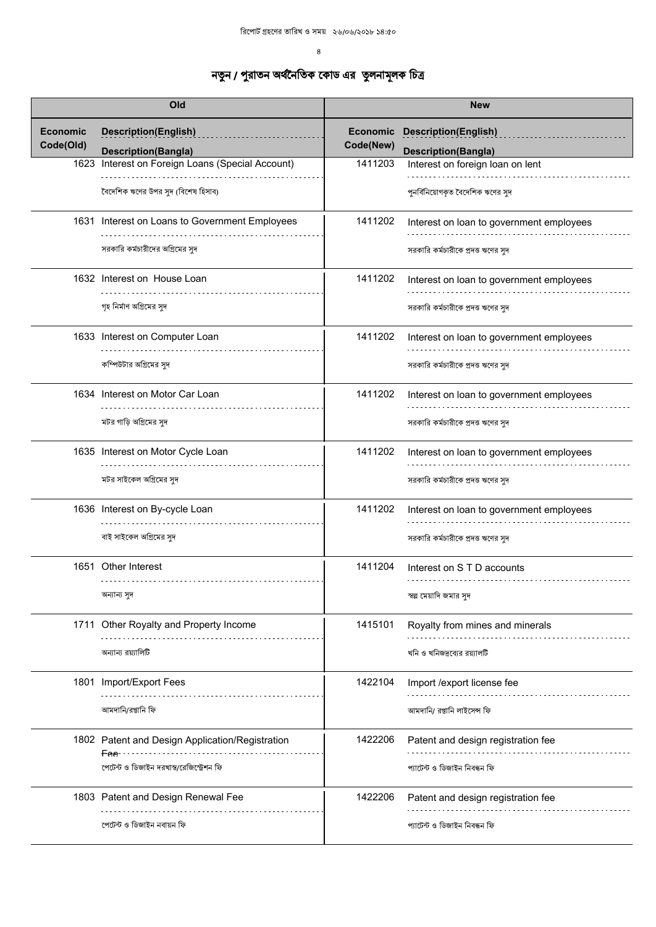|                 | Old                                              |                 | <b>New</b>                               |
|-----------------|--------------------------------------------------|-----------------|------------------------------------------|
| <b>Economic</b> | <b>Description(English)</b>                      | <b>Economic</b> | <b>Description(English)</b>              |
| Code(Old)       | <b>Description(Bangla)</b>                       | Code(New)       | <b>Description(Bangla)</b>               |
|                 | 1623 Interest on Foreign Loans (Special Account) | 1411203         | Interest on foreign loan on lent         |
|                 | বৈদেশিক ঋণের উপর সুদ (বিশেষ হিসাব)               |                 | পুনর্বিনিয়োগকৃত বৈদেশিক ঋণের সুদ        |
|                 | 1631 Interest on Loans to Government Employees   | 1411202         | Interest on loan to government employees |
|                 | সরকারি কর্মচারীদের অগ্রিমের সুদ                  |                 | সরকারি কর্মচারীকে প্রদত্ত ঋণের সুদ       |
|                 | 1632 Interest on House Loan                      | 1411202         | Interest on loan to government employees |
|                 | গৃহ নির্মাণ অগ্রিমের সুদ                         |                 | সরকারি কর্মচারীকে প্রদত্ত ঋণের সুদ       |
|                 | 1633 Interest on Computer Loan                   | 1411202         | Interest on loan to government employees |
|                 | কম্পিউটার অগ্রিমের সুদ                           |                 | সরকারি কর্মচারীকে প্রদত্ত ঋণের সুদ       |
|                 | 1634 Interest on Motor Car Loan                  | 1411202         | Interest on loan to government employees |
|                 | মটর গাড়ি অগ্রিমের সুদ                           |                 | সরকারি কর্মচারীকে প্রদত্ত ঋণের সুদ       |
|                 | 1635 Interest on Motor Cycle Loan                | 1411202         | Interest on loan to government employees |
|                 | মটর সাইকেল অগ্রিমের সুদ                          |                 | সরকারি কর্মচারীকে প্রদত্ত ঋণের সুদ       |
|                 | 1636 Interest on By-cycle Loan                   | 1411202         | Interest on loan to government employees |
|                 | বাই সাইকেল অগ্রিমের সুদ                          |                 | সরকারি কর্মচারীকে প্রদত্ত ঋণের সুদ       |
|                 | 1651 Other Interest                              | 1411204         | Interest on S T D accounts               |
|                 | অন্যান্য সুদ                                     |                 | স্বল্প মেয়াদি জমার সুদ                  |
|                 | 1711 Other Royalty and Property Income           | 1415101         | Royalty from mines and minerals          |
|                 | অন্যান্য রয়্যালিটি                              |                 | খনি ও খনিজদ্রব্যের রয়্যালটি             |
|                 | 1801 Import/Export Fees                          | 1422104         | Import /export license fee               |
|                 | আমদানি/রপ্তানি ফি                                |                 | আমদানি/ রপ্তানি লাইসেন্স ফি              |
|                 | 1802 Patent and Design Application/Registration  | 1422206         | Patent and design registration fee       |
|                 | পেটেন্ট ও ডিজাইন দরখাস্ত/রেজিস্ট্রেশন ফি         |                 | প্যাটেন্ট ও ডিজাইন নিবন্ধন ফি            |
|                 | 1803 Patent and Design Renewal Fee               | 1422206         | Patent and design registration fee       |
|                 |                                                  |                 |                                          |
|                 | পেটেন্ট ও ডিজাইন নবায়ন ফি                       |                 | প্যাটেন্ট ও ডিজাইন নিবন্ধন ফি            |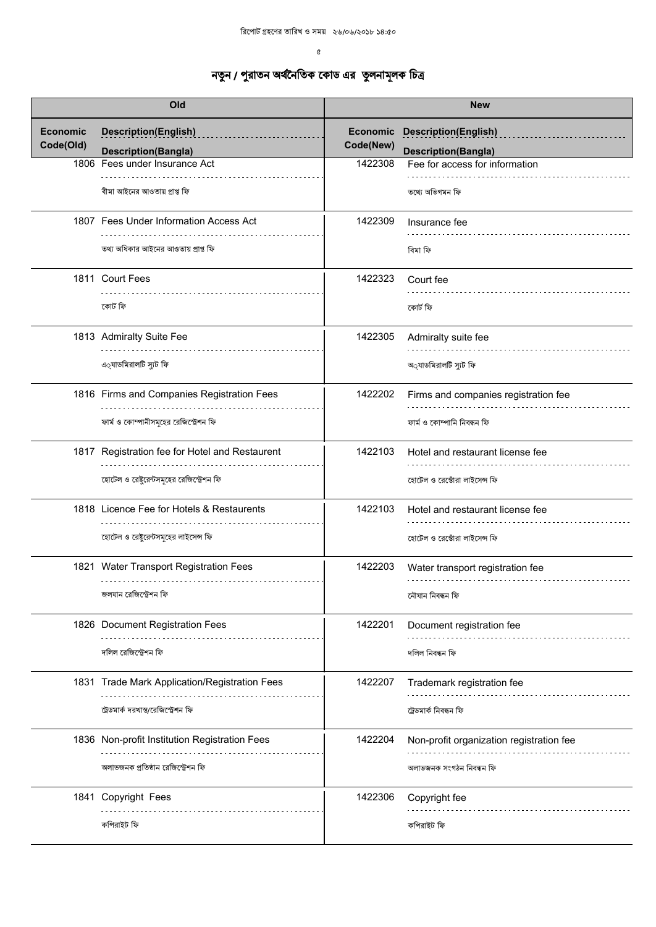| Old                          |                                                             | <b>New</b>            |                                                              |
|------------------------------|-------------------------------------------------------------|-----------------------|--------------------------------------------------------------|
| <b>Economic</b><br>Code(Old) | <b>Description(English)</b>                                 | Economic<br>Code(New) | <b>Description(English)</b>                                  |
|                              | <b>Description(Bangla)</b><br>1806 Fees under Insurance Act | 1422308               | <b>Description(Bangla)</b><br>Fee for access for information |
|                              | বীমা আইনের আওতায় প্রাপ্ত ফি                                |                       | তথ্যে অভিগমন ফি                                              |
|                              | 1807 Fees Under Information Access Act                      | 1422309               | Insurance fee                                                |
|                              | তথ্য অধিকার আইনের আওতায় প্রাপ্ত ফি                         |                       | বিমা ফি                                                      |
|                              | 1811 Court Fees                                             | 1422323               | Court fee                                                    |
|                              | কোৰ্ট ফি                                                    |                       | কোৰ্ট ফি                                                     |
|                              | 1813 Admiralty Suite Fee                                    | 1422305               | Admiralty suite fee                                          |
|                              | এ্যাডমিরালটি স্যুট ফি                                       |                       | অ্যাডমিরালটি স্যুট ফি                                        |
|                              | 1816 Firms and Companies Registration Fees                  | 1422202               | Firms and companies registration fee                         |
|                              | ফার্ম ও কোম্পানীসমূহের রেজিস্ট্রেশন ফি                      |                       | ফাৰ্ম ও কোম্পানি নিবন্ধন ফি                                  |
|                              | 1817 Registration fee for Hotel and Restaurent              | 1422103               | Hotel and restaurant license fee                             |
|                              | হোটেল ও রেষ্টুরেন্টসমূহের রেজিস্ট্রেশন ফি                   |                       | হোটেল ও রেস্তোঁরা লাইসেন্স ফি                                |
|                              | 1818 Licence Fee for Hotels & Restaurents                   | 1422103               | Hotel and restaurant license fee                             |
|                              | হোটেল ও রেষ্টুরেন্টসমূহের লাইসেন্স ফি                       |                       | হোটেল ও রেঙোঁরা লাইসেন্স ফি                                  |
|                              | 1821 Water Transport Registration Fees                      | 1422203               | Water transport registration fee                             |
|                              | জলযান রেজিস্ট্রেশন ফি                                       |                       | নৌযান নিবন্ধন ফি                                             |
|                              | 1826 Document Registration Fees                             | 1422201               | Document registration fee                                    |
|                              | দলিল রেজিস্ট্রেশন ফি                                        |                       | দলিল নিবন্ধন ফি                                              |
|                              | 1831 Trade Mark Application/Registration Fees               | 1422207               | Trademark registration fee                                   |
|                              | ট্রেডমার্ক দরখান্ত/রেজিস্ট্রেশন ফি                          |                       | ট্ৰেডমাৰ্ক নিবন্ধন ফি                                        |
|                              | 1836 Non-profit Institution Registration Fees               | 1422204               | Non-profit organization registration fee                     |
|                              | অলাভজনক প্রতিষ্ঠান রেজিস্ট্রেশন ফি                          |                       | অলাভজনক সংগঠন নিবন্ধন ফি                                     |
|                              | 1841 Copyright Fees                                         | 1422306               | Copyright fee                                                |
|                              | কপিরাইট ফি                                                  |                       | কপিরাইট ফি                                                   |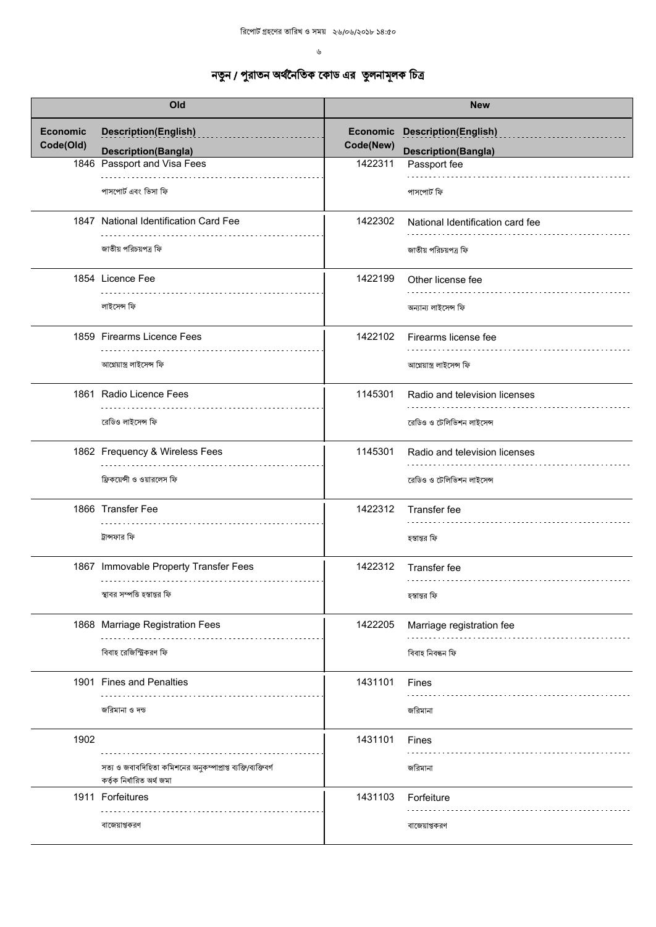| Old                          |                                                                                            | <b>New</b> |                                            |
|------------------------------|--------------------------------------------------------------------------------------------|------------|--------------------------------------------|
| <b>Economic</b><br>Code(Old) | <b>Description(English)</b>                                                                | Code(New)  | <b>Economic Description(English)</b>       |
|                              | <b>Description(Bangla)</b><br>1846 Passport and Visa Fees                                  | 1422311    | <b>Description(Bangla)</b><br>Passport fee |
|                              | পাসপোর্ট এবং ভিসা ফি                                                                       |            | পাসপোর্ট ফি                                |
|                              | 1847 National Identification Card Fee                                                      | 1422302    | National Identification card fee           |
|                              | জাতীয় পরিচয়পত্র ফি                                                                       |            | জাতীয় পরিচয়পত্র ফি                       |
|                              | 1854 Licence Fee                                                                           | 1422199    | Other license fee                          |
|                              | লাইসেন্স ফি                                                                                |            | অন্যান্য লাইসেন্স ফি                       |
|                              | 1859 Firearms Licence Fees                                                                 | 1422102    | Firearms license fee                       |
|                              | আগ্নেয়াস্ত্ৰ লাইসেন্স ফি                                                                  |            | আগ্নেয়াস্ত্ৰ লাইসেন্স ফি                  |
|                              | 1861 Radio Licence Fees                                                                    | 1145301    | Radio and television licenses              |
|                              | রেডিও লাইসেন্স ফি                                                                          |            | রেডিও ও টেলিভিশন লাইসেন্স                  |
|                              | 1862 Frequency & Wireless Fees                                                             | 1145301    | Radio and television licenses              |
|                              | ফ্রিকয়েন্সী ও ওয়ারলেস ফি                                                                 |            | রেডিও ও টেলিভিশন লাইসেন্স                  |
|                              | 1866 Transfer Fee                                                                          | 1422312    | Transfer fee                               |
|                              | ট্রান্সফার ফি                                                                              |            | হস্তান্তর ফি                               |
|                              | 1867 Immovable Property Transfer Fees                                                      | 1422312    | Transfer fee                               |
|                              | স্থাবর সম্পত্তি হস্তান্তর ফি                                                               |            | হস্তান্তর ফি                               |
|                              | 1868 Marriage Registration Fees                                                            | 1422205    | Marriage registration fee                  |
|                              | বিবাহ রেজিস্ট্রিকরণ ফি                                                                     |            | বিবাহ নিবন্ধন ফি                           |
|                              | 1901 Fines and Penalties                                                                   | 1431101    | Fines                                      |
|                              | জরিমানা ও দন্ড                                                                             |            | জরিমানা                                    |
| 1902                         |                                                                                            | 1431101    | Fines                                      |
|                              | সত্য ও জবাবদিহিতা কমিশনের অনুকম্পাপ্রাপ্ত ব্যক্তি/ব্যক্তিবর্গ<br>কৰ্তৃক নিৰ্ধারিত অৰ্থ জমা |            | জরিমানা                                    |
|                              | 1911 Forfeitures                                                                           | 1431103    | Forfeiture                                 |
|                              | বাজেয়াপ্তকরণ                                                                              |            | বাজেয়াপ্তকরণ                              |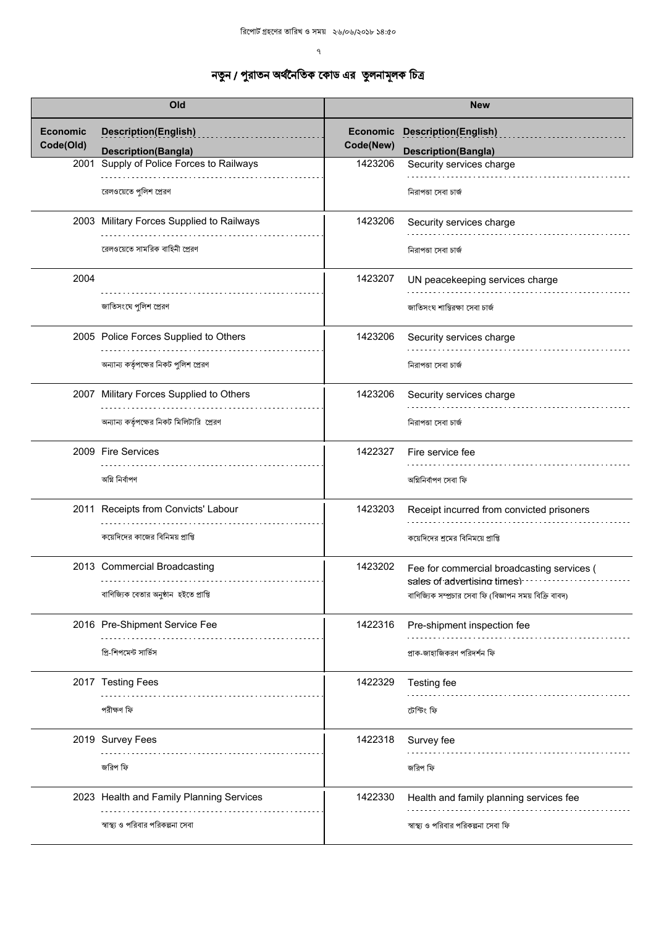|                 | Old                                       |           | <b>New</b>                                              |
|-----------------|-------------------------------------------|-----------|---------------------------------------------------------|
| <b>Economic</b> | <b>Description(English)</b>               | Economic  | <b>Description(English)</b>                             |
| Code(Old)       | <b>Description(Bangla)</b>                | Code(New) | <b>Description(Bangla)</b>                              |
| 2001            | Supply of Police Forces to Railways       | 1423206   | Security services charge                                |
|                 |                                           |           |                                                         |
|                 | রেলওয়েতে পুলিশ প্রেরণ                    |           | নিরাপত্তা সেবা চার্জ                                    |
|                 | 2003 Military Forces Supplied to Railways | 1423206   | Security services charge                                |
|                 |                                           |           |                                                         |
|                 | রেলওয়েতে সামরিক বাহিনী প্রেরণ            |           | নিরাপত্তা সেবা চার্জ                                    |
| 2004            |                                           | 1423207   | UN peacekeeping services charge                         |
|                 |                                           |           |                                                         |
|                 | জাতিসংঘে পুলিশ প্রেরণ                     |           | জাতিসংঘ শান্তিরক্ষা সেবা চার্জ                          |
|                 | 2005 Police Forces Supplied to Others     | 1423206   | Security services charge                                |
|                 |                                           |           |                                                         |
|                 | অন্যান্য কর্তৃপক্ষের নিকট পুলিশ প্রেরণ    |           | নিরাপত্তা সেবা চার্জ                                    |
|                 | 2007 Military Forces Supplied to Others   | 1423206   | Security services charge                                |
|                 |                                           |           |                                                         |
|                 | অন্যান্য কর্তৃপক্ষের নিকট মিলিটারি প্রেরণ |           | নিরাপত্তা সেবা চার্জ                                    |
|                 | 2009 Fire Services                        | 1422327   | Fire service fee                                        |
|                 |                                           |           |                                                         |
|                 | অগ্নি নিৰ্বাপণ                            |           | অগ্নিনিৰ্বাপণ সেবা ফি                                   |
|                 | 2011 Receipts from Convicts' Labour       | 1423203   | Receipt incurred from convicted prisoners               |
|                 | কয়েদিদের কাজের বিনিময় প্রাপ্তি          |           |                                                         |
|                 |                                           |           | কয়েদিদের শ্রমের বিনিময়ে প্রাপ্তি                      |
|                 | 2013 Commercial Broadcasting              | 1423202   | Fee for commercial broadcasting services (              |
|                 |                                           |           | sales of advertising times).                            |
|                 | বাণিজ্যিক বেতার অনুষ্ঠান হইতে প্রাপ্তি    |           | বাণিজ্যিক সম্প্রচার সেবা ফি (বিজ্ঞাপন সময় বিক্রি বাবদ) |
|                 | 2016 Pre-Shipment Service Fee             | 1422316   | Pre-shipment inspection fee                             |
|                 |                                           |           |                                                         |
|                 | প্রি-শিপমেন্ট সার্ভিস                     |           | প্রাক-জাহাজিকরণ পরিদর্শন ফি                             |
|                 | 2017 Testing Fees                         | 1422329   | Testing fee                                             |
|                 |                                           |           |                                                         |
|                 | পরীক্ষণ ফি                                |           | টেস্টিং ফি                                              |
|                 | 2019 Survey Fees                          | 1422318   | Survey fee                                              |
|                 |                                           |           |                                                         |
|                 | জরিপ ফি                                   |           | জরিপ ফি                                                 |
|                 | 2023 Health and Family Planning Services  | 1422330   | Health and family planning services fee                 |
|                 |                                           |           |                                                         |
|                 | স্বাস্থ্য ও পরিবার পরিকল্পনা সেবা         |           | স্বাস্থ্য ও পরিবার পরিকল্পনা সেবা ফি                    |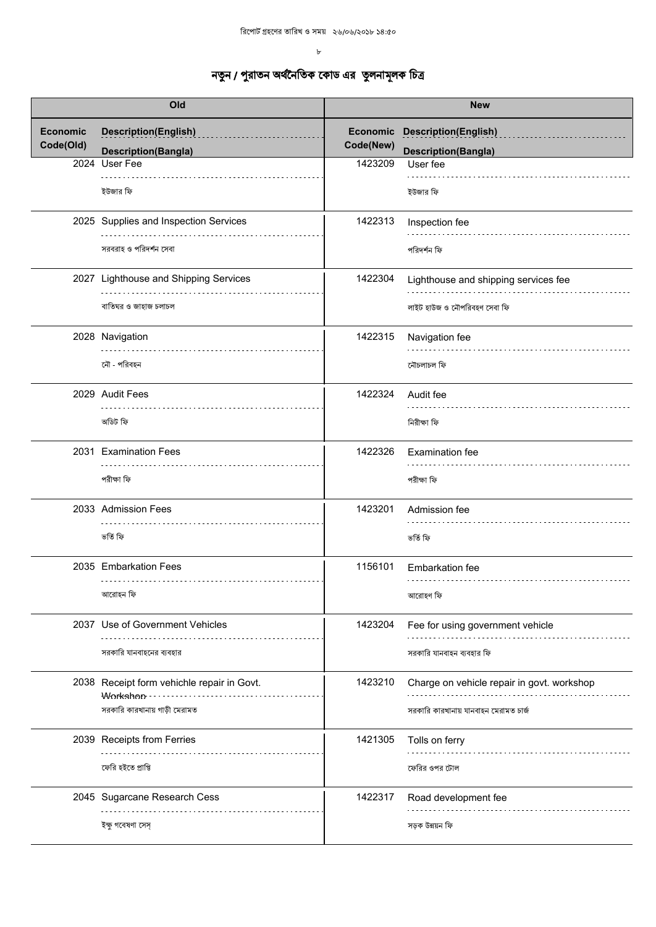| Old                          |                                                           | <b>New</b>                   |                                                           |  |
|------------------------------|-----------------------------------------------------------|------------------------------|-----------------------------------------------------------|--|
| <b>Economic</b><br>Code(Old) | <b>Description(English)</b><br><b>Description(Bangla)</b> | <b>Economic</b><br>Code(New) | <b>Description(English)</b><br><b>Description(Bangla)</b> |  |
|                              | 2024 User Fee                                             | 1423209                      | User fee                                                  |  |
|                              | ইউজার ফি                                                  |                              | ইউজার ফি                                                  |  |
|                              | 2025 Supplies and Inspection Services                     | 1422313                      | Inspection fee                                            |  |
|                              | সরবরাহ ও পরিদর্শন সেবা                                    |                              | পরিদর্শন ফি                                               |  |
|                              | 2027 Lighthouse and Shipping Services                     | 1422304                      | Lighthouse and shipping services fee                      |  |
|                              | বাতিঘর ও জাহাজ চলাচল                                      |                              | লাইট হাউজ ও নৌপরিবহণ সেবা ফি                              |  |
|                              | 2028 Navigation                                           | 1422315                      | Navigation fee                                            |  |
|                              | নৌ - পরিবহন                                               |                              | নৌচলাচল ফি                                                |  |
|                              | 2029 Audit Fees                                           | 1422324                      | Audit fee                                                 |  |
|                              | অডিট ফি                                                   |                              | নিরীক্ষা ফি                                               |  |
|                              | 2031 Examination Fees                                     | 1422326                      | Examination fee                                           |  |
|                              | পরীক্ষা ফি                                                |                              | পরীক্ষা ফি                                                |  |
|                              | 2033 Admission Fees                                       | 1423201                      | Admission fee                                             |  |
|                              | ভৰ্তি ফি                                                  |                              | ভৰ্তি ফি                                                  |  |
|                              | 2035 Embarkation Fees<br>.                                | 1156101                      | <b>Embarkation fee</b>                                    |  |
|                              | আরোহন ফি                                                  |                              | আরোহণ ফি                                                  |  |
|                              | 2037 Use of Government Vehicles                           | 1423204                      | Fee for using government vehicle                          |  |
|                              | সরকারি যানবাহনের ব্যবহার                                  |                              | সরকারি যানবাহন ব্যবহার ফি                                 |  |
|                              | 2038 Receipt form vehichle repair in Govt.<br>Workshop    | 1423210                      | Charge on vehicle repair in govt. workshop                |  |
|                              | সরকারি কারখানায় গাড়ী মেরামত                             |                              | সরকারি কারখানায় যানবাহন মেরামত চার্জ                     |  |
|                              | 2039 Receipts from Ferries                                | 1421305                      | Tolls on ferry                                            |  |
|                              | ফেরি হইতে প্রাপ্তি                                        |                              | ফেরির ওপর টোল                                             |  |
|                              | 2045 Sugarcane Research Cess                              | 1422317                      | Road development fee                                      |  |
|                              | ইক্ষু গবেষণা সেস্                                         |                              | সড়ক উন্নয়ন ফি                                           |  |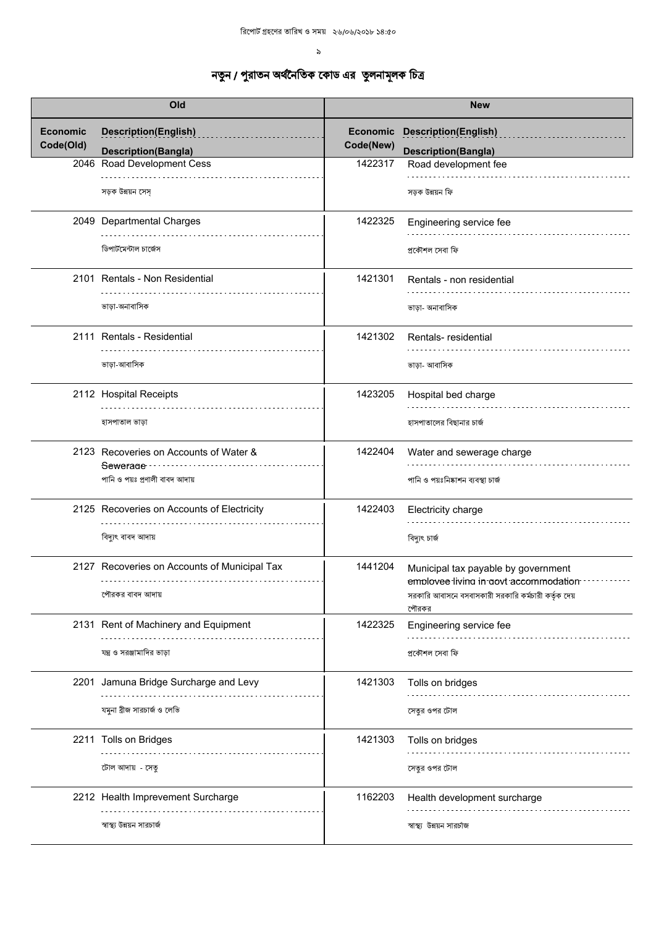| Old                          |                                                           | <b>New</b>                   |                                                                              |
|------------------------------|-----------------------------------------------------------|------------------------------|------------------------------------------------------------------------------|
| <b>Economic</b><br>Code(Old) | <b>Description(English)</b><br><b>Description(Bangla)</b> | <b>Economic</b><br>Code(New) | <b>Description(English)</b><br><b>Description(Bangla)</b>                    |
|                              | 2046 Road Development Cess                                | 1422317                      | Road development fee                                                         |
|                              | সড়ক উন্নয়ন সেস                                          |                              | সড়ক উন্নয়ন ফি                                                              |
|                              | 2049 Departmental Charges                                 | 1422325                      | Engineering service fee                                                      |
|                              | ডিপার্টমেন্টাল চার্জেস                                    |                              | প্ৰকৌশল সেবা ফি                                                              |
|                              | 2101 Rentals - Non Residential                            | 1421301                      | Rentals - non residential                                                    |
|                              | ভাড়া-অনাবাসিক                                            |                              | ভাড়া- অনাবাসিক                                                              |
|                              | 2111 Rentals - Residential                                | 1421302                      | Rentals-residential                                                          |
|                              | ভাড়া-আবাসিক                                              |                              | ভাড়া- আবাসিক                                                                |
|                              | 2112 Hospital Receipts                                    | 1423205                      | Hospital bed charge                                                          |
|                              | হাসপাতাল ভাড়া                                            |                              | হাসপাতালের বিছানার চার্জ                                                     |
|                              | 2123 Recoveries on Accounts of Water &<br>Sewerage        | 1422404                      | Water and sewerage charge                                                    |
|                              | পানি ও পয়ঃ প্রণালী বাবদ আদায়                            |                              | পানি ও পয়ঃনিষ্কাশন ব্যবস্থা চার্জ                                           |
|                              | 2125 Recoveries on Accounts of Electricity                | 1422403                      | Electricity charge                                                           |
|                              | বিদ্যুৎ বাবদ আদায়                                        |                              | বিদ্যুৎ চাৰ্জ                                                                |
|                              | 2127 Recoveries on Accounts of Municipal Tax              | 1441204                      | Municipal tax payable by government<br>employee living in govt accommodation |
|                              | পৌরকর বাবদ আদায়                                          |                              | সরকারি আবাসনে বসবাসকারী সরকারি কর্মচারী কর্তৃক দেয়<br>পৌরকর                 |
|                              | 2131 Rent of Machinery and Equipment                      | 1422325                      | Engineering service fee                                                      |
|                              | যন্ত্র ও সরঞ্জামাদির ভাড়া                                |                              | প্ৰকৌশল সেবা ফি                                                              |
|                              | 2201 Jamuna Bridge Surcharge and Levy                     | 1421303                      | Tolls on bridges                                                             |
|                              | যমুনা ব্রীজ সারচার্জ ও লেভি                               |                              | সেতুর ওপর টোল                                                                |
|                              | 2211 Tolls on Bridges                                     | 1421303                      | Tolls on bridges                                                             |
|                              | টোল আদায় - সেতু                                          |                              | সেতুর ওপর টোল                                                                |
|                              | 2212 Health Imprevement Surcharge                         | 1162203                      | Health development surcharge                                                 |
|                              | স্বাস্থ্য উন্নয়ন সারচার্জ                                |                              | স্বাস্থ্য উন্নয়ন সারচাজ                                                     |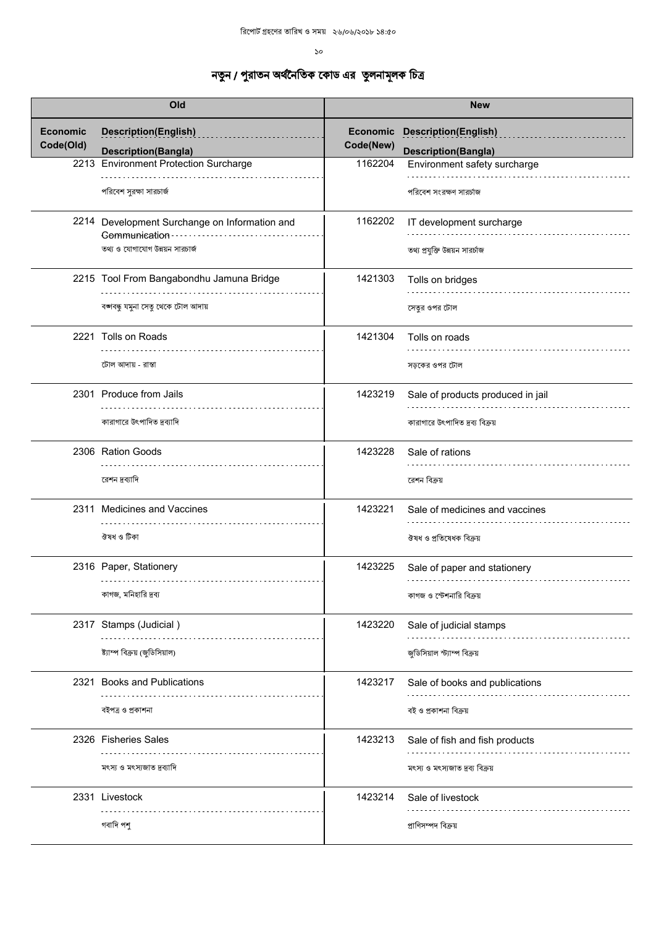| Old                          |                                                                                                          | <b>New</b>                   |                                                           |
|------------------------------|----------------------------------------------------------------------------------------------------------|------------------------------|-----------------------------------------------------------|
| <b>Economic</b><br>Code(Old) | <b>Description(English)</b>                                                                              | <b>Economic</b><br>Code(New) | <b>Description(English)</b><br><b>Description(Bangla)</b> |
|                              | <b>Description(Bangla)</b><br>2213 Environment Protection Surcharge                                      | 1162204                      | Environment safety surcharge                              |
|                              | পরিবেশ সুরক্ষা সারচার্জ                                                                                  |                              | পরিবেশ সংরক্ষণ সারর্চাজ                                   |
|                              | 2214 Development Surchange on Information and<br>Communication -<br>.<br>তথ্য ও যোগাযোগ উন্নয়ন সারচার্জ | 1162202                      | IT development surcharge<br>তথ্য প্রযুক্তি উন্নয়ন সারচাজ |
|                              | 2215 Tool From Bangabondhu Jamuna Bridge<br>বঙ্গবন্ধু যমুনা সেতু থেকে টোল আদায়                          | 1421303                      | Tolls on bridges<br>সেতুর ওপর টোল                         |
|                              | 2221 Tolls on Roads                                                                                      | 1421304                      | Tolls on roads                                            |
|                              | টোল আদায় - রাস্তা                                                                                       |                              | সড়কের ওপর টোল                                            |
|                              | 2301 Produce from Jails                                                                                  | 1423219                      | Sale of products produced in jail                         |
|                              | কারাগারে উৎপাদিত দ্রব্যাদি                                                                               |                              | কারাগারে উৎপাদিত দ্রব্য বিক্রয়                           |
|                              | 2306 Ration Goods                                                                                        | 1423228                      | Sale of rations                                           |
|                              | রেশন দ্রব্যাদি                                                                                           |                              | রেশন বিক্রয়                                              |
|                              | 2311 Medicines and Vaccines                                                                              | 1423221                      | Sale of medicines and vaccines                            |
|                              | ঔষধ ও টিকা                                                                                               |                              | ঔষধ ও প্ৰতিষেধক বিক্ৰয়                                   |
|                              | 2316 Paper, Stationery                                                                                   | 1423225                      | Sale of paper and stationery                              |
|                              | কাগজ, মনিহারি দ্রব্য                                                                                     |                              | কাগজ ও স্টেশনারি বিক্রয়                                  |
|                              | 2317 Stamps (Judicial)                                                                                   | 1423220                      | Sale of judicial stamps                                   |
|                              | ষ্ট্যাম্প বিক্রয় (জুডিসিয়াল)                                                                           |                              | জুডিসিয়াল স্ট্যাম্প বিক্রয়                              |
|                              | 2321 Books and Publications                                                                              | 1423217                      | Sale of books and publications                            |
|                              | বইপত্ৰ ও প্ৰকাশনা                                                                                        |                              | বই ও প্ৰকাশনা বিক্ৰয়                                     |
|                              | 2326 Fisheries Sales                                                                                     | 1423213                      | Sale of fish and fish products                            |
|                              | মৎস্য ও মৎস্যজাত দ্রব্যাদি                                                                               |                              | মৎস্য ও মৎস্যজাত দ্রব্য বিক্রয়                           |
|                              | 2331 Livestock                                                                                           | 1423214                      | Sale of livestock                                         |
|                              | গবাদি পশু                                                                                                |                              | প্ৰাণিসম্পদ বিক্ৰয়                                       |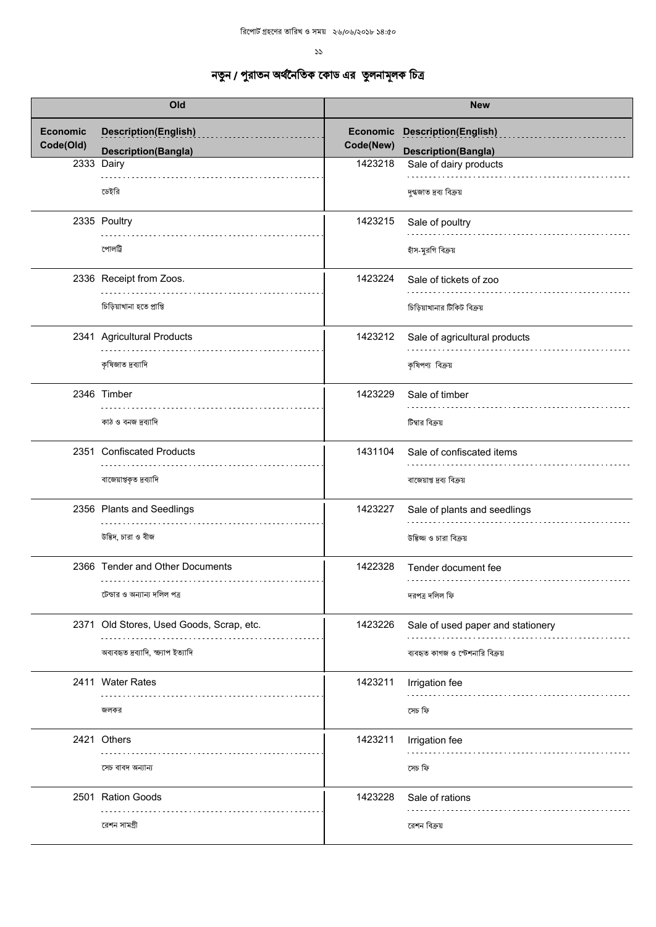| Old                          |                                                           | <b>New</b>            |                                                           |
|------------------------------|-----------------------------------------------------------|-----------------------|-----------------------------------------------------------|
| <b>Economic</b><br>Code(Old) | <b>Description(English)</b><br><b>Description(Bangla)</b> | Economic<br>Code(New) | <b>Description(English)</b><br><b>Description(Bangla)</b> |
|                              | 2333 Dairy                                                | 1423218               | Sale of dairy products                                    |
|                              | ডেইরি                                                     |                       | দুগ্ধজাত দ্ৰব্য বিক্ৰয়                                   |
|                              | 2335 Poultry                                              | 1423215               | Sale of poultry                                           |
|                              | পোলট্ৰি                                                   |                       | হাঁস-মুরগি বিক্রয়                                        |
|                              | 2336 Receipt from Zoos.                                   | 1423224               | Sale of tickets of zoo                                    |
|                              | চিড়িয়াখানা হতে প্ৰাপ্তি                                 |                       | চিড়িয়াখানার টিকিট বিক্রয়                               |
|                              | 2341 Agricultural Products                                | 1423212               | Sale of agricultural products                             |
|                              | কৃষিজাত দ্রব্যাদি                                         |                       | কৃষিপণ্য বিক্রয়                                          |
|                              | 2346 Timber                                               | 1423229               | Sale of timber                                            |
|                              | কাঠ ও বনজ দ্রব্যাদি                                       |                       | টিম্বার বিক্রয়                                           |
|                              | 2351 Confiscated Products                                 | 1431104               | Sale of confiscated items                                 |
|                              | বাজেয়াপ্তকৃত দ্রব্যাদি                                   |                       | বাজেয়াপ্ত দ্রব্য বিক্রয়                                 |
|                              | 2356 Plants and Seedlings                                 | 1423227               | Sale of plants and seedlings                              |
|                              | উদ্ভিদ, চারা ও বীজ                                        |                       | উদ্ভিজ্জ ও চারা বিক্রয়                                   |
|                              | 2366 Tender and Other Documents                           | 1422328               | Tender document fee<br>.                                  |
|                              | টেন্ডার ও অন্যান্য দলিল পত্র                              |                       | দরপত্র দলিল ফি                                            |
|                              | 2371 Old Stores, Used Goods, Scrap, etc.                  | 1423226               | Sale of used paper and stationery                         |
|                              | অব্যবহৃত দ্রব্যাদি, ক্ষ্যাপ ইত্যাদি                       |                       | ব্যবহৃত কাগজ ও স্টেশনারি বিক্রয়                          |
|                              | 2411 Water Rates                                          | 1423211               | Irrigation fee                                            |
|                              | জলকর                                                      |                       | সেচ ফি                                                    |
|                              | 2421 Others                                               | 1423211               | Irrigation fee                                            |
|                              | সেচ বাবদ অন্যান্য                                         |                       | সেচ ফি                                                    |
|                              | 2501 Ration Goods                                         | 1423228               | Sale of rations                                           |
|                              | রেশন সামগ্রী                                              |                       | রেশন বিক্রয়                                              |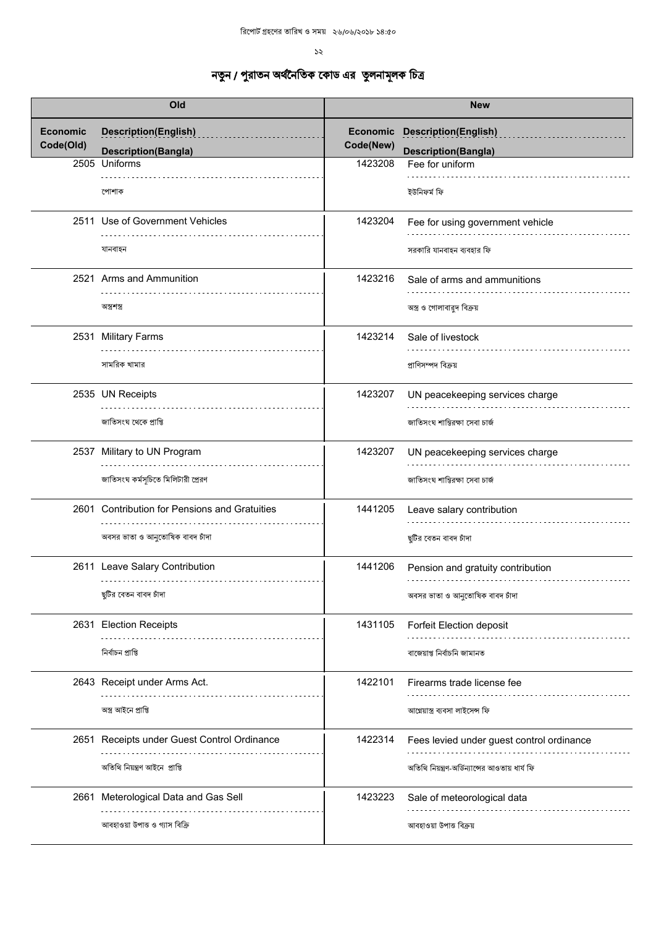| Old                          |                                                                                  | <b>New</b>            |                                                                                              |
|------------------------------|----------------------------------------------------------------------------------|-----------------------|----------------------------------------------------------------------------------------------|
| <b>Economic</b><br>Code(Old) | <b>Description(English)</b><br><b>Description(Bangla)</b>                        | Economic<br>Code(New) | <b>Description(English)</b><br><b>Description(Bangla)</b>                                    |
|                              | 2505 Uniforms<br>পোশাক                                                           | 1423208               | Fee for uniform<br>ইউনিফর্ম ফি                                                               |
|                              | 2511 Use of Government Vehicles<br>যানবাহন                                       | 1423204               | Fee for using government vehicle<br>সরকারি যানবাহন ব্যবহার ফি                                |
|                              | 2521 Arms and Ammunition<br>অস্ত্ৰশস্ত্ৰ                                         | 1423216               | Sale of arms and ammunitions<br>অস্ত্র ও গোলাবারুদ বিক্রয়                                   |
|                              | 2531 Military Farms<br>সামরিক খামার                                              | 1423214               | Sale of livestock<br>প্রাণিসম্পদ বিক্রয়                                                     |
|                              | 2535 UN Receipts<br>জাতিসংঘ থেকে প্রাপ্তি                                        | 1423207               | UN peacekeeping services charge<br>জাতিসংঘ শান্তিরক্ষা সেবা চার্জ                            |
|                              | 2537 Military to UN Program<br>জাতিসংঘ কর্মসূচিতে মিলিটারী প্রেরণ                | 1423207               | UN peacekeeping services charge<br>জাতিসংঘ শান্তিরক্ষা সেবা চার্জ                            |
|                              | 2601 Contribution for Pensions and Gratuities<br>অবসর ভাতা ও আনুতোষিক বাবদ চাঁদা | 1441205               | Leave salary contribution<br>ছুটির বেতন বাবদ চাঁদা                                           |
|                              | 2611 Leave Salary Contribution<br>ছুটির বেতন বাবদ চাঁদা                          | 1441206               | Pension and gratuity contribution<br>অবসর ভাতা ও আনুতোষিক বাবদ চাঁদা                         |
|                              | 2631 Election Receipts<br>নিৰ্বাচন প্ৰাপ্তি                                      | 1431105               | Forfeit Election deposit<br>বাজেয়াপ্ত নিৰ্বাচনি জামানত                                      |
|                              | 2643 Receipt under Arms Act.<br>অস্ত্র আইনে প্রাপ্তি                             | 1422101               | Firearms trade license fee<br>আগ্নেয়াস্ত্ৰ ব্যবসা লাইসেন্স ফি                               |
|                              | 2651 Receipts under Guest Control Ordinance<br>অতিথি নিয়ন্ত্ৰণ আইনে প্ৰাপ্তি    | 1422314               | Fees levied under guest control ordinance<br>অতিথি নিয়ন্ত্রণ-অর্ডিন্যান্সের আওতায় ধার্য ফি |
|                              | 2661 Meterological Data and Gas Sell<br>আবহাওয়া উপাত্ত ও গ্যাস বিক্রি           | 1423223               | Sale of meteorological data<br>আবহাওয়া উপাত বিক্রয়                                         |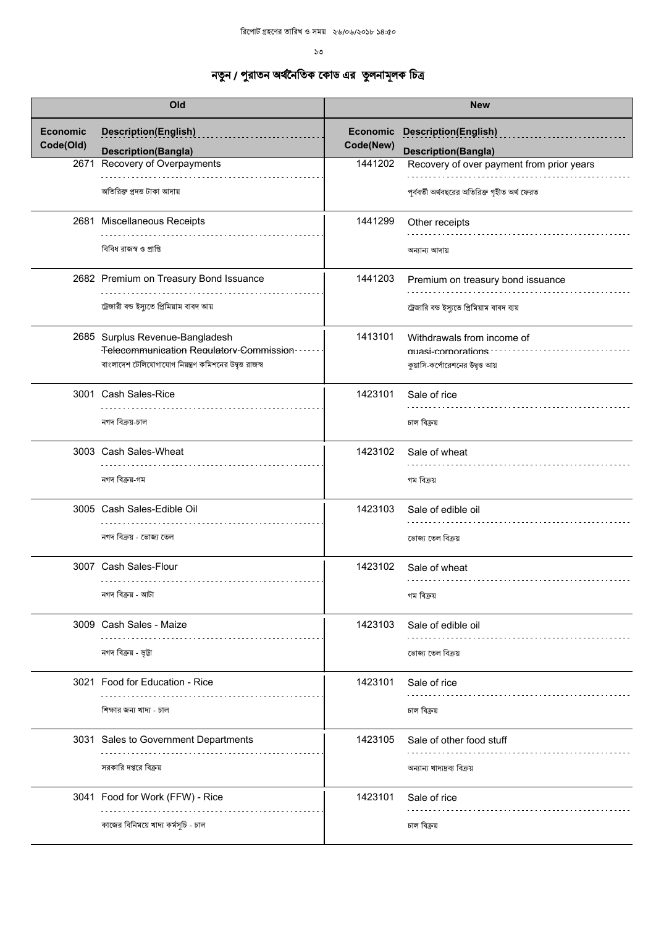|                              | Old                                                     |                       | <b>New</b>                                    |
|------------------------------|---------------------------------------------------------|-----------------------|-----------------------------------------------|
| <b>Economic</b><br>Code(Old) | <b>Description(English)</b>                             | Economic<br>Code(New) | <b>Description(English)</b>                   |
|                              | <b>Description(Bangla)</b>                              |                       | <b>Description(Bangla)</b>                    |
| 2671                         | Recovery of Overpayments                                | 1441202               | Recovery of over payment from prior years     |
|                              | অতিরিক্ত প্রদত্ত টাকা আদায়                             |                       | পূর্ববর্তী অর্থবছরের অতিরিক্ত গৃহীত অর্থ ফেরত |
|                              | 2681 Miscellaneous Receipts                             | 1441299               | Other receipts                                |
|                              | বিবিধ রাজস্ব ও প্রাপ্তি                                 |                       | অন্যান্য আদায়                                |
|                              | 2682 Premium on Treasury Bond Issuance                  | 1441203               | Premium on treasury bond issuance             |
|                              | ট্রেজারী বন্ড ইস্যুতে প্রিমিয়াম বাবদ আয়               |                       | ট্রেজারি বন্ড ইস্যুতে প্রিমিয়াম বাবদ ব্যয়   |
|                              | 2685 Surplus Revenue-Bangladesh                         | 1413101               | Withdrawals from income of                    |
|                              | Telecommunication Requlatory Commission                 |                       | muasi-corporations                            |
|                              | বাংলাদেশ টেলিযোগাযোগ নিয়ন্ত্রণ কমিশনের উদ্বৃত্ত রাজস্ব |                       | কুয়াসি-কর্পোরেশনের উদ্বৃত্ত আয়              |
|                              |                                                         |                       |                                               |
|                              | 3001 Cash Sales-Rice                                    | 1423101               | Sale of rice                                  |
|                              |                                                         |                       |                                               |
|                              | নগদ বিক্ৰয়-চাল                                         |                       | চাল বিক্ৰয়                                   |
|                              | 3003 Cash Sales-Wheat                                   | 1423102               | Sale of wheat                                 |
|                              | নগদ বিক্ৰয়-গম                                          |                       | গম বিক্ৰয়                                    |
|                              | 3005 Cash Sales-Edible Oil                              | 1423103               | Sale of edible oil                            |
|                              | নগদ বিক্রয় - ভোজ্য তেল                                 |                       | ভোজ্য তেল বিক্ৰয়                             |
|                              | 3007 Cash Sales-Flour                                   | 1423102               | Sale of wheat                                 |
|                              |                                                         |                       |                                               |
|                              | নগদ বিক্ৰয় - আটা                                       |                       | গম বিক্রয়                                    |
|                              | 3009 Cash Sales - Maize                                 | 1423103               | Sale of edible oil                            |
|                              |                                                         |                       |                                               |
|                              | নগদ বিক্ৰয় - ভূট্টা                                    |                       | ভোজ্য তেল বিক্ৰয়                             |
|                              | 3021 Food for Education - Rice                          | 1423101               | Sale of rice                                  |
|                              | শিক্ষার জন্য খাদ্য - চাল                                |                       | চাল বিক্ৰয়                                   |
|                              |                                                         |                       |                                               |
|                              | 3031 Sales to Government Departments                    | 1423105               | Sale of other food stuff                      |
|                              | সরকারি দপ্তরে বিক্রয়                                   |                       | অন্যান্য খাদ্যদ্রব্য বিক্রয়                  |
|                              | 3041 Food for Work (FFW) - Rice                         | 1423101               | Sale of rice                                  |
|                              |                                                         |                       |                                               |
|                              | কাজের বিনিময়ে খাদ্য কর্মসূচি - চাল                     |                       | চাল বিক্ৰয়                                   |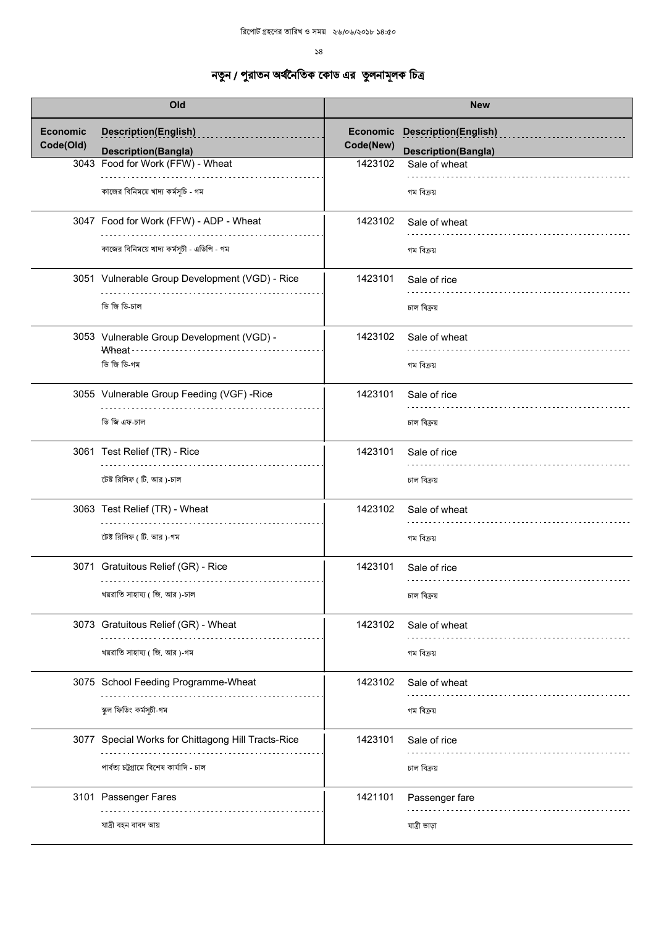| Old                          |                                                           | <b>New</b> |                                                                    |
|------------------------------|-----------------------------------------------------------|------------|--------------------------------------------------------------------|
| <b>Economic</b><br>Code(Old) | <b>Description(English)</b><br><b>Description(Bangla)</b> | Code(New)  | <b>Economic Description(English)</b><br><b>Description(Bangla)</b> |
|                              | 3043 Food for Work (FFW) - Wheat                          | 1423102    | Sale of wheat                                                      |
|                              | কাজের বিনিময়ে খাদ্য কর্মসূচি - গম                        |            | গম বিক্ৰয়                                                         |
|                              | 3047 Food for Work (FFW) - ADP - Wheat                    | 1423102    | Sale of wheat                                                      |
|                              | কাজের বিনিময়ে খাদ্য কর্মসূচী - এডিপি - গম                |            | গম বিক্ৰয়                                                         |
|                              | 3051 Vulnerable Group Development (VGD) - Rice            | 1423101    | Sale of rice                                                       |
|                              | ভি জি ডি-চাল                                              |            | চাল বিক্ৰয়                                                        |
|                              | 3053 Vulnerable Group Development (VGD) -<br>Wheat · ·    | 1423102    | Sale of wheat                                                      |
|                              | ভি জি ডি-গম                                               |            | গম বিক্রয়                                                         |
|                              | 3055 Vulnerable Group Feeding (VGF) -Rice                 | 1423101    | Sale of rice                                                       |
|                              | ভি জি এফ-চাল                                              |            | চাল বিক্ৰয়                                                        |
|                              | 3061 Test Relief (TR) - Rice<br>.                         | 1423101    | Sale of rice                                                       |
|                              | টেষ্ট রিলিফ ( টি. আর )-চাল                                |            | চাল বিক্ৰয়                                                        |
|                              | 3063 Test Relief (TR) - Wheat                             | 1423102    | Sale of wheat                                                      |
|                              | টেষ্ট রিলিফ (টি. আর)-গম                                   |            | গম বিক্ৰয়                                                         |
|                              | 3071 Gratuitous Relief (GR) - Rice                        | 1423101    | Sale of rice                                                       |
|                              | খয়রাতি সাহায্য ( জি. আর )-চাল                            |            | চাল বিক্ৰয়                                                        |
|                              | 3073 Gratuitous Relief (GR) - Wheat                       | 1423102    | Sale of wheat                                                      |
|                              | খয়রাতি সাহায্য ( জি. আর )-গম                             |            | গম বিক্ৰয়                                                         |
|                              | 3075 School Feeding Programme-Wheat                       | 1423102    | Sale of wheat                                                      |
|                              | স্কুল ফিডিং কর্মসূচী-গম                                   |            | গম বিক্ৰয়                                                         |
|                              | 3077 Special Works for Chittagong Hill Tracts-Rice        | 1423101    | Sale of rice                                                       |
|                              | পাৰ্বত্য চট্টগ্ৰামে বিশেষ কাৰ্যাদি - চাল                  |            | চাল বিক্ৰয়                                                        |
|                              | 3101 Passenger Fares                                      | 1421101    | Passenger fare                                                     |
|                              | যাত্ৰী বহন বাবদ আয়                                       |            | যাত্ৰী ভাড়া                                                       |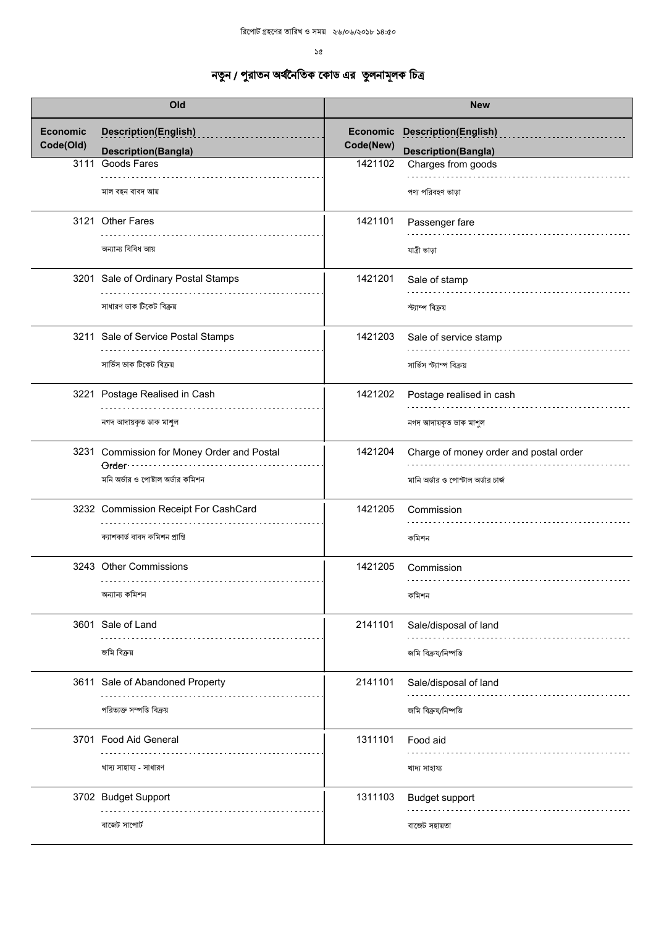| Old             |                                                     |                 | <b>New</b>                             |
|-----------------|-----------------------------------------------------|-----------------|----------------------------------------|
| <b>Economic</b> | <b>Description(English)</b>                         | <b>Economic</b> | <b>Description(English)</b>            |
| Code(Old)       | <b>Description(Bangla)</b>                          | Code(New)       | <b>Description(Bangla)</b>             |
| 3111            | Goods Fares                                         | 1421102         | Charges from goods                     |
|                 | মাল বহন বাবদ আয়                                    |                 | পণ্য পরিবহণ ভাড়া                      |
|                 | 3121 Other Fares                                    | 1421101         | Passenger fare                         |
|                 | অন্যান্য বিবিধ আয়                                  |                 | যাত্ৰী ভাড়া                           |
|                 | 3201 Sale of Ordinary Postal Stamps                 | 1421201         | Sale of stamp                          |
|                 | সাধারণ ডাক টিকেট বিক্রয়                            |                 | স্ট্যাম্প বিক্ৰয়                      |
|                 | 3211 Sale of Service Postal Stamps                  | 1421203         | Sale of service stamp                  |
|                 | সার্ভিস ডাক টিকেট বিক্রয়                           |                 | সার্ভিস স্ট্যাম্প বিক্রয়              |
|                 | 3221 Postage Realised in Cash                       | 1421202         | Postage realised in cash               |
|                 | নগদ আদায়কৃত ডাক মাশুল                              |                 | নগদ আদায়কৃত ডাক মাশুল                 |
|                 | 3231 Commission for Money Order and Postal<br>Order | 1421204         | Charge of money order and postal order |
|                 | মনি অর্ডার ও পোষ্টাল অর্ডার কমিশন                   |                 | মানি অর্ডার ও পোস্টাল অর্ডার চার্জ     |
|                 | 3232 Commission Receipt For CashCard                | 1421205         | Commission                             |
|                 | ক্যাশকার্ড বাবদ কমিশন প্রাপ্তি                      |                 | কমিশন                                  |
|                 | 3243 Other Commissions                              | 1421205         | Commission<br>.                        |
|                 | অন্যান্য কমিশন                                      |                 | কমিশন                                  |
|                 | 3601 Sale of Land                                   | 2141101         | Sale/disposal of land                  |
|                 | জমি বিক্রয়                                         |                 | জমি বিক্রয∕নিষ্পত্তি                   |
|                 | 3611 Sale of Abandoned Property                     | 2141101         | Sale/disposal of land                  |
|                 | পরিত্যক্ত সম্পত্তি বিক্রয়                          |                 | জমি বিক্রয∕নিষ্পত্তি                   |
|                 | 3701 Food Aid General                               | 1311101         | Food aid                               |
|                 | খাদ্য সাহায্য - সাধারণ                              |                 | খাদ্য সাহায্য                          |
|                 | 3702 Budget Support                                 | 1311103         | <b>Budget support</b>                  |
|                 | বাজেট সাপোর্ট                                       |                 | বাজেট সহায়তা                          |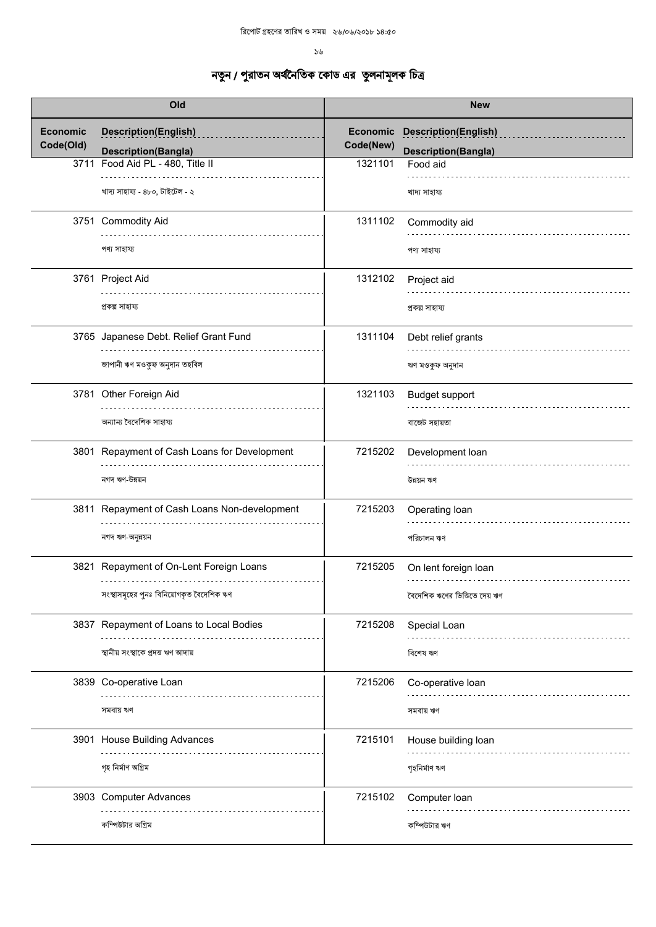| Old                          |                                                           | <b>New</b>                   |                                                           |
|------------------------------|-----------------------------------------------------------|------------------------------|-----------------------------------------------------------|
| <b>Economic</b><br>Code(Old) | <b>Description(English)</b><br><b>Description(Bangla)</b> | <b>Economic</b><br>Code(New) | <b>Description(English)</b><br><b>Description(Bangla)</b> |
| 3711                         | Food Aid PL - 480, Title II                               | 1321101                      | Food aid                                                  |
|                              | খাদ্য সাহায্য - ৪৮০, টাইটেল - ২                           |                              | খাদ্য সাহায্য                                             |
|                              | 3751 Commodity Aid                                        | 1311102                      | Commodity aid                                             |
|                              | পণ্য সাহায্য                                              |                              | পণ্য সাহায্য                                              |
|                              | 3761 Project Aid                                          | 1312102                      | Project aid                                               |
|                              | প্ৰকল্প সাহায্য                                           |                              | প্ৰকল্প সাহায্য                                           |
|                              | 3765 Japanese Debt. Relief Grant Fund                     | 1311104                      | Debt relief grants                                        |
|                              | জাপানী ঋণ মওকুফ অনুদান তহবিল                              |                              | ঋণ মওকুফ অনুদান                                           |
|                              | 3781 Other Foreign Aid                                    | 1321103                      | Budget support                                            |
|                              | অন্যান্য বৈদেশিক সাহায্য                                  |                              | বাজেট সহায়তা                                             |
|                              | 3801 Repayment of Cash Loans for Development              | 7215202                      | Development loan                                          |
|                              | নগদ ঋণ-উন্নয়ন                                            |                              | উন্নয়ন ঋণ                                                |
|                              | 3811 Repayment of Cash Loans Non-development              | 7215203                      | Operating loan                                            |
|                              | নগদ ঋণ-অনুন্নয়ন                                          |                              | পরিচালন ঋণ                                                |
|                              | 3821 Repayment of On-Lent Foreign Loans<br>.              | 7215205                      | On lent foreign loan                                      |
|                              | সংস্থাসমূহের পুনঃ বিনিয়োগকৃত বৈদেশিক ঋণ                  |                              | বৈদেশিক ঋণের ভিত্তিতে দেয় ঋণ                             |
|                              | 3837 Repayment of Loans to Local Bodies                   | 7215208                      | Special Loan                                              |
|                              | স্থানীয় সংস্থাকে প্ৰদত্ত ঋণ আদায়                        |                              | বিশেষ ঋণ                                                  |
|                              | 3839 Co-operative Loan                                    | 7215206                      | Co-operative loan                                         |
|                              | সমবায় ঋণ                                                 |                              | সমবায় ঋণ                                                 |
|                              | 3901 House Building Advances                              | 7215101                      | House building loan                                       |
|                              | গৃহ নিৰ্মাণ অগ্ৰিম                                        |                              | গৃহনিৰ্মাণ ঋণ                                             |
|                              | 3903 Computer Advances                                    | 7215102                      | Computer Ioan                                             |
|                              | কম্পিউটার অগ্রিম                                          |                              | কম্পিউটার ঋণ                                              |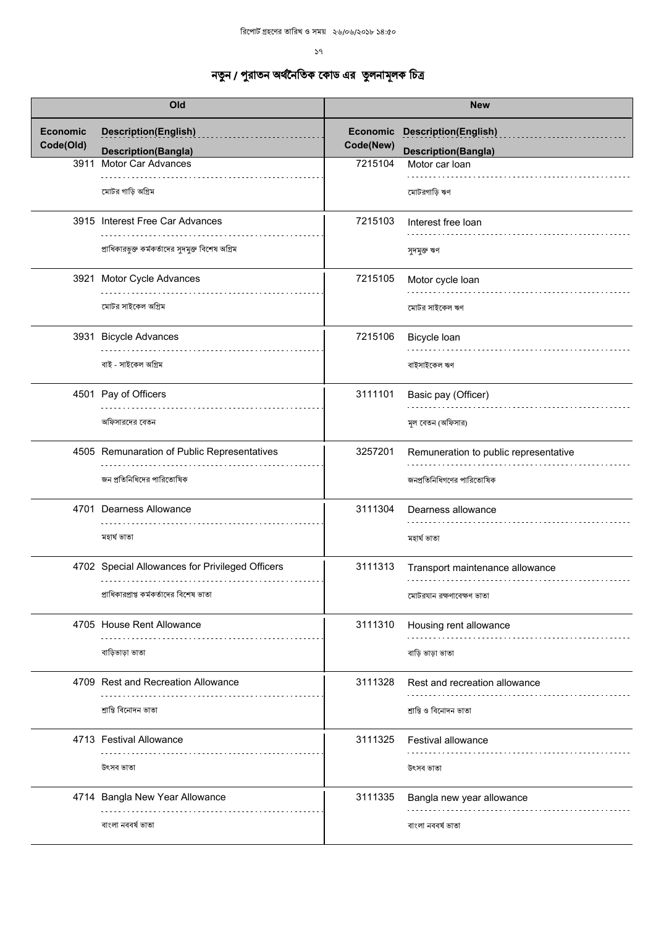| Old                          |                                                           | <b>New</b>            |                                                           |
|------------------------------|-----------------------------------------------------------|-----------------------|-----------------------------------------------------------|
| <b>Economic</b><br>Code(Old) | <b>Description(English)</b><br><b>Description(Bangla)</b> | Economic<br>Code(New) | <b>Description(English)</b><br><b>Description(Bangla)</b> |
| 3911                         | <b>Motor Car Advances</b>                                 | 7215104               | Motor car loan                                            |
|                              | মোটর গাড়ি অগ্রিম                                         |                       | মোটরগাড়ি ঋণ                                              |
|                              | 3915 Interest Free Car Advances                           | 7215103               | Interest free loan                                        |
|                              | প্রাধিকারভুক্ত কর্মকর্তাদের সুদমুক্ত বিশেষ অগ্রিম         |                       | সুদমুক্ত ঋণ                                               |
|                              | 3921 Motor Cycle Advances                                 | 7215105               | Motor cycle loan                                          |
|                              | মোটর সাইকেল অগ্রিম                                        |                       | মোটর সাইকেল ঋণ                                            |
|                              | 3931 Bicycle Advances                                     | 7215106               | Bicycle Ioan                                              |
|                              | বাই - সাইকেল অগ্রিম                                       |                       | বাইসাইকেল ঋণ                                              |
|                              | 4501 Pay of Officers                                      | 3111101               | Basic pay (Officer)                                       |
|                              | অফিসারদের বেতন                                            |                       | মূল বেতন (অফিসার)                                         |
|                              | 4505 Remunaration of Public Representatives               | 3257201               | Remuneration to public representative                     |
|                              | জন প্রতিনিধিদের পারিতোষিক                                 |                       | জনপ্রতিনিধিগণের পারিতোষিক                                 |
|                              | 4701 Dearness Allowance                                   | 3111304               | Dearness allowance                                        |
|                              | মহাৰ্ঘ ভাতা                                               |                       | মহাৰ্ঘ ভাতা                                               |
|                              | 4702 Special Allowances for Privileged Officers           | 3111313               | Transport maintenance allowance                           |
|                              | প্রাধিকারপ্রাপ্ত কর্মকর্তাদের বিশেষ ভাতা                  |                       | মোটরযান রক্ষণাবেক্ষণ ভাতা                                 |
|                              | 4705 House Rent Allowance                                 | 3111310               | Housing rent allowance                                    |
|                              | বাড়িভাড়া ভাতা                                           |                       | বাড়ি ভাড়া ভাতা                                          |
|                              | 4709 Rest and Recreation Allowance                        | 3111328               | Rest and recreation allowance                             |
|                              | শ্ৰান্তি বিনোদন ভাতা                                      |                       | শ্ৰান্তি ও বিনোদন ভাতা                                    |
|                              | 4713 Festival Allowance                                   | 3111325               | Festival allowance                                        |
|                              | উৎসব ভাতা                                                 |                       | উৎসব ভাতা                                                 |
|                              | 4714 Bangla New Year Allowance                            | 3111335               | Bangla new year allowance                                 |
|                              | বাংলা নববর্ষ ভাতা                                         |                       | বাংলা নববর্ষ ভাতা                                         |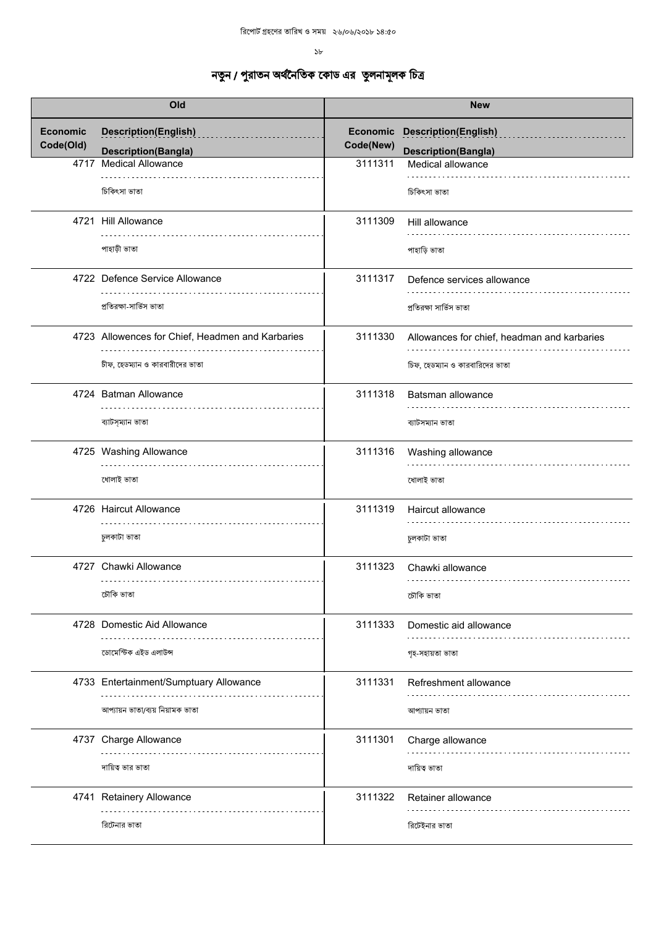$5b$ 

| Old                          |                                                        | <b>New</b>            |                                                 |
|------------------------------|--------------------------------------------------------|-----------------------|-------------------------------------------------|
| <b>Economic</b><br>Code(Old) | <b>Description(English)</b>                            | Economic<br>Code(New) | <b>Description(English)</b>                     |
| 4717                         | <b>Description(Bangla)</b><br><b>Medical Allowance</b> | 3111311               | <b>Description(Bangla)</b><br>Medical allowance |
|                              | চিকিৎসা ভাতা                                           |                       | চিকিৎসা ভাতা                                    |
|                              | 4721 Hill Allowance                                    | 3111309               | Hill allowance                                  |
|                              | পাহাড়ী ভাতা                                           |                       | পাহাড়ি ভাতা                                    |
|                              | 4722 Defence Service Allowance                         | 3111317               | Defence services allowance                      |
|                              | প্রতিরক্ষা-সার্ভিস ভাতা                                |                       | প্রতিরক্ষা সার্ভিস ভাতা                         |
|                              | 4723 Allowences for Chief, Headmen and Karbaries       | 3111330               | Allowances for chief, headman and karbaries     |
|                              | চীফ, হেডম্যান ও কারবারীদের ভাতা                        |                       | চিফ, হেডম্যান ও কারবারিদের ভাতা                 |
|                              | 4724 Batman Allowance                                  | 3111318               | Batsman allowance                               |
|                              | ব্যাটস্ম্যান ভাতা                                      |                       | ব্যাটসম্যান ভাতা                                |
|                              | 4725 Washing Allowance                                 | 3111316               | Washing allowance                               |
|                              | ধোলাই ভাতা                                             |                       | ধোলাই ভাতা                                      |
|                              | 4726 Haircut Allowance                                 | 3111319               | Haircut allowance                               |
|                              | চুলকাটা ভাতা                                           |                       | চুলকাটা ভাতা                                    |
|                              | 4727 Chawki Allowance<br>.                             | 3111323               | Chawki allowance                                |
|                              | চৌকি ভাতা                                              |                       | চৌকি ভাতা                                       |
|                              | 4728 Domestic Aid Allowance                            | 3111333               | Domestic aid allowance                          |
|                              | ডোমেস্টিক এইড এলাউন্স                                  |                       | গৃহ-সহায়তা ভাতা                                |
|                              | 4733 Entertainment/Sumptuary Allowance                 | 3111331               | Refreshment allowance                           |
|                              | আপ্যায়ন ভাতা/ব্যয় নিয়ামক ভাতা                       |                       | আপ্যায়ন ভাতা                                   |
|                              | 4737 Charge Allowance                                  | 3111301               | Charge allowance                                |
|                              | দায়িত্ব ভার ভাতা                                      |                       | দায়িত্ব ভাতা                                   |
|                              | 4741 Retainery Allowance                               | 3111322               | Retainer allowance                              |
|                              | রিটেনার ভাতা                                           |                       | রিটেইনার ভাতা                                   |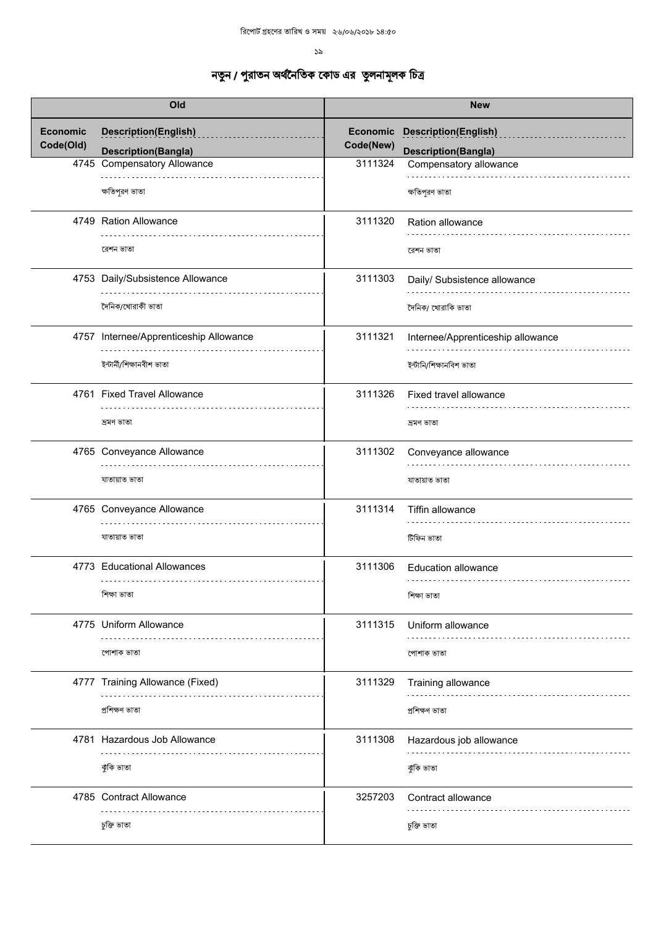| Old             |                                        |                 | <b>New</b>                        |
|-----------------|----------------------------------------|-----------------|-----------------------------------|
| <b>Economic</b> | <b>Description(English)</b>            | <b>Economic</b> | <b>Description(English)</b>       |
| Code(Old)       | <b>Description(Bangla)</b>             | Code(New)       | <b>Description(Bangla)</b>        |
| 4745            | <b>Compensatory Allowance</b>          | 3111324         | Compensatory allowance            |
|                 | ক্ষতিপূরণ ভাতা                         |                 | ক্ষতিপূরণ ভাতা                    |
|                 | 4749 Ration Allowance                  | 3111320         | Ration allowance                  |
|                 | রেশন ভাতা                              |                 | রেশন ভাতা                         |
|                 | 4753 Daily/Subsistence Allowance       | 3111303         | Daily/ Subsistence allowance      |
|                 | দৈনিক/খোৱাকী ভাতা                      |                 | দৈনিক/ খোরাকি ভাতা                |
|                 |                                        |                 |                                   |
|                 | 4757 Internee/Apprenticeship Allowance | 3111321         | Internee/Apprenticeship allowance |
|                 | ইন্টাৰ্নী/শিক্ষানবীশ ভাতা              |                 | ইন্টানি/শিক্ষানবিশ ভাতা           |
|                 | 4761 Fixed Travel Allowance            | 3111326         | Fixed travel allowance            |
|                 |                                        |                 |                                   |
|                 | ন্ৰমণ ভাতা                             |                 | দ্ৰমণ ভাতা                        |
|                 | 4765 Conveyance Allowance              | 3111302         | Conveyance allowance              |
|                 | যাতায়াত ভাতা                          |                 | যাতায়াত ভাতা                     |
|                 | 4765 Conveyance Allowance              | 3111314         | Tiffin allowance                  |
|                 | যাতায়াত ভাতা                          |                 | টিফিন ভাতা                        |
|                 | 4773 Educational Allowances            | 3111306         | <b>Education allowance</b>        |
|                 | .                                      |                 |                                   |
|                 | শিক্ষা ভাতা                            |                 | শিক্ষা ভাতা                       |
|                 | 4775 Uniform Allowance                 | 3111315         | Uniform allowance                 |
|                 | পোশাক ভাতা                             |                 | পোশাক ভাতা                        |
|                 | 4777 Training Allowance (Fixed)        | 3111329         | Training allowance                |
|                 | প্ৰশিক্ষণ ভাতা                         |                 | প্ৰশিক্ষণ ভাতা                    |
|                 | 4781 Hazardous Job Allowance           | 3111308         | Hazardous job allowance           |
|                 | কুকি ভাতা                              |                 |                                   |
|                 |                                        |                 | কুকি ভাতা                         |
|                 | 4785 Contract Allowance                | 3257203         | Contract allowance                |
|                 | চুক্তি ভাতা                            |                 | চুক্তি ভাতা                       |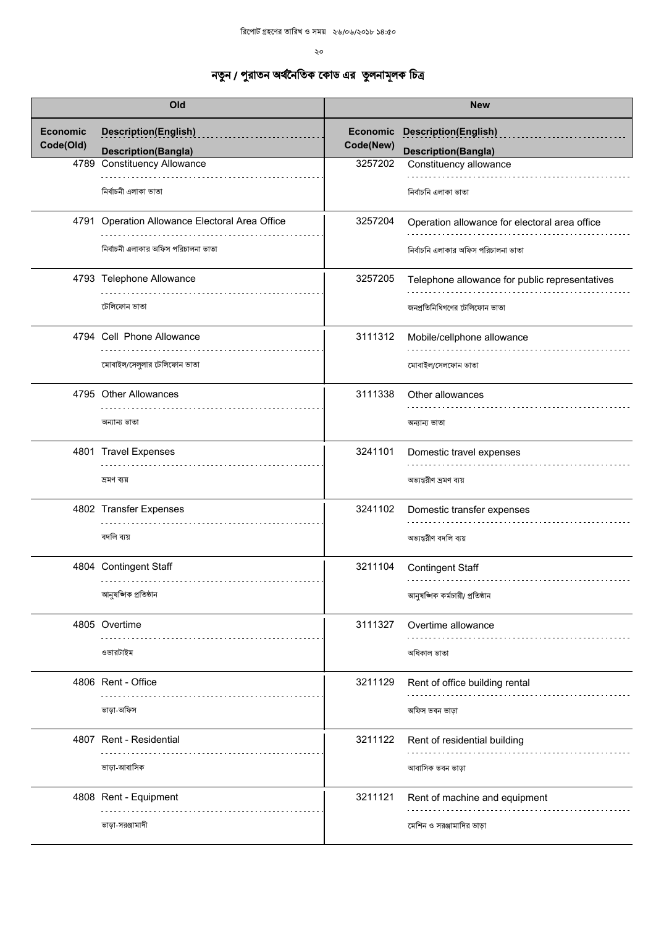| Old                          |                                                           | <b>New</b> |                                                                    |
|------------------------------|-----------------------------------------------------------|------------|--------------------------------------------------------------------|
| <b>Economic</b><br>Code(Old) | <b>Description(English)</b><br><b>Description(Bangla)</b> | Code(New)  | <b>Economic Description(English)</b><br><b>Description(Bangla)</b> |
|                              | 4789 Constituency Allowance                               | 3257202    | Constituency allowance                                             |
|                              | নিৰ্বাচনী এলাকা ভাতা                                      |            | নিৰ্বাচনি এলাকা ভাতা                                               |
|                              | 4791 Operation Allowance Electoral Area Office            | 3257204    | Operation allowance for electoral area office                      |
|                              | নির্বাচনী এলাকার অফিস পরিচালনা ভাতা                       |            | নির্বাচনি এলাকার অফিস পরিচালনা ভাতা                                |
|                              | 4793 Telephone Allowance                                  | 3257205    | Telephone allowance for public representatives                     |
|                              | টেলিফোন ভাতা                                              |            | জনপ্রতিনিধিগণের টেলিফোন ভাতা                                       |
|                              | 4794 Cell Phone Allowance                                 | 3111312    | Mobile/cellphone allowance                                         |
|                              | মোবাইল/সেলুলার টেলিফোন ভাতা                               |            | মোবাইল/সেলফোন ভাতা                                                 |
|                              | 4795 Other Allowances                                     | 3111338    | Other allowances                                                   |
|                              | অন্যান্য ভাতা                                             |            | অন্যান্য ভাতা                                                      |
|                              | 4801 Travel Expenses                                      | 3241101    | Domestic travel expenses                                           |
|                              | দ্ৰমণ ব্যয়                                               |            | অভ্যন্তরীণ ভ্রমণ ব্যয়                                             |
|                              | 4802 Transfer Expenses                                    | 3241102    | Domestic transfer expenses                                         |
|                              | বদলি ব্যয়                                                |            | অভ্যন্তরীণ বদলি ব্যয়                                              |
|                              | 4804 Contingent Staff<br>.                                | 3211104    | <b>Contingent Staff</b>                                            |
|                              | আনুষঙ্গিক প্ৰতিষ্ঠান                                      |            | আনুষজ্ঞিক কর্মচারী/ প্রতিষ্ঠান                                     |
|                              | 4805 Overtime                                             | 3111327    | Overtime allowance                                                 |
|                              | ওভারটাইম                                                  |            | অধিকাল ভাতা                                                        |
|                              | 4806 Rent - Office                                        | 3211129    | Rent of office building rental                                     |
|                              | ভাড়া-অফিস                                                |            | অফিস ভবন ভাড়া                                                     |
|                              | 4807 Rent - Residential                                   | 3211122    | Rent of residential building                                       |
|                              | ভাড়া-আবাসিক                                              |            | আবাসিক ভবন ভাড়া                                                   |
|                              | 4808 Rent - Equipment                                     | 3211121    | Rent of machine and equipment                                      |
|                              | ভাড়া-সরঞ্জামাদী                                          |            | মেশিন ও সরঞ্জামাদির ভাড়া                                          |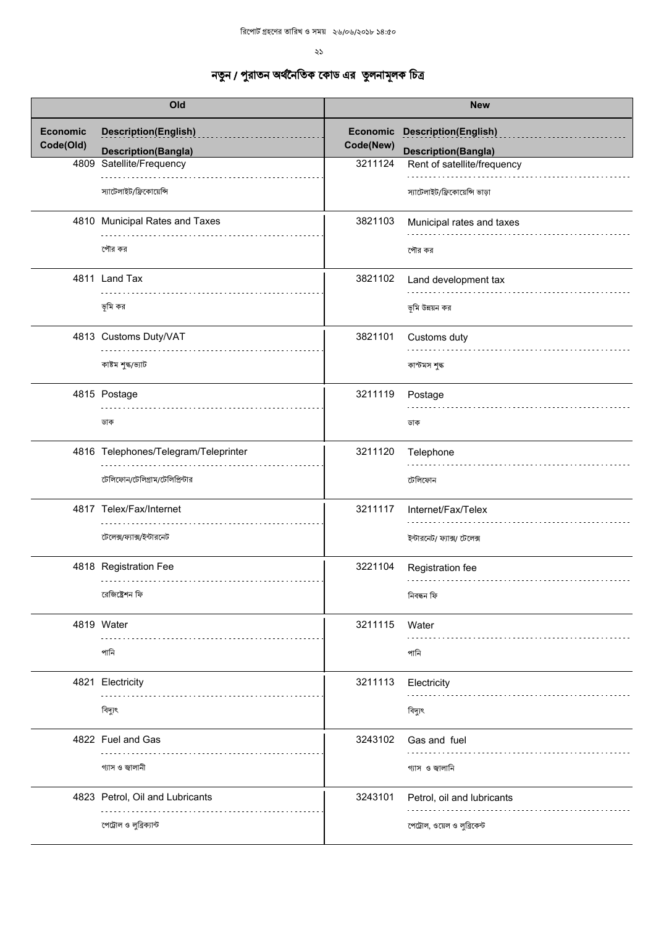$\lambda$ 

| Old                          |                                                           | <b>New</b>            |                                                           |
|------------------------------|-----------------------------------------------------------|-----------------------|-----------------------------------------------------------|
| <b>Economic</b><br>Code(Old) | <b>Description(English)</b><br><b>Description(Bangla)</b> | Economic<br>Code(New) | <b>Description(English)</b><br><b>Description(Bangla)</b> |
|                              | 4809 Satellite/Frequency                                  | 3211124               | Rent of satellite/frequency                               |
|                              | স্যাটেলাইট/ফ্রিকোয়েন্সি                                  |                       | স্যাটেলাইট/ফ্রিকোয়েন্সি ভাড়া                            |
|                              | 4810 Municipal Rates and Taxes                            | 3821103               | Municipal rates and taxes                                 |
|                              | পৌর কর                                                    |                       | পৌর কর                                                    |
|                              | 4811 Land Tax                                             | 3821102               | Land development tax                                      |
|                              | ভূমি কর                                                   |                       | ভূমি উন্নয়ন কর                                           |
|                              | 4813 Customs Duty/VAT                                     | 3821101               | Customs duty                                              |
|                              | কাষ্টম শুল্ক/ভ্যাট                                        |                       | কাস্টমস শুল্ক                                             |
|                              | 4815 Postage                                              | 3211119               | Postage                                                   |
|                              | ডাক                                                       |                       | ডাক                                                       |
|                              | 4816 Telephones/Telegram/Teleprinter                      | 3211120               | Telephone                                                 |
|                              | টেলিফোন/টেলিগ্রাম/টেলিপ্রিন্টার                           |                       | টেলিফোন                                                   |
|                              | 4817 Telex/Fax/Internet                                   | 3211117               | Internet/Fax/Telex                                        |
|                              | টেলেক্স/ফ্যাক্স/ইন্টারনেট                                 |                       | ইন্টারনেট/ ফ্যাক্স/ টেলেক্স                               |
|                              | 4818 Registration Fee<br>.                                | 3221104               | Registration fee                                          |
|                              | রেজিষ্ট্রেশন ফি                                           |                       | নিবন্ধন ফি                                                |
|                              | 4819 Water<br>$\sim$ $\sim$ $\sim$ $\sim$                 | 3211115               | Water                                                     |
|                              | পানি                                                      |                       | পানি                                                      |
|                              | 4821 Electricity                                          | 3211113               | Electricity                                               |
|                              | বিদ্যুৎ                                                   |                       | বিদ্যুৎ                                                   |
|                              | 4822 Fuel and Gas                                         | 3243102               | Gas and fuel                                              |
|                              | গ্যাস ও জ্বালানী                                          |                       | গ্যাস ও জালানি                                            |
|                              | 4823 Petrol, Oil and Lubricants                           | 3243101               | Petrol, oil and lubricants                                |
|                              | পেট্রোল ও লুব্রিক্যান্ট                                   |                       | পেট্রাল, ওয়েল ও লুব্রিকেন্ট                              |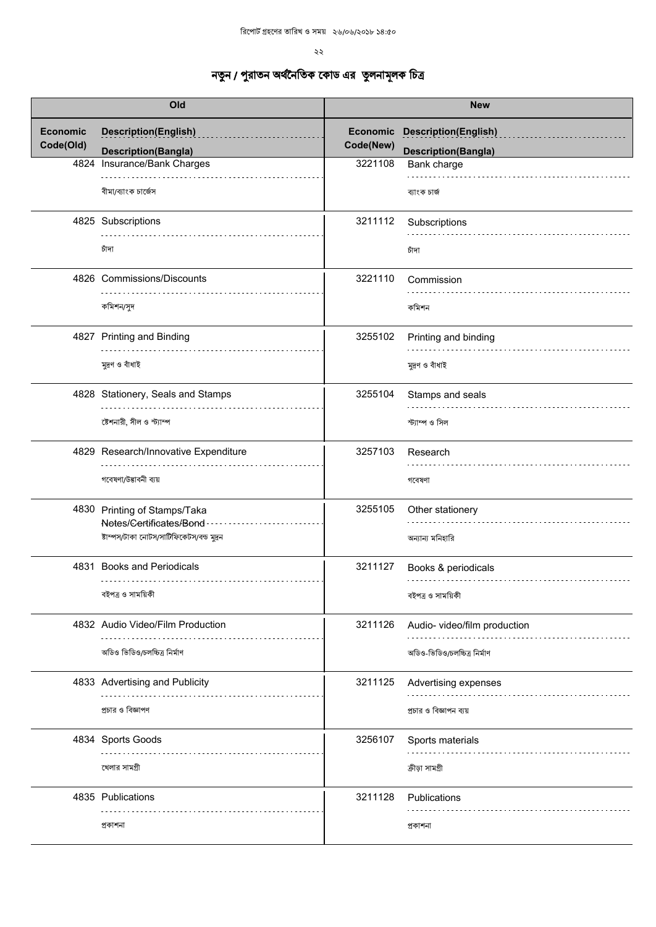$\sim$ 

| Old                          |                                                           | <b>New</b>                   |                                           |
|------------------------------|-----------------------------------------------------------|------------------------------|-------------------------------------------|
| <b>Economic</b><br>Code(Old) | <b>Description(English)</b>                               | <b>Economic</b><br>Code(New) | <b>Description(English)</b>               |
|                              | <b>Description(Bangla)</b><br>4824 Insurance/Bank Charges | 3221108                      | <b>Description(Bangla)</b><br>Bank charge |
|                              | বীমা/ব্যাংক চার্জেস                                       |                              | ব্যাংক চাৰ্জ                              |
|                              | 4825 Subscriptions                                        | 3211112                      | Subscriptions                             |
|                              | চাঁদা                                                     |                              | চাঁদা                                     |
|                              | 4826 Commissions/Discounts                                | 3221110                      | Commission                                |
|                              | কমিশন/সুদ                                                 |                              | কমিশন                                     |
|                              | 4827 Printing and Binding                                 | 3255102                      | Printing and binding                      |
|                              | মুদ্রণ ও বাঁধাই                                           |                              | মুদ্রণ ও বাঁধাই                           |
|                              | 4828 Stationery, Seals and Stamps                         | 3255104                      | Stamps and seals                          |
|                              | ষ্টেশনারী, সীল ও স্ট্যাম্প                                |                              | স্ট্যাম্প ও সিল                           |
|                              | 4829 Research/Innovative Expenditure                      | 3257103                      | Research                                  |
|                              | গবেষণা/উদ্ভাবনী ব্যয়                                     |                              | গবেষণা                                    |
|                              | 4830 Printing of Stamps/Taka<br>Notes/Certificates/Bond   | 3255105                      | Other stationery                          |
|                              | ষ্টাম্পস/টাকা নোটস/সাটিফিকেটস/বন্ড মুদ্রন                 |                              | অন্যান্য মনিহারি                          |
|                              | 4831 Books and Periodicals<br>.                           | 3211127                      | Books & periodicals                       |
|                              | বইপত্ৰ ও সাময়িকী                                         |                              | বইপত্ৰ ও সাময়িকী                         |
|                              | 4832 Audio Video/Film Production                          | 3211126                      | Audio- video/film production              |
|                              | অডিও ভিডিও/চলচ্চিত্র নির্মাণ                              |                              | অডিও-ভিডিও/চলচ্চিত্র নির্মাণ              |
|                              | 4833 Advertising and Publicity                            | 3211125                      | Advertising expenses                      |
|                              | প্রচার ও বিজ্ঞাপণ                                         |                              | প্রচার ও বিজ্ঞাপন ব্যয়                   |
|                              | 4834 Sports Goods                                         | 3256107                      | Sports materials                          |
|                              | খেলার সামগ্রী                                             |                              | ক্ৰীড়া সামগ্ৰী                           |
|                              | 4835 Publications                                         | 3211128                      | Publications                              |
|                              | প্ৰকাশনা                                                  |                              | প্ৰকাশনা                                  |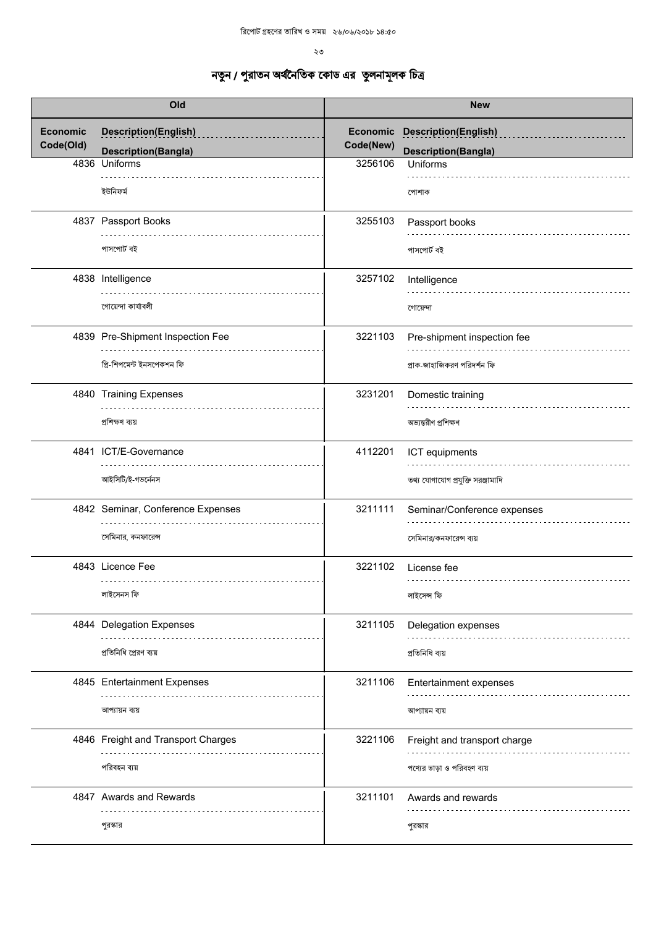| Old                          |                                                           | <b>New</b>            |                                                           |
|------------------------------|-----------------------------------------------------------|-----------------------|-----------------------------------------------------------|
| <b>Economic</b><br>Code(Old) | <b>Description(English)</b><br><b>Description(Bangla)</b> | Economic<br>Code(New) | <b>Description(English)</b><br><b>Description(Bangla)</b> |
|                              | 4836 Uniforms                                             | 3256106               | Uniforms                                                  |
|                              | ইউনিফর্ম                                                  |                       | পোশাক                                                     |
|                              | 4837 Passport Books                                       | 3255103               | Passport books                                            |
|                              | পাসপোৰ্ট বই                                               |                       | পাসপোৰ্ট বই                                               |
|                              | 4838 Intelligence                                         | 3257102               | Intelligence                                              |
|                              | গোয়েন্দা কাৰ্যাবলী                                       |                       | গোয়েন্দা                                                 |
|                              | 4839 Pre-Shipment Inspection Fee                          | 3221103               | Pre-shipment inspection fee                               |
|                              | প্ৰি-শিপমেন্ট ইনসপেকশন ফি                                 |                       | প্রাক-জাহাজিকরণ পরিদর্শন ফি                               |
|                              | 4840 Training Expenses                                    | 3231201               | Domestic training                                         |
|                              | প্ৰশিক্ষণ ব্যয়                                           |                       | অভ্যন্তরীণ প্রশিক্ষণ                                      |
|                              | 4841 ICT/E-Governance                                     | 4112201               | ICT equipments                                            |
|                              | আইসিটি/ই-গভর্নেনস                                         |                       | তথ্য যোগাযোগ প্রযুক্তি সরঞ্জামাদি                         |
|                              | 4842 Seminar, Conference Expenses                         | 3211111               | Seminar/Conference expenses                               |
|                              | সেমিনার, কনফারেন্স                                        |                       | সেমিনার/কনফারেন্স ব্যয়                                   |
|                              | 4843 Licence Fee<br>.                                     | 3221102               | License fee<br>.                                          |
|                              | লাইসেনস ফি                                                |                       | লাইসেন্স ফি                                               |
|                              | 4844 Delegation Expenses                                  | 3211105               | Delegation expenses                                       |
|                              | প্রতিনিধি প্রেরণ ব্যয়                                    |                       | প্ৰতিনিধি ব্যয়                                           |
|                              | 4845 Entertainment Expenses                               | 3211106               | Entertainment expenses                                    |
|                              | আপ্যায়ন ব্যয়                                            |                       | আপ্যায়ন ব্যয়                                            |
|                              | 4846 Freight and Transport Charges                        | 3221106               | Freight and transport charge                              |
|                              | পরিবহন ব্যয়                                              |                       | পণ্যের ভাড়া ও পরিবহণ ব্যয়                               |
|                              | 4847 Awards and Rewards                                   | 3211101               | Awards and rewards                                        |
|                              | পুরস্কার                                                  |                       | পুরস্কার                                                  |
|                              |                                                           |                       |                                                           |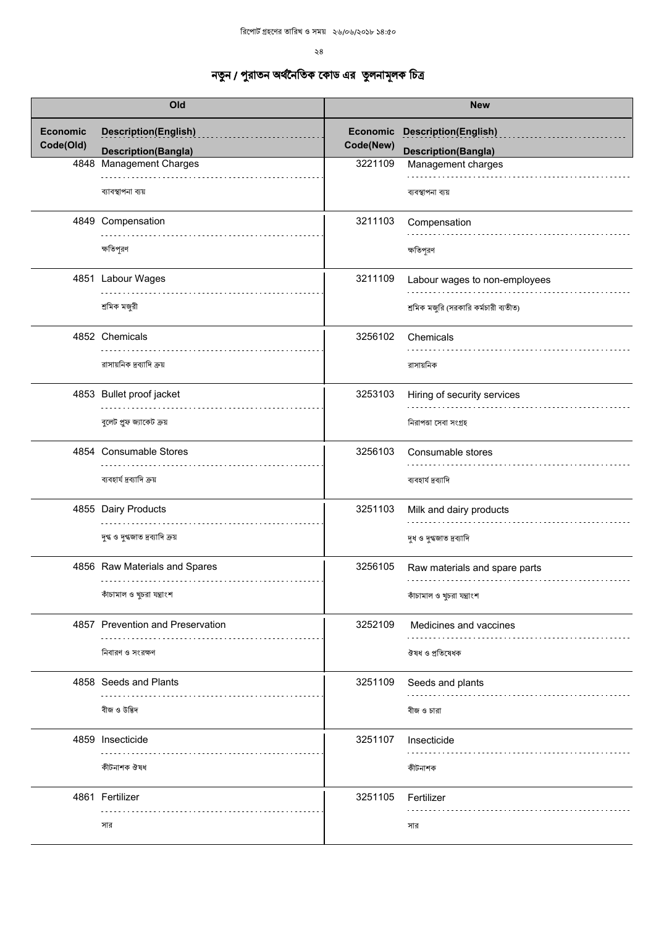$\geqslant8$ 

| Old                          |                                                           | <b>New</b>            |                                                           |
|------------------------------|-----------------------------------------------------------|-----------------------|-----------------------------------------------------------|
| <b>Economic</b><br>Code(Old) | <b>Description(English)</b><br><b>Description(Bangla)</b> | Economic<br>Code(New) | <b>Description(English)</b><br><b>Description(Bangla)</b> |
| 4848                         | <b>Management Charges</b>                                 | 3221109               | Management charges                                        |
|                              | ব্যাবস্থাপনা ব্যয়                                        |                       | ব্যবস্থাপনা ব্যয়                                         |
|                              | 4849 Compensation                                         | 3211103               | Compensation                                              |
|                              | ক্ষতিপূরণ                                                 |                       | ক্ষতিপূরণ                                                 |
|                              | 4851 Labour Wages                                         | 3211109               | Labour wages to non-employees                             |
|                              | শ্ৰমিক মজুরী                                              |                       | শ্রমিক মজুরি (সরকারি কর্মচারী ব্যতীত)                     |
|                              | 4852 Chemicals                                            | 3256102               | Chemicals                                                 |
|                              | রাসায়নিক দ্রব্যাদি ক্রয়                                 |                       | রাসায়নিক                                                 |
|                              | 4853 Bullet proof jacket                                  | 3253103               | Hiring of security services                               |
|                              | বুলেট প্রুফ জ্যাকেট ক্রয়                                 |                       | নিরাপতা সেবা সংগ্রহ                                       |
|                              | 4854 Consumable Stores                                    | 3256103               | Consumable stores                                         |
|                              | ব্যবহার্য দ্রব্যাদি ক্রয়                                 |                       | ব্যবহার্য দ্রব্যাদি                                       |
|                              | 4855 Dairy Products                                       | 3251103               | Milk and dairy products                                   |
|                              | দুগ্ধ ও দুগ্ধজাত দ্রব্যাদি ক্রয়                          |                       | দুধ ও দুগ্ধজাত দ্রব্যাদি                                  |
|                              | 4856 Raw Materials and Spares                             | 3256105               | Raw materials and spare parts                             |
|                              | কাঁচামাল ও খুচরা যন্ত্রাংশ                                |                       | কাঁচামাল ও খুচরা যন্ত্রাংশ                                |
|                              | 4857 Prevention and Preservation                          | 3252109               | Medicines and vaccines                                    |
|                              | নিবারণ ও সংরক্ষণ                                          |                       | ঔষধ ও প্ৰতিষেধক                                           |
|                              | 4858 Seeds and Plants                                     | 3251109               | Seeds and plants                                          |
|                              | বীজ ও উদ্ভিদ                                              |                       | বীজ ও চারা                                                |
|                              | 4859 Insecticide                                          | 3251107               | Insecticide                                               |
|                              | কীটনাশক ঔষধ                                               |                       | কীটনাশক                                                   |
|                              | 4861 Fertilizer                                           | 3251105               | Fertilizer                                                |
|                              | সার                                                       |                       | সার                                                       |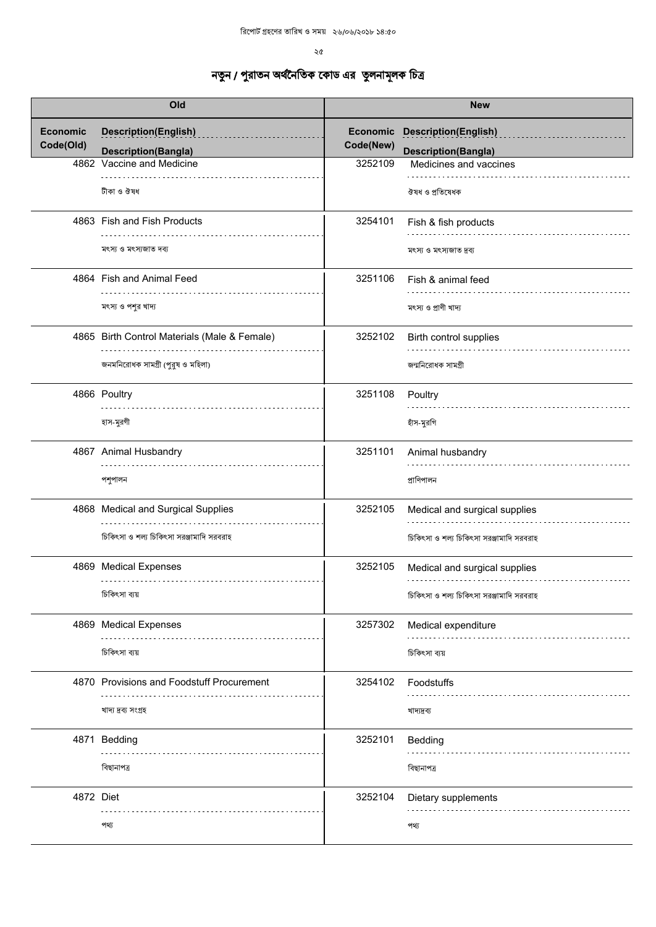|                 | Old                                          |                 | <b>New</b>                               |
|-----------------|----------------------------------------------|-----------------|------------------------------------------|
| <b>Economic</b> | <b>Description(English)</b>                  | <b>Economic</b> | <b>Description(English)</b>              |
| Code(Old)       | <b>Description(Bangla)</b>                   | Code(New)       | <b>Description(Bangla)</b>               |
|                 | 4862 Vaccine and Medicine                    | 3252109         | Medicines and vaccines                   |
|                 | .<br>টীকা ও ঔষধ                              |                 | .<br>ঔষধ ও প্ৰতিষেধক                     |
|                 | 4863 Fish and Fish Products                  | 3254101         | Fish & fish products                     |
|                 | মৎস্য ও মৎস্যজাত দব্য                        |                 | মৎস্য ও মৎস্যজাত দ্ৰব্য                  |
|                 | 4864 Fish and Animal Feed                    | 3251106         | Fish & animal feed                       |
|                 |                                              |                 |                                          |
|                 | মৎস্য ও পশুর খাদ্য                           |                 | মৎস্য ও প্ৰাণী খাদ্য                     |
|                 | 4865 Birth Control Materials (Male & Female) | 3252102         | Birth control supplies                   |
|                 | জনমনিরোধক সামগ্রী (পুরুষ ও মহিলা)            |                 | জন্মনিরোধক সামগ্রী                       |
|                 |                                              |                 |                                          |
|                 | 4866 Poultry                                 | 3251108         | Poultry                                  |
|                 | হাস-মুরগী                                    |                 | হাঁস-মুরগি                               |
|                 | 4867 Animal Husbandry                        | 3251101         | Animal husbandry                         |
|                 | পশুপালন                                      |                 | প্রাণিপালন                               |
|                 | 4868 Medical and Surgical Supplies           | 3252105         | Medical and surgical supplies            |
|                 | চিকিৎসা ও শল্য চিকিৎসা সরঞ্জামাদি সরবরাহ     |                 | চিকিৎসা ও শল্য চিকিৎসা সরঞ্জামাদি সরবরাহ |
|                 | 4869 Medical Expenses<br>.                   | 3252105         | Medical and surgical supplies            |
|                 | চিকিৎসা ব্যয়                                |                 | চিকিৎসা ও শল্য চিকিৎসা সরঞ্জামাদি সরবরাহ |
|                 | 4869 Medical Expenses                        | 3257302         | Medical expenditure                      |
|                 | চিকিৎসা ব্যয়                                |                 | চিকিৎসা ব্যয়                            |
|                 | 4870 Provisions and Foodstuff Procurement    | 3254102         | Foodstuffs                               |
|                 | খাদ্য দ্রব্য সংগ্রহ                          |                 | খাদ্যদ্ৰব্য                              |
|                 | 4871 Bedding                                 | 3252101         | Bedding                                  |
|                 | বিছানাপত্ৰ                                   |                 | বিছানাপত্ৰ                               |
| 4872 Diet       |                                              | 3252104         | Dietary supplements                      |
|                 |                                              |                 |                                          |
|                 | পথ্য                                         |                 | পথ্য                                     |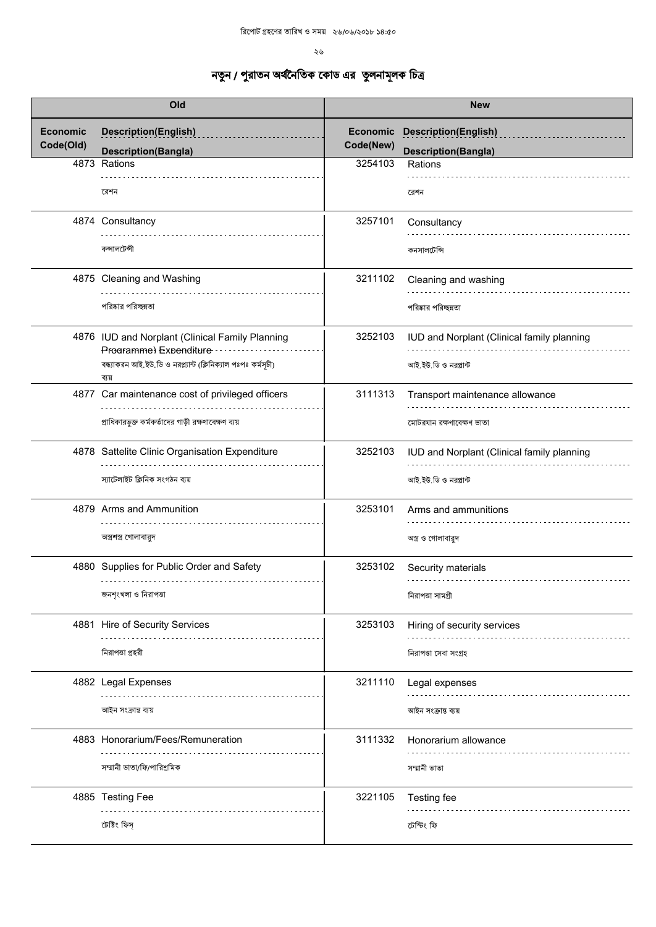| Old                          |                                                                           | <b>New</b>                   |                                                           |
|------------------------------|---------------------------------------------------------------------------|------------------------------|-----------------------------------------------------------|
| <b>Economic</b><br>Code(Old) | <b>Description(English)</b><br><b>Description(Bangla)</b>                 | <b>Economic</b><br>Code(New) | <b>Description(English)</b><br><b>Description(Bangla)</b> |
|                              | 4873 Rations                                                              | 3254103                      | Rations                                                   |
|                              | রেশন                                                                      |                              | রেশন                                                      |
|                              | 4874 Consultancy                                                          | 3257101                      | Consultancy                                               |
|                              | কন্সালটেন্সী                                                              |                              | কনসালটেন্সি                                               |
|                              | 4875 Cleaning and Washing                                                 | 3211102                      | Cleaning and washing                                      |
|                              | পরিষ্কার পরিচ্ছন্নতা                                                      |                              | পরিষ্কার পরিচ্ছন্নতা                                      |
|                              | 4876 IUD and Norplant (Clinical Family Planning<br>Programme) Expenditure | 3252103                      | IUD and Norplant (Clinical family planning                |
|                              | বন্ধ্যাকরন আই.ইউ.ডি ও নরপ্ল্যান্ট (ক্লিনিক্যাল পঃপঃ কর্মসূচী)<br>ব্যয়    |                              | আই.ইউ.ডি ও নরপ্লান্ট                                      |
|                              | 4877 Car maintenance cost of privileged officers                          | 3111313                      | Transport maintenance allowance                           |
|                              | প্রাধিকারভুক্ত কর্মকর্তাদের গাড়ী রক্ষণাবেক্ষণ ব্যয়                      |                              | মোটরযান রক্ষণাবেক্ষণ ভাতা                                 |
|                              | 4878 Sattelite Clinic Organisation Expenditure                            | 3252103                      | IUD and Norplant (Clinical family planning                |
|                              | স্যাটেলাইট ক্লিনিক সংগঠন ব্যয়                                            |                              | আই.ইউ.ডি ও নরপ্লান্ট                                      |
|                              | 4879 Arms and Ammunition                                                  | 3253101                      | Arms and ammunitions                                      |
|                              | অস্ত্রশস্ত্র গোলাবারুদ                                                    |                              | অস্ত্র ও গোলাবারুদ                                        |
|                              | 4880 Supplies for Public Order and Safety                                 | 3253102                      | Security materials                                        |
|                              | জনশৃংখলা ও নিরাপতা                                                        |                              | নিরাপতা সামগ্রী                                           |
|                              | 4881 Hire of Security Services                                            | 3253103                      | Hiring of security services                               |
|                              | নিরাপতা প্রহরী                                                            |                              | নিরাপতা সেবা সংগ্রহ                                       |
|                              | 4882 Legal Expenses                                                       | 3211110                      | Legal expenses                                            |
|                              | আইন সংক্ৰান্ত ব্যয়                                                       |                              | আইন সংক্ৰান্ত ব্যয়                                       |
|                              | 4883 Honorarium/Fees/Remuneration                                         | 3111332                      | Honorarium allowance                                      |
|                              | সম্মানী ভাতা/ফি/পারিশ্রমিক                                                |                              | সম্মানী ভাতা                                              |
|                              | 4885 Testing Fee                                                          | 3221105                      | Testing fee                                               |
|                              | টেষ্টিং ফিস্                                                              |                              | টেস্টিং ফি                                                |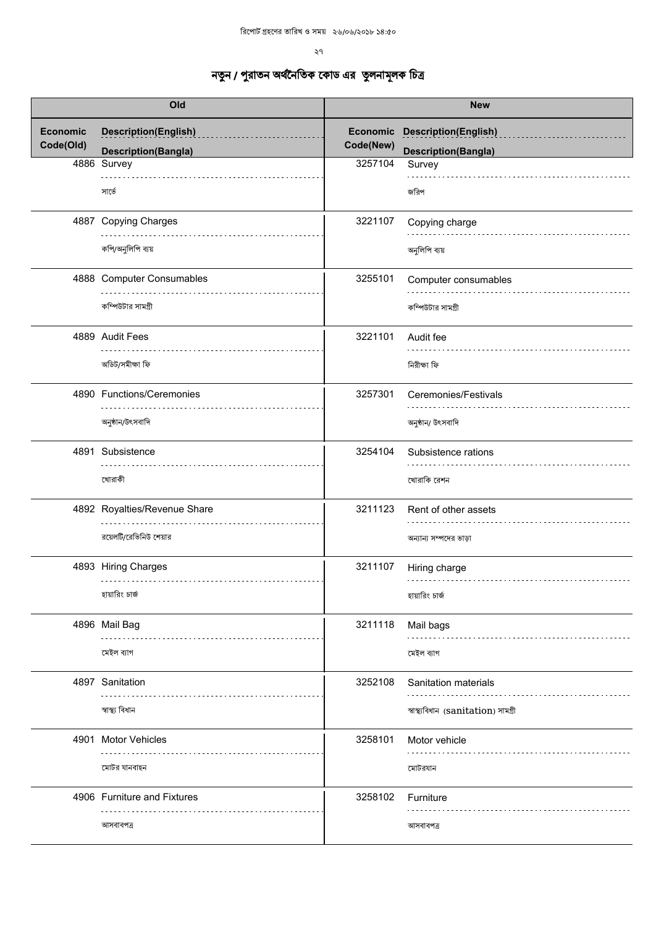| Old                          |                                                           | <b>New</b>            |                                                             |
|------------------------------|-----------------------------------------------------------|-----------------------|-------------------------------------------------------------|
| <b>Economic</b><br>Code(Old) | <b>Description(English)</b><br><b>Description(Bangla)</b> | Economic<br>Code(New) | <b>Description(English)</b><br><b>Description(Bangla)</b>   |
|                              | 4886 Survey<br>সার্ভে                                     | 3257104               | Survey<br>জরিপ                                              |
|                              | 4887 Copying Charges<br>কপি/অনুলিপি ব্যয়                 | 3221107               | Copying charge<br>অনুলিপি ব্যয়                             |
|                              | 4888 Computer Consumables<br>কম্পিউটার সামগ্রী            | 3255101               | Computer consumables<br>কম্পিউটার সামগ্রী                   |
|                              | 4889 Audit Fees<br>অডিট/সমীক্ষা ফি                        | 3221101               | Audit fee<br>নিরীক্ষা ফি                                    |
|                              | 4890 Functions/Ceremonies<br>অনুষ্ঠান/উৎসবাদি             | 3257301               | Ceremonies/Festivals<br>অনুষ্ঠান/ উৎসবাদি                   |
|                              | 4891 Subsistence<br>খোরাকী                                | 3254104               | Subsistence rations<br>খোরাকি রেশন                          |
|                              | 4892 Royalties/Revenue Share<br>রয়েলটি/রেভিনিউ শেয়ার    | 3211123               | Rent of other assets<br>অন্যান্য সম্পদের ভাড়া              |
|                              | 4893 Hiring Charges<br>.<br>হায়ারিং চার্জ                | 3211107               | Hiring charge<br>হায়ারিং চার্জ                             |
|                              | 4896 Mail Bag<br>মেইল ব্যাগ                               | 3211118               | Mail bags<br>মেইল ব্যাগ                                     |
|                              | 4897 Sanitation<br>স্বাস্থ্য বিধান                        | 3252108               | Sanitation materials<br>স্বাস্থ্যবিধান (sanitation) সামগ্ৰী |
|                              | 4901 Motor Vehicles<br>মোটর যানবাহন                       | 3258101               | Motor vehicle<br>মোটরযান                                    |
|                              | 4906 Furniture and Fixtures<br>আসবাবপত্ৰ                  | 3258102               | Furniture<br>আসবাবপত্ৰ                                      |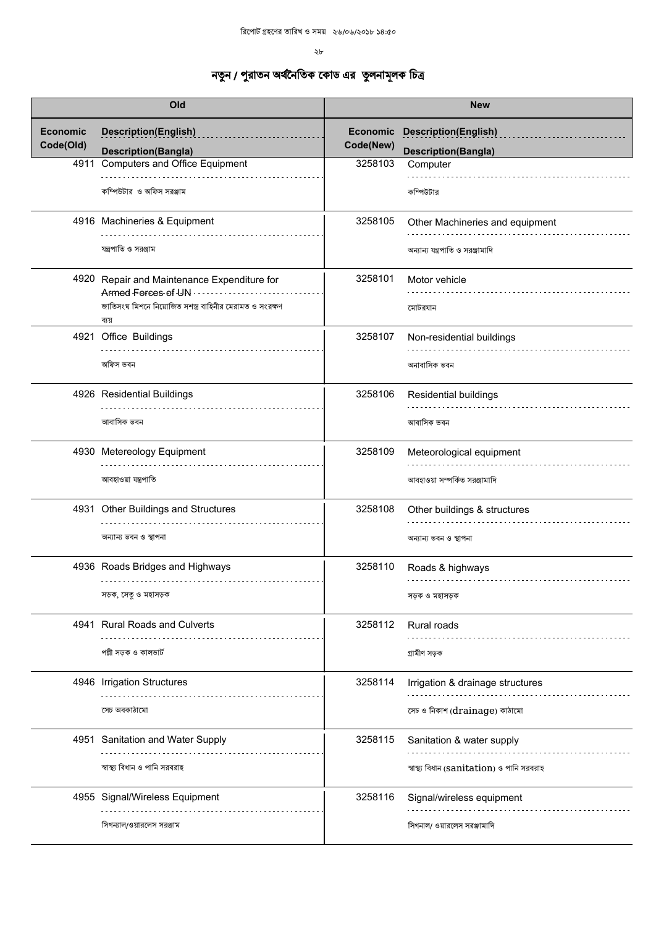$\lambda$ 

| Old                          |                                                                   | <b>New</b> |                                            |
|------------------------------|-------------------------------------------------------------------|------------|--------------------------------------------|
| <b>Economic</b><br>Code(Old) | <b>Description(English)</b>                                       | Code(New)  | <b>Economic Description(English)</b>       |
|                              | <b>Description(Bangla)</b>                                        |            | <b>Description(Bangla)</b>                 |
| 4911                         | <b>Computers and Office Equipment</b>                             | 3258103    | Computer                                   |
|                              | কম্পিউটার ও অফিস সরঞ্জাম                                          |            | কম্পিউটার                                  |
|                              | 4916 Machineries & Equipment                                      | 3258105    | Other Machineries and equipment            |
|                              | যন্ত্রপাতি ও সরঞ্জাম                                              |            | অন্যান্য যন্ত্রপাতি ও সরঞ্জামাদি           |
|                              | 4920 Repair and Maintenance Expenditure for<br>Armed Forces of UN | 3258101    | Motor vehicle                              |
|                              | জাতিসংঘ মিশনে নিয়োজিত সশস্ত্র বাহিনীর মেরামত ও সংরক্ষণ<br>ব্যয়  |            | মোটরযান                                    |
|                              | 4921 Office Buildings                                             | 3258107    | Non-residential buildings                  |
|                              | অফিস ভবন                                                          |            | অনাবাসিক ভবন                               |
|                              | 4926 Residential Buildings                                        | 3258106    | <b>Residential buildings</b>               |
|                              | আবাসিক ভবন                                                        |            | আবাসিক ভবন                                 |
|                              | 4930 Metereology Equipment                                        | 3258109    | Meteorological equipment                   |
|                              | আবহাওয়া যন্ত্রপাতি                                               |            | আবহাওয়া সম্পর্কিত সরঞ্জামাদি              |
|                              | 4931 Other Buildings and Structures                               | 3258108    | Other buildings & structures               |
|                              | অন্যান্য ভবন ও স্থাপনা                                            |            | অন্যান্য ভবন ও স্থাপনা                     |
|                              | 4936 Roads Bridges and Highways                                   | 3258110    | Roads & highways                           |
|                              | সড়ক, সেতু ও মহাসড়ক                                              |            | সড়ক ও মহাসড়ক                             |
|                              | 4941 Rural Roads and Culverts                                     | 3258112    | Rural roads                                |
|                              | পল্লী সড়ক ও কালভার্ট                                             |            | গ্ৰামীণ সড়ক                               |
|                              | 4946 Irrigation Structures                                        | 3258114    | Irrigation & drainage structures           |
|                              | সেচ অবকাঠামো                                                      |            | সেচ ও নিকাশ (drainage) কাঠামো              |
|                              | 4951 Sanitation and Water Supply                                  | 3258115    | Sanitation & water supply                  |
|                              | স্বাস্থ্য বিধান ও পানি সরবরাহ                                     |            | স্বাস্থ্য বিধান (sanitation) ও পানি সরবরাহ |
|                              | 4955 Signal/Wireless Equipment                                    | 3258116    | Signal/wireless equipment                  |
|                              |                                                                   |            |                                            |
|                              | সিগন্যাল/ওয়ারলেস সরঞ্জাম                                         |            | সিগনাল/ ওয়ারলেস সরঞ্জামাদি                |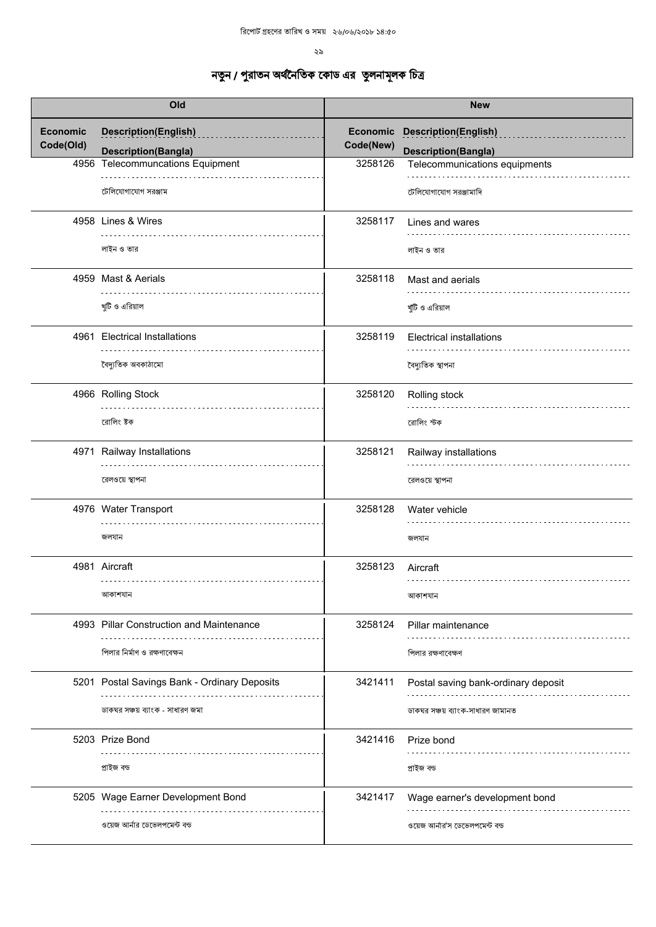| Old                          |                                              | <b>New</b>            |                                     |
|------------------------------|----------------------------------------------|-----------------------|-------------------------------------|
| <b>Economic</b><br>Code(Old) | <b>Description(English)</b>                  | Economic<br>Code(New) | <b>Description(English)</b>         |
|                              | <b>Description(Bangla)</b>                   |                       | <b>Description(Bangla)</b>          |
|                              | 4956 Telecommuncations Equipment             | 3258126               | Telecommunications equipments       |
|                              | টেলিযোগাযোগ সরঞ্জাম                          |                       | টেলিযোগাযোগ সরঞ্জামাদি              |
|                              | 4958 Lines & Wires                           | 3258117               | Lines and wares                     |
|                              | লাইন ও তার                                   |                       | লাইন ও তার                          |
|                              | 4959 Mast & Aerials                          | 3258118               | Mast and aerials                    |
|                              | খুটি ও এরিয়াল                               |                       | খুঁটি ও এরিয়াল                     |
|                              | 4961 Electrical Installations                | 3258119               | <b>Electrical installations</b>     |
|                              | বৈদ্যুতিক অবকাঠামো                           |                       | বৈদ্যুতিক স্থাপনা                   |
|                              | 4966 Rolling Stock                           | 3258120               | Rolling stock                       |
|                              | রোলিং ষ্টক                                   |                       | রোলিং স্টক                          |
|                              | 4971 Railway Installations                   | 3258121               | Railway installations               |
|                              | রেলওয়ে স্থাপনা                              |                       | রেলওয়ে স্থাপনা                     |
|                              | 4976 Water Transport                         | 3258128               | Water vehicle                       |
|                              | জলযান                                        |                       | জলযান                               |
|                              | 4981 Aircraft                                | 3258123               | Aircraft                            |
|                              | আকাশযান                                      |                       | আকাশযান                             |
|                              | 4993 Pillar Construction and Maintenance     | 3258124               | Pillar maintenance                  |
|                              | পিলার নির্মাণ ও রক্ষণাবেক্ষন                 |                       | পিলার রক্ষণাবেক্ষণ                  |
|                              | 5201 Postal Savings Bank - Ordinary Deposits | 3421411               | Postal saving bank-ordinary deposit |
|                              | ডাকঘর সঞ্চয় ব্যাংক - সাধারণ জমা             |                       | ডাকঘর সঞ্চয় ব্যাংক-সাধারণ জামানত   |
|                              | 5203 Prize Bond                              | 3421416               | Prize bond                          |
|                              | প্ৰাইজ বন্ড                                  |                       | প্ৰাইজ বন্ড                         |
|                              | 5205 Wage Earner Development Bond            | 3421417               | Wage earner's development bond      |
|                              | ওয়েজ আর্নার ডেভেলপমেন্ট বন্ড                |                       | ওয়েজ আর্নার'স ডেভেলপমেন্ট বন্ড     |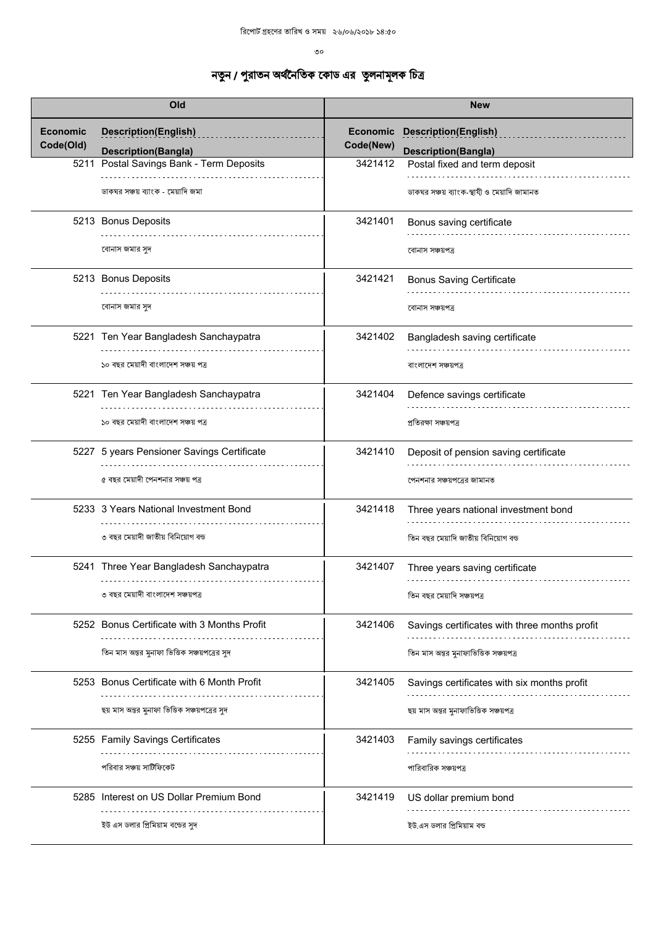$\circ$ 

| Old                          |                                                           | <b>New</b>                   |                                                           |
|------------------------------|-----------------------------------------------------------|------------------------------|-----------------------------------------------------------|
| <b>Economic</b><br>Code(Old) | <b>Description(English)</b><br><b>Description(Bangla)</b> | <b>Economic</b><br>Code(New) | <b>Description(English)</b><br><b>Description(Bangla)</b> |
| 5211                         | Postal Savings Bank - Term Deposits                       | 3421412                      | Postal fixed and term deposit                             |
|                              | ডাকঘর সঞ্চয় ব্যাংক - মেয়াদি জমা                         |                              | ডাকঘর সঞ্চয় ব্যাংক-স্থাযী ও মেয়াদি জামানত               |
|                              | 5213 Bonus Deposits                                       | 3421401                      | Bonus saving certificate                                  |
|                              | বোনাস জমার সুদ                                            |                              | বোনাস সঞ্চয়পত্ৰ                                          |
|                              | 5213 Bonus Deposits                                       | 3421421                      | <b>Bonus Saving Certificate</b>                           |
|                              | বোনাস জমার সুদ                                            |                              | বোনাস সঞ্চয়পত্ৰ                                          |
|                              | 5221 Ten Year Bangladesh Sanchaypatra                     | 3421402                      | Bangladesh saving certificate                             |
|                              | ১০ বছর মেয়াদী বাংলাদেশ সঞ্চয় পত্র                       |                              | বাংলাদেশ সঞ্চয়পত্ৰ                                       |
|                              | 5221 Ten Year Bangladesh Sanchaypatra                     | 3421404                      | Defence savings certificate                               |
|                              | ১০ বছর মেয়াদী বাংলাদেশ সঞ্চয় পত্র                       |                              | প্ৰতিরক্ষা সঞ্চয়পত্ৰ                                     |
|                              | 5227 5 years Pensioner Savings Certificate                | 3421410                      | Deposit of pension saving certificate                     |
|                              | ৫ বছর মেয়াদী পেনশনার সঞ্চয় পত্র                         |                              | পেনশনার সঞ্চয়পত্রের জামানত                               |
|                              | 5233 3 Years National Investment Bond                     | 3421418                      | Three years national investment bond                      |
|                              | ৩ বছর মেয়াদী জাতীয় বিনিয়োগ বন্ড                        |                              | তিন বছর মেয়াদি জাতীয় বিনিয়োগ বন্ড                      |
|                              | 5241 Three Year Bangladesh Sanchaypatra                   | 3421407                      | Three years saving certificate                            |
|                              | ৩ বছর মেয়াদী বাংলাদেশ সঞ্চয়পত্র                         |                              | তিন বছর মেয়াদি সঞ্চয়পত্র                                |
|                              | 5252 Bonus Certificate with 3 Months Profit               | 3421406                      | Savings certificates with three months profit             |
|                              | তিন মাস অন্তর মুনাফা ভিত্তিক সঞ্চয়পত্রের সুদ             |                              | তিন মাস অন্তর মুনাফাভিত্তিক সঞ্চয়পত্র                    |
|                              | 5253 Bonus Certificate with 6 Month Profit                | 3421405                      | Savings certificates with six months profit               |
|                              | ছয় মাস অন্তর মুনাফা ভিত্তিক সঞ্চয়পত্রের সুদ             |                              | ছয় মাস অন্তর মুনাফাভিত্তিক সঞ্চয়পত্র                    |
|                              | 5255 Family Savings Certificates                          | 3421403                      | Family savings certificates                               |
|                              | পরিবার সঞ্চয় সার্টিফিকেট                                 |                              | পারিবারিক সঞ্চয়পত্র                                      |
|                              | 5285 Interest on US Dollar Premium Bond                   | 3421419                      | US dollar premium bond                                    |
|                              | ইউ এস ডলার প্রিমিয়াম বন্ডের সুদ                          |                              | ইউ.এস ডলার প্রিমিয়াম বন্ড                                |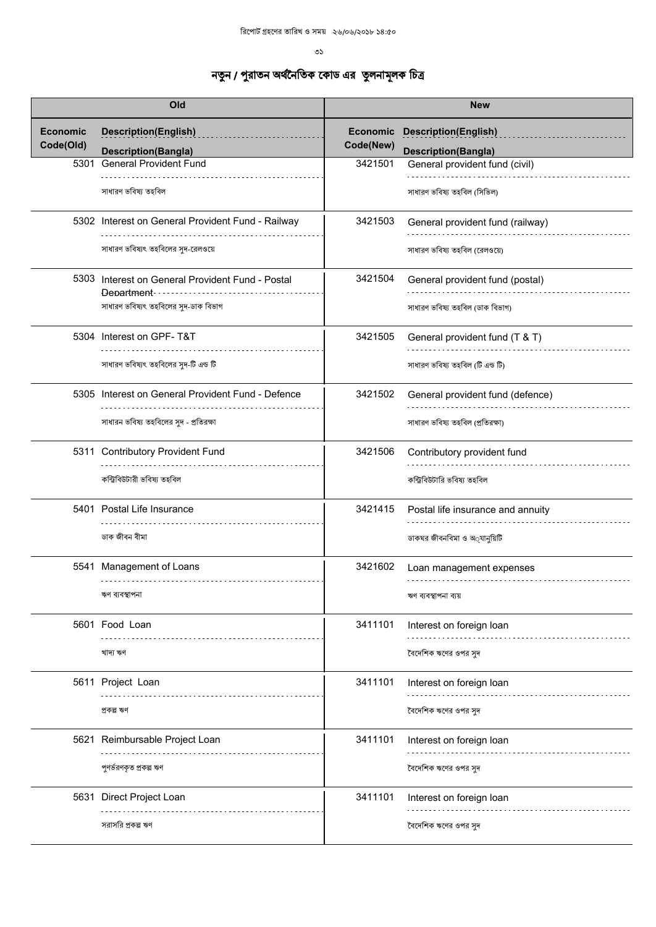లు

| Old                          |                                                                | <b>New</b>                   |                                   |
|------------------------------|----------------------------------------------------------------|------------------------------|-----------------------------------|
| <b>Economic</b><br>Code(Old) | <b>Description(English)</b>                                    | <b>Economic</b><br>Code(New) | <b>Description(English)</b>       |
|                              | <b>Description(Bangla)</b>                                     |                              | <b>Description(Bangla)</b>        |
| 5301                         | <b>General Provident Fund</b>                                  | 3421501                      | General provident fund (civil)    |
|                              | সাধারণ ভবিষ্য তহবিল                                            |                              | সাধারণ ভবিষ্য তহবিল (সিভিল)       |
|                              | 5302 Interest on General Provident Fund - Railway              | 3421503                      | General provident fund (railway)  |
|                              | সাধারণ ভবিষ্যৎ তহবিলের সুদ-রেলওয়ে                             |                              | সাধারণ ভবিষ্য তহবিল (রেলওয়ে)     |
|                              | 5303 Interest on General Provident Fund - Postal<br>Department | 3421504                      | General provident fund (postal)   |
|                              | সাধারণ ভবিষ্যৎ তহবিলের সুদ-ডাক বিভাগ                           |                              | সাধারণ ভবিষ্য তহবিল (ডাক বিভাগ)   |
|                              | 5304 Interest on GPF-T&T                                       | 3421505                      | General provident fund (T & T)    |
|                              | সাধারণ ভবিষ্যৎ তহবিলের সুদ-টি এন্ড টি                          |                              | সাধারণ ভবিষ্য তহবিল (টি এন্ড টি)  |
|                              | 5305 Interest on General Provident Fund - Defence              | 3421502                      | General provident fund (defence)  |
|                              | সাধারন ভবিষ্য তহবিলের সুদ - প্রতিরক্ষা                         |                              | সাধারণ ভবিষ্য তহবিল (প্রতিরক্ষা)  |
|                              | 5311 Contributory Provident Fund                               | 3421506                      | Contributory provident fund       |
|                              | কন্ট্ৰিবিউটারী ভবিষ্য তহবিল                                    |                              | কন্ট্রিবিউটারি ভবিষ্য তহবিল       |
|                              | 5401 Postal Life Insurance                                     | 3421415                      | Postal life insurance and annuity |
|                              | ডাক জীবন বীমা                                                  |                              | ডাকঘর জীবনবিমা ও অ্যানুয়িটি      |
|                              | 5541 Management of Loans<br>.                                  | 3421602                      | Loan management expenses          |
|                              | ঋণ ব্যবস্থাপনা                                                 |                              | ঋণ ব্যবস্থাপনা ব্যয়              |
|                              | 5601 Food Loan                                                 | 3411101                      | Interest on foreign loan          |
|                              | খাদ্য ঋণ                                                       |                              | বৈদেশিক ঋণের ওপর সুদ              |
|                              | 5611 Project Loan                                              | 3411101                      | Interest on foreign loan          |
|                              | প্ৰকল্প ঋণ                                                     |                              | বৈদেশিক ঋণের ওপর সদ               |
|                              | 5621 Reimbursable Project Loan                                 | 3411101                      | Interest on foreign loan          |
|                              | পুণর্ভরণকৃত প্রকল্প ঋণ                                         |                              | বৈদেশিক ঋণের ওপর সুদ              |
|                              | 5631 Direct Project Loan                                       | 3411101                      | Interest on foreign loan          |
|                              | সরাসরি প্রকল্প ঋণ                                              |                              | বৈদেশিক ঋণের ওপর সুদ              |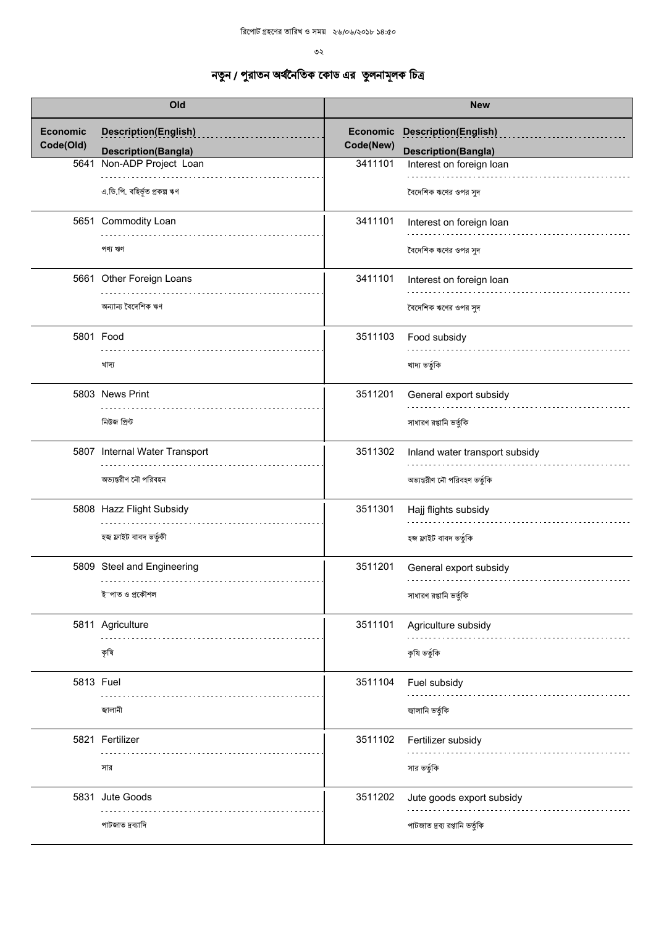$5^{\circ}$ 

| Old                          |                                 | <b>New</b>                   |                                |
|------------------------------|---------------------------------|------------------------------|--------------------------------|
| <b>Economic</b><br>Code(Old) | <b>Description(English)</b>     | <b>Economic</b><br>Code(New) | <b>Description(English)</b>    |
|                              | <b>Description(Bangla)</b>      |                              | <b>Description(Bangla)</b>     |
| 5641                         | Non-ADP Project Loan            | 3411101                      | Interest on foreign loan       |
|                              | এ.ডি.পি. বহির্ভূত প্রকল্প ঋণ    |                              | বৈদেশিক ঋণের ওপর সুদ           |
|                              | 5651 Commodity Loan             | 3411101                      | Interest on foreign loan       |
|                              | পণ্য ঋণ                         |                              | বৈদেশিক ঋণের ওপর সুদ           |
|                              | 5661 Other Foreign Loans        | 3411101                      | Interest on foreign loan       |
|                              | অন্যান্য বৈদেশিক ঋণ             |                              | বৈদেশিক ঋণের ওপর সুদ           |
|                              | 5801 Food                       | 3511103                      | Food subsidy                   |
|                              | খাদ্য                           |                              | খাদ্য ভৰ্তুকি                  |
|                              | 5803 News Print                 | 3511201                      | General export subsidy         |
|                              | নিউজ প্ৰিন্ট                    |                              | সাধারণ রপ্তানি ভর্তুকি         |
|                              | 5807 Internal Water Transport   | 3511302                      | Inland water transport subsidy |
|                              | অভ্যন্তরীণ নৌ পরিবহন            |                              | অভ্যন্তরীণ নৌ পরিবহণ ভর্তুকি   |
|                              | 5808 Hazz Flight Subsidy        | 3511301                      | Hajj flights subsidy           |
|                              | হজ্ব ফ্লাইট বাবদ ভৰ্তুকী        |                              | হজ ফ্লাইট বাবদ ভৰ্তুকি         |
|                              | 5809 Steel and Engineering<br>. | 3511201                      | General export subsidy         |
|                              | ইস্পাত ও প্রকৌশল                |                              | সাধারণ রপ্তানি ভর্তুকি         |
|                              | 5811 Agriculture                | 3511101                      | Agriculture subsidy            |
|                              | কৃষি                            |                              | কৃষি ভৰ্তুকি                   |
| 5813 Fuel                    |                                 | 3511104                      | Fuel subsidy                   |
|                              | জ্বালানী                        |                              | জ্বালানি ভর্তুকি               |
|                              | 5821 Fertilizer                 | 3511102                      | Fertilizer subsidy             |
|                              | সার                             |                              | সার ভর্তুকি                    |
|                              | 5831 Jute Goods                 | 3511202                      | Jute goods export subsidy      |
|                              | পাটজাত দ্রব্যাদি                |                              | পাটজাত দ্রব্য রপ্তানি ভর্তুকি  |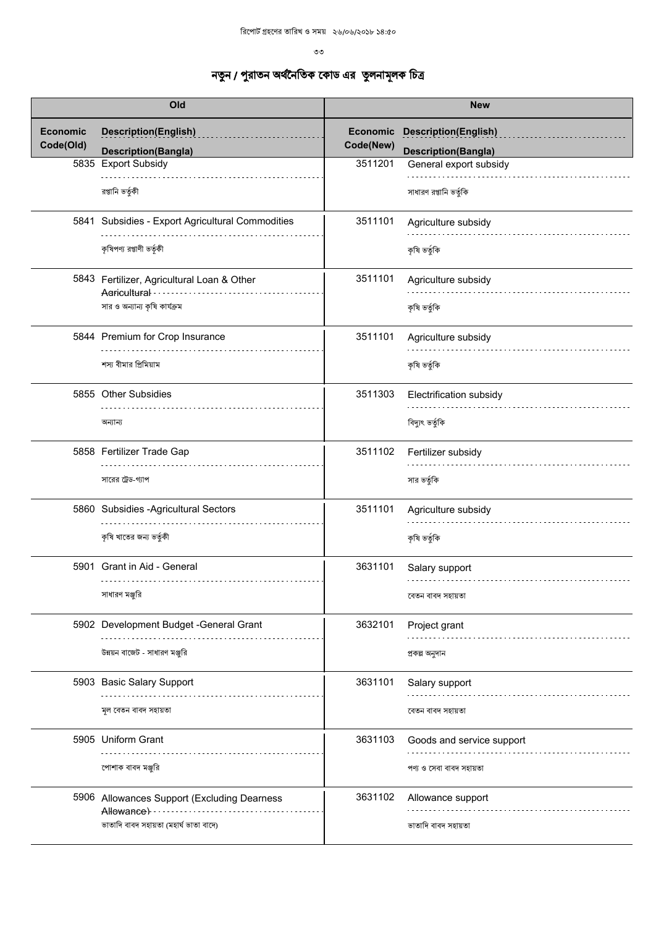$3<sup>5</sup>$ 

| Old                          |                                                            |                              | <b>New</b>                                           |
|------------------------------|------------------------------------------------------------|------------------------------|------------------------------------------------------|
| <b>Economic</b><br>Code(Old) | <b>Description(English)</b>                                | <b>Economic</b><br>Code(New) | <b>Description(English)</b>                          |
|                              | <b>Description(Bangla)</b><br>5835 Export Subsidy          | 3511201                      | <b>Description(Bangla)</b><br>General export subsidy |
|                              | রপ্তানি ভর্তুকী                                            |                              | সাধারণ রপ্তানি ভর্তুকি                               |
|                              | 5841 Subsidies - Export Agricultural Commodities           | 3511101                      | Agriculture subsidy                                  |
|                              | কৃষিপণ্য রপ্তাণী ভর্তৃকী                                   |                              | কৃষি ভৰ্তুকি                                         |
|                              | 5843 Fertilizer, Agricultural Loan & Other<br>Adricultural | 3511101                      | Agriculture subsidy                                  |
|                              | সার ও অন্যান্য কৃষি কার্যক্রম                              |                              | কৃষি ভৰ্তুকি                                         |
|                              | 5844 Premium for Crop Insurance                            | 3511101                      | Agriculture subsidy                                  |
|                              | শস্য বীমার প্রিমিয়াম                                      |                              | কৃষি ভৰ্তুকি                                         |
|                              | 5855 Other Subsidies                                       | 3511303                      | Electrification subsidy                              |
|                              | অন্যান্য                                                   |                              | বিদ্যুৎ ভৰ্তুকি                                      |
|                              | 5858 Fertilizer Trade Gap                                  | 3511102                      | Fertilizer subsidy                                   |
|                              | সারের ট্রেড-গ্যাপ                                          |                              | সার ভর্তুকি                                          |
|                              | 5860 Subsidies - Agricultural Sectors                      | 3511101                      | Agriculture subsidy                                  |
|                              | কৃষি খাতের জন্য ভর্তুকী                                    |                              | কৃষি ভৰ্তুকি                                         |
|                              | 5901 Grant in Aid - General                                | 3631101                      | Salary support                                       |
|                              | সাধারণ মঞ্জুরি                                             |                              | বেতন বাবদ সহায়তা                                    |
|                              | 5902 Development Budget -General Grant                     | 3632101                      | Project grant                                        |
|                              | উন্নয়ন বাজেট - সাধারণ মঞ্জুরি                             |                              | প্ৰকল্প অনুদান                                       |
|                              | 5903 Basic Salary Support                                  | 3631101                      | Salary support                                       |
|                              | মূল বেতন বাবদ সহায়তা                                      |                              | বেতন বাবদ সহায়তা                                    |
|                              | 5905 Uniform Grant                                         | 3631103                      | Goods and service support                            |
|                              | পোশাক বাবদ মঞ্জুরি                                         |                              | পণ্য ও সেবা বাবদ সহায়তা                             |
|                              | 5906 Allowances Support (Excluding Dearness<br>Allowance)  | 3631102                      | Allowance support                                    |
|                              | ভাতাদি বাবদ সহায়তা (মহাৰ্ঘ ভাতা বাদে)                     |                              | ভাতাদি বাবদ সহায়তা                                  |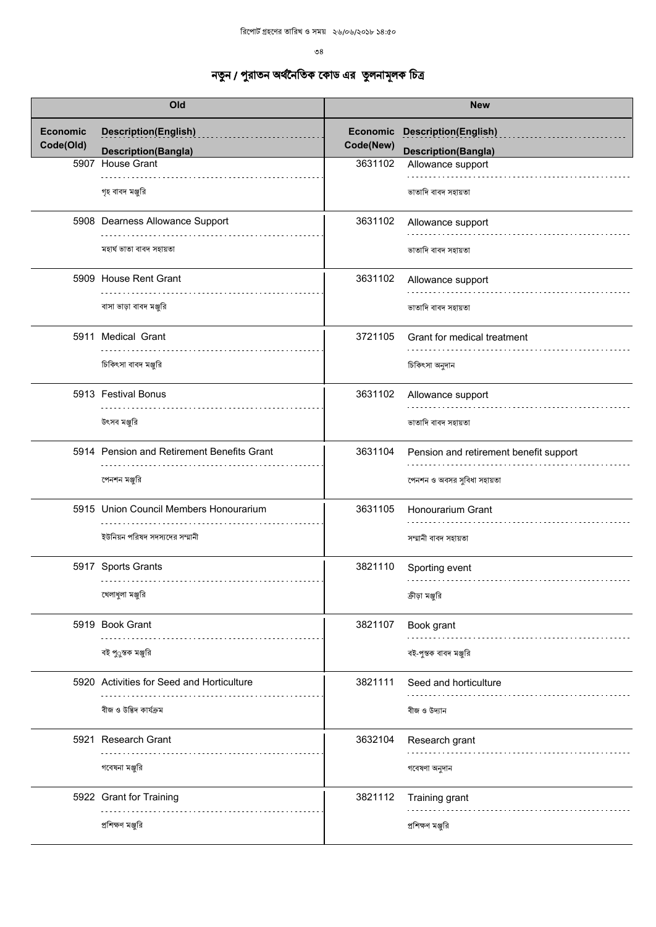$^{\circ}8$ 

|                 | Old                                        |           | <b>New</b>                             |
|-----------------|--------------------------------------------|-----------|----------------------------------------|
| <b>Economic</b> | <b>Description(English)</b>                | Economic  | <b>Description(English)</b>            |
| Code(Old)       | <b>Description(Bangla)</b>                 | Code(New) | <b>Description(Bangla)</b>             |
|                 | 5907 House Grant                           | 3631102   | Allowance support                      |
|                 | গৃহ বাবদ মঞ্জুরি                           |           | ভাতাদি বাবদ সহায়তা                    |
|                 | 5908 Dearness Allowance Support            | 3631102   | Allowance support                      |
|                 | মহাৰ্ঘ ভাতা বাবদ সহায়তা                   |           | ভাতাদি বাবদ সহায়তা                    |
|                 | 5909 House Rent Grant                      | 3631102   | Allowance support                      |
|                 | বাসা ভাড়া বাবদ মঞ্জুরি                    |           | ভাতাদি বাবদ সহায়তা                    |
|                 | 5911 Medical Grant                         | 3721105   | Grant for medical treatment            |
|                 | চিকিৎসা বাবদ মঞ্জুরি                       |           | চিকিৎসা অনুদান                         |
|                 | 5913 Festival Bonus                        | 3631102   | Allowance support                      |
|                 | উৎসব মঞ্জুরি                               |           | ভাতাদি বাবদ সহায়তা                    |
|                 | 5914 Pension and Retirement Benefits Grant | 3631104   | Pension and retirement benefit support |
|                 | পেনশন মঞ্জুরি                              |           | পেনশন ও অবসর সুবিধা সহায়তা            |
|                 | 5915 Union Council Members Honourarium     | 3631105   | Honourarium Grant                      |
|                 | ইউনিয়ন পরিষদ সদস্যদের সম্মানী             |           | সম্মানী বাবদ সহায়তা                   |
|                 | 5917 Sports Grants                         | 3821110   | Sporting event                         |
|                 | খেলাধুলা মঞ্জুরি                           |           | ক্রীড়া মঞ্জুরি                        |
|                 | 5919 Book Grant                            | 3821107   | Book grant                             |
|                 | বই পুুস্তক মঞ্জুরি                         |           | বই-পুস্তক বাবদ মঞ্জুরি                 |
|                 | 5920 Activities for Seed and Horticulture  | 3821111   | Seed and horticulture                  |
|                 | বীজ ও উদ্ভিদ কাৰ্যক্ৰম                     |           | বীজ ও উদ্যান                           |
|                 | 5921 Research Grant                        | 3632104   | Research grant                         |
|                 | গবেষনা মঞ্জুরি                             |           | গবেষণা অনুদান                          |
|                 | 5922 Grant for Training                    | 3821112   | Training grant                         |
|                 | প্রশিক্ষণ মঞ্জুরি                          |           | প্রশিক্ষণ মঞ্জুরি                      |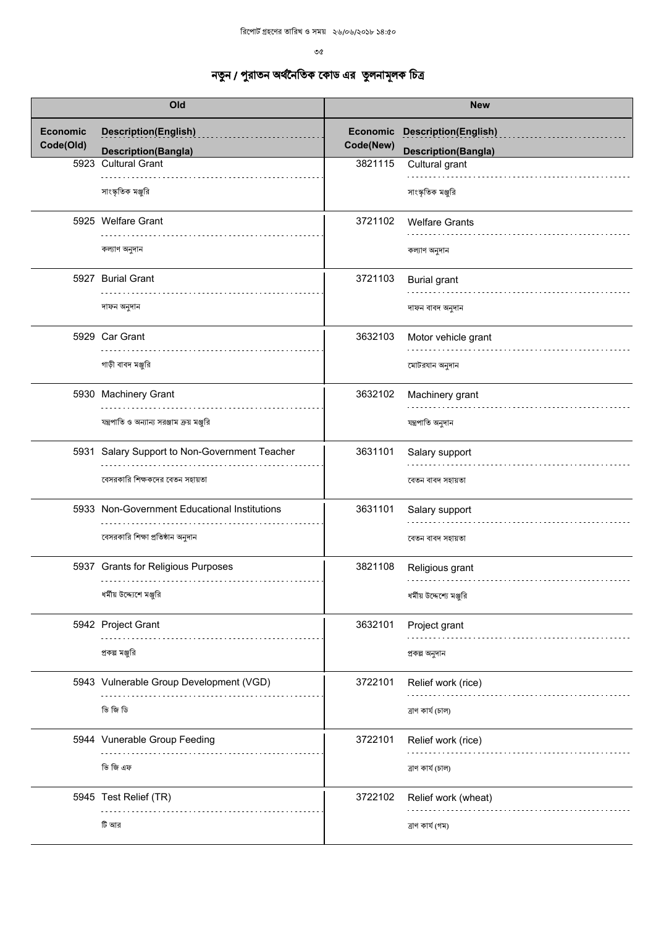$\mathcal{O}(\mathcal{C})$ 

| Old                          |                                                   | <b>New</b>                   |                                              |
|------------------------------|---------------------------------------------------|------------------------------|----------------------------------------------|
| <b>Economic</b><br>Code(Old) | <b>Description(English)</b>                       | <b>Economic</b><br>Code(New) | <b>Description(English)</b>                  |
|                              | <b>Description(Bangla)</b><br>5923 Cultural Grant | 3821115                      | <b>Description(Bangla)</b><br>Cultural grant |
|                              |                                                   |                              |                                              |
|                              | সাংস্কৃতিক মঞ্জুরি                                |                              | সাংস্কৃতিক মঞ্জুরি                           |
|                              | 5925 Welfare Grant                                | 3721102                      | <b>Welfare Grants</b>                        |
|                              | কল্যাণ অনুদান                                     |                              | কল্যাণ অনুদান                                |
|                              | 5927 Burial Grant                                 | 3721103                      | <b>Burial grant</b>                          |
|                              | দাফন অনুদান                                       |                              | দাফন বাবদ অনুদান                             |
|                              | 5929 Car Grant                                    | 3632103                      | Motor vehicle grant                          |
|                              | গাড়ী বাবদ মঞ্জুরি                                |                              | মোটরযান অনুদান                               |
|                              | 5930 Machinery Grant                              | 3632102                      | Machinery grant                              |
|                              | যন্ত্রপাতি ও অন্যান্য সরঞ্জাম ক্রয় মঞ্জুরি       |                              | যন্ত্ৰপাতি অনুদান                            |
|                              | 5931 Salary Support to Non-Government Teacher     | 3631101                      | Salary support                               |
|                              | বেসরকারি শিক্ষকদের বেতন সহায়তা                   |                              | বেতন বাবদ সহায়তা                            |
|                              | 5933 Non-Government Educational Institutions      | 3631101                      | Salary support                               |
|                              | বেসরকারি শিক্ষা প্রতিষ্ঠান অনুদান                 |                              | বেতন বাবদ সহায়তা                            |
|                              | 5937 Grants for Religious Purposes<br>.           | 3821108                      | Religious grant                              |
|                              | ধর্মীয় উদ্দ্যেশে মঞ্জুরি                         |                              | ধর্মীয় উদ্দেশ্যে মঞ্জুরি                    |
|                              | 5942 Project Grant                                | 3632101                      | Project grant                                |
|                              | প্রকল্প মঞ্জুরি                                   |                              | প্ৰকল্প অনুদান                               |
|                              | 5943 Vulnerable Group Development (VGD)           | 3722101                      | Relief work (rice)                           |
|                              | তি জি ডি                                          |                              | ত্ৰাণ কাৰ্য (চাল)                            |
|                              | 5944 Vunerable Group Feeding                      | 3722101                      | Relief work (rice)                           |
|                              | ভি জি এফ                                          |                              | ত্ৰাণ কাৰ্য (চাল)                            |
|                              | 5945 Test Relief (TR)                             | 3722102                      | Relief work (wheat)                          |
|                              | টি আর                                             |                              | ত্ৰাণ কাৰ্য (গম)                             |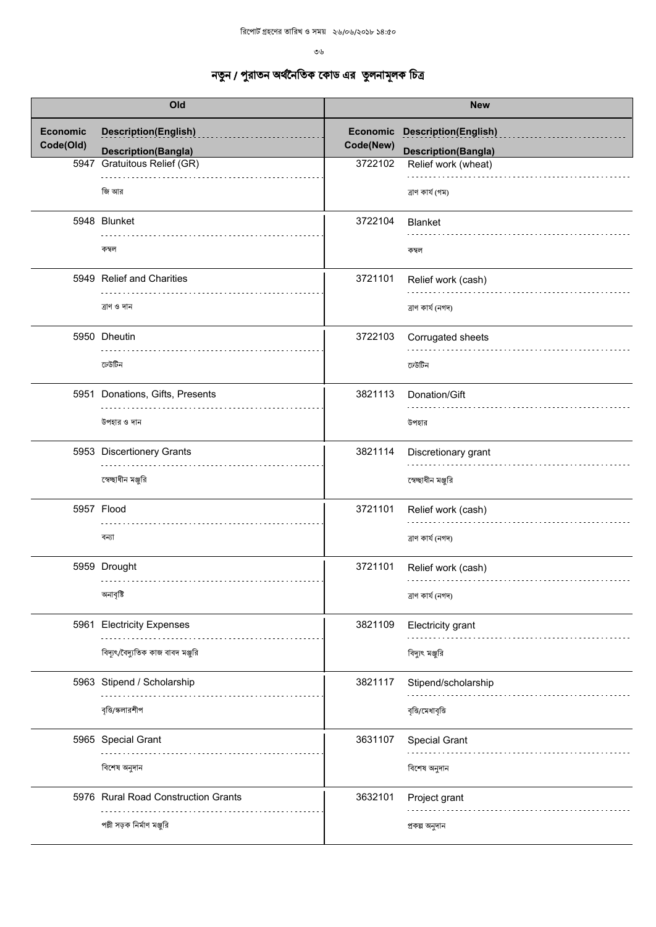| Old                          |                                                             | <b>New</b>            |                             |
|------------------------------|-------------------------------------------------------------|-----------------------|-----------------------------|
| <b>Economic</b><br>Code(Old) | <b>Description(English)</b>                                 | Economic<br>Code(New) | <b>Description(English)</b> |
|                              | <b>Description(Bangla)</b><br><b>Gratuitous Relief (GR)</b> | 3722102               | <b>Description(Bangla)</b>  |
| 5947                         |                                                             |                       | Relief work (wheat)         |
|                              | জি আর                                                       |                       | ত্ৰাণ কাৰ্য (গম)            |
|                              | 5948 Blunket                                                | 3722104               | <b>Blanket</b>              |
|                              | কম্বল                                                       |                       | কম্বল                       |
|                              | 5949 Relief and Charities                                   | 3721101               | Relief work (cash)          |
|                              | ত্ৰাণ ও দান                                                 |                       | ত্ৰাণ কাৰ্য (নগদ)           |
|                              | 5950 Dheutin                                                | 3722103               | Corrugated sheets           |
|                              | ঢেউটিন                                                      |                       | ঢেউটিন                      |
|                              | 5951 Donations, Gifts, Presents                             | 3821113               | Donation/Gift               |
|                              | উপহার ও দান                                                 |                       | উপহার                       |
|                              | 5953 Discertionery Grants                                   | 3821114               | Discretionary grant         |
|                              | স্বেচ্ছাধীন মঞ্জুরি                                         |                       | স্বেচ্ছাধীন মঞ্জুরি         |
|                              | 5957 Flood                                                  | 3721101               | Relief work (cash)          |
|                              | বন্যা                                                       |                       | ত্ৰাণ কাৰ্য (নগদ)           |
|                              | 5959 Drought                                                | 3721101               | Relief work (cash)          |
|                              | অনাবৃষ্টি                                                   |                       | ত্ৰাণ কাৰ্য (নগদ)           |
|                              | 5961 Electricity Expenses                                   | 3821109               | <b>Electricity grant</b>    |
|                              | বিদ্যুৎ/বৈদ্যুতিক কাজ বাবদ মঞ্জুরি                          |                       | বিদ্যুৎ মঞ্জুরি             |
|                              | 5963 Stipend / Scholarship                                  | 3821117               | Stipend/scholarship         |
|                              | বৃত্তি/স্কলারশীপ                                            |                       | বৃত্তি/মেধাবৃত্তি           |
|                              | 5965 Special Grant                                          | 3631107               | Special Grant               |
|                              | বিশেষ অনুদান                                                |                       | বিশেষ অনুদান                |
|                              | 5976 Rural Road Construction Grants                         | 3632101               | Project grant               |
|                              | পল্লী সড়ক নির্মাণ মঞ্জুরি                                  |                       | প্ৰকল্প অনুদান              |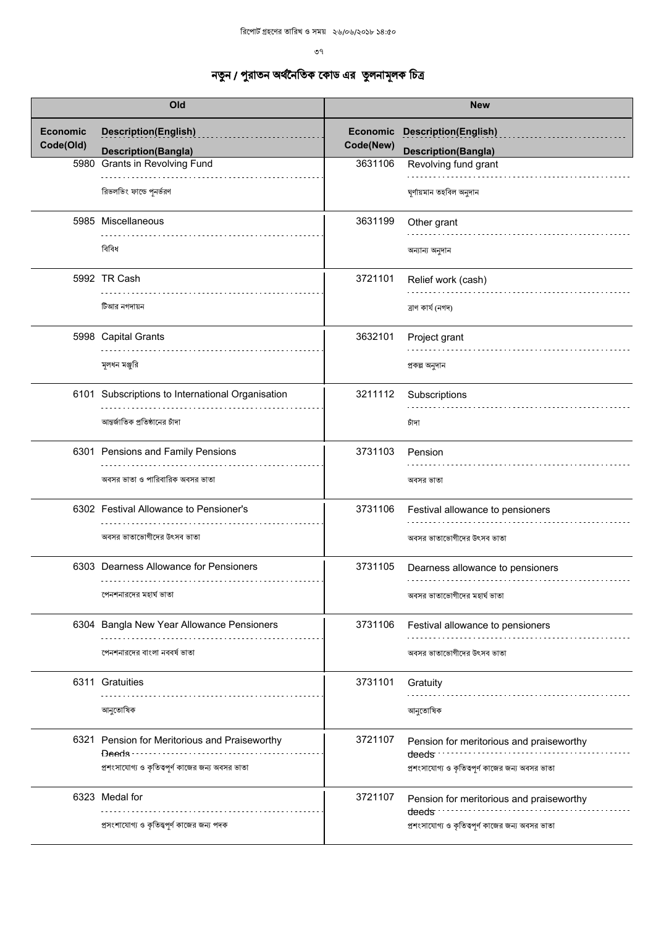$9<sup>9</sup>$ 

| Old                          |                                                          | <b>New</b>                   |                                                                |
|------------------------------|----------------------------------------------------------|------------------------------|----------------------------------------------------------------|
| <b>Economic</b><br>Code(Old) | <b>Description(English)</b>                              | <b>Economic</b><br>Code(New) | <b>Description(English)</b>                                    |
|                              | <b>Description(Bangla)</b>                               |                              | <b>Description(Bangla)</b>                                     |
|                              | 5980 Grants in Revolving Fund                            | 3631106                      | Revolving fund grant                                           |
|                              | রিভলভিং ফান্ডে পুনর্ভরণ                                  |                              | ঘূৰ্ণায়মান তহবিল অনুদান                                       |
|                              | 5985 Miscellaneous                                       | 3631199                      | Other grant                                                    |
|                              | বিবিধ                                                    |                              | অন্যান্য অনুদান                                                |
|                              | 5992 TR Cash                                             | 3721101                      | Relief work (cash)                                             |
|                              | টিআর নগদায়ন                                             |                              | ত্ৰাণ কাৰ্য (নগদ)                                              |
|                              | 5998 Capital Grants                                      | 3632101                      | Project grant                                                  |
|                              | মূলধন মঞ্জুরি                                            |                              | প্ৰকল্প অনুদান                                                 |
|                              | 6101 Subscriptions to International Organisation         | 3211112                      | Subscriptions                                                  |
|                              | আন্তর্জাতিক প্রতিষ্ঠানের চাঁদা                           |                              | চাঁদা                                                          |
|                              | 6301 Pensions and Family Pensions                        | 3731103                      | Pension                                                        |
|                              | অবসর ভাতা ও পারিবারিক অবসর ভাতা                          |                              | অবসর ভাতা                                                      |
|                              | 6302 Festival Allowance to Pensioner's                   | 3731106                      | Festival allowance to pensioners                               |
|                              | অবসর ভাতাভোগীদের উৎসব ভাতা                               |                              | অবসর ভাতাভোগীদের উৎসব ভাতা                                     |
|                              | 6303 Dearness Allowance for Pensioners                   | 3731105                      | Dearness allowance to pensioners                               |
|                              | পেনশনারদের মহার্ঘ ভাতা                                   |                              | অবসর ভাতাভোগীদের মহার্ঘ ভাতা                                   |
|                              | 6304 Bangla New Year Allowance Pensioners                | 3731106                      | Festival allowance to pensioners                               |
|                              | পেনশনারদের বাংলা নববর্ষ ভাতা                             |                              | অবসর ভাতাভোগীদের উৎসব ভাতা                                     |
|                              | 6311 Gratuities                                          | 3731101                      | Gratuity                                                       |
|                              | আনুতোষিক                                                 |                              | আনুতোষিক                                                       |
|                              | 6321 Pension for Meritorious and Praiseworthy<br>Deeds - | 3721107                      | Pension for meritorious and praiseworthy<br>deeds              |
|                              | প্রশংসাযোগ্য ও কৃতিত্বপূর্ণ কাজের জন্য অবসর ভাতা         |                              | প্রশংসাযোগ্য ও কৃতিত্বপূর্ণ কাজের জন্য অবসর ভাতা               |
|                              | 6323 Medal for                                           | 3721107                      | Pension for meritorious and praiseworthy<br>deeds <sup>-</sup> |
|                              | প্রসংশাযোগ্য ও কৃতিত্তপূর্ণ কাজের জন্য পদক               |                              | প্রশংসাযোগ্য ও কৃতিত্বপূর্ণ কাজের জন্য অবসর ভাতা               |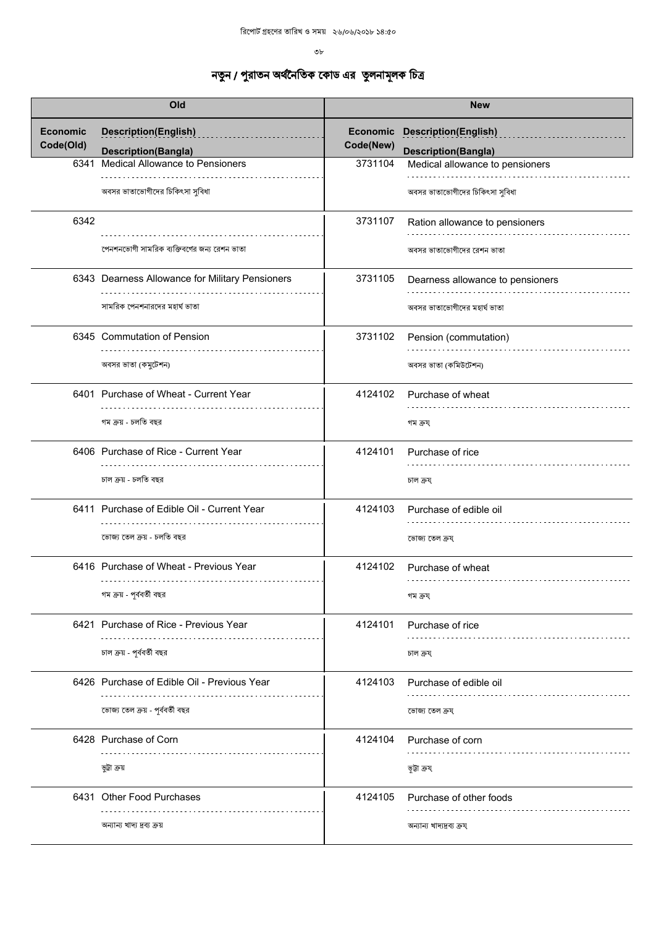$v_{\rm b}$ 

|                              | Old                                                       |           | <b>New</b>                                                         |
|------------------------------|-----------------------------------------------------------|-----------|--------------------------------------------------------------------|
| <b>Economic</b><br>Code(Old) | <b>Description(English)</b><br><b>Description(Bangla)</b> | Code(New) | <b>Economic Description(English)</b><br><b>Description(Bangla)</b> |
| 6341                         | Medical Allowance to Pensioners                           | 3731104   | Medical allowance to pensioners                                    |
|                              | অবসর ভাতাভোগীদের চিকিৎসা সুবিধা                           |           | অবসর ভাতাভোগীদের চিকিৎসা সুবিধা                                    |
| 6342                         |                                                           | 3731107   | Ration allowance to pensioners                                     |
|                              | পেনশনভোগী সামরিক ব্যক্তিবর্গের জন্য রেশন ভাতা             |           | অবসর ভাতাভোগীদের রেশন ভাতা                                         |
|                              | 6343 Dearness Allowance for Military Pensioners           | 3731105   | Dearness allowance to pensioners                                   |
|                              | সামরিক পেনশনারদের মহার্ঘ ভাতা                             |           | অবসর ভাতাভোগীদের মহার্ঘ ভাতা                                       |
|                              | 6345 Commutation of Pension                               | 3731102   | Pension (commutation)                                              |
|                              | অবসর ভাতা (কমুটেশন)                                       |           | অবসর ভাতা (কমিউটেশন)                                               |
|                              | 6401 Purchase of Wheat - Current Year                     | 4124102   | Purchase of wheat                                                  |
|                              | গম ক্ৰয় - চলতি বছর                                       |           | গম ক্রয                                                            |
|                              | 6406 Purchase of Rice - Current Year                      | 4124101   | Purchase of rice                                                   |
|                              | চাল ক্ৰয় - চলতি বছর                                      |           | চাল ক্ৰয                                                           |
|                              | 6411 Purchase of Edible Oil - Current Year                | 4124103   | Purchase of edible oil                                             |
|                              | ভোজ্য তেল ক্রয় - চলতি বছর                                |           | ভোজ্য তেল ক্ৰয                                                     |
|                              | 6416 Purchase of Wheat - Previous Year                    | 4124102   | Purchase of wheat                                                  |
|                              | গম ক্রয় - পূর্ববর্তী বছর                                 |           | গম ক্রয                                                            |
|                              | 6421 Purchase of Rice - Previous Year                     | 4124101   | Purchase of rice                                                   |
|                              | চাল ক্রয় - পূর্ববর্তী বছর                                |           | চাল ক্ৰয                                                           |
|                              | 6426 Purchase of Edible Oil - Previous Year               | 4124103   | Purchase of edible oil                                             |
|                              | ভোজ্য তেল ক্রয় - পূর্ববর্তী বছর                          |           | ভোজ্য তেল ক্ৰয                                                     |
|                              | 6428 Purchase of Corn                                     | 4124104   | Purchase of corn                                                   |
|                              | ভূট্রা ক্রয়                                              |           | ভূটা ক্ৰয                                                          |
|                              | 6431 Other Food Purchases                                 | 4124105   | Purchase of other foods                                            |
|                              | অন্যান্য খাদ্য দ্রব্য ক্রয়                               |           | অন্যান্য খাদ্যদ্ৰব্য ক্ৰয্                                         |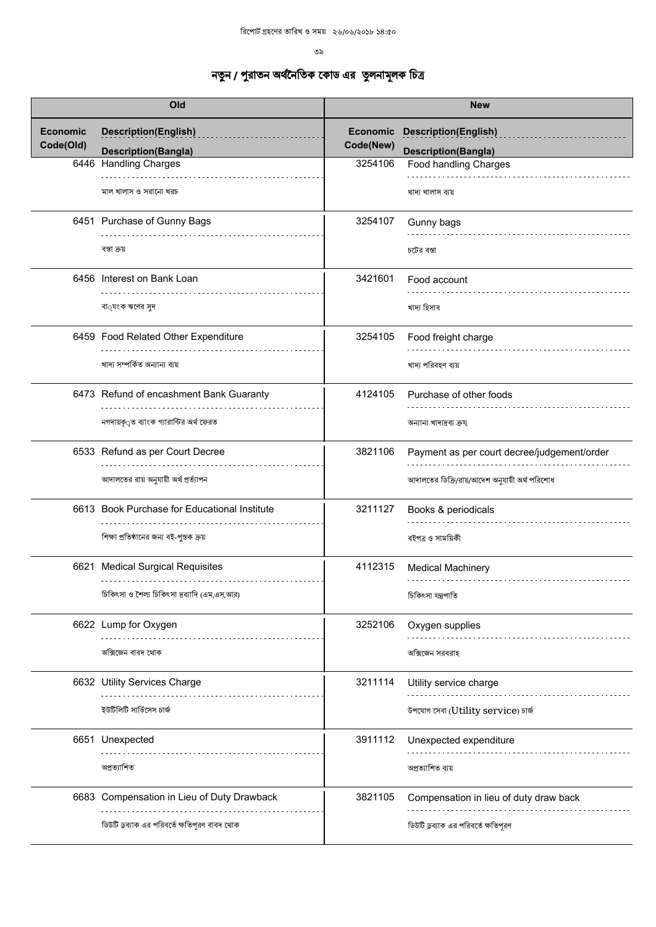| Old                          |                                                           | <b>New</b>                   |                                                           |
|------------------------------|-----------------------------------------------------------|------------------------------|-----------------------------------------------------------|
| <b>Economic</b><br>Code(Old) | <b>Description(English)</b><br><b>Description(Bangla)</b> | <b>Economic</b><br>Code(New) | <b>Description(English)</b><br><b>Description(Bangla)</b> |
|                              | 6446 Handling Charges                                     | 3254106                      | Food handling Charges                                     |
|                              | মাল খালাস ও সরানো খরচ                                     |                              | খাদ্য খালাস ব্যয়                                         |
|                              | 6451 Purchase of Gunny Bags                               | 3254107                      | Gunny bags                                                |
|                              | বস্তা ক্ৰয়                                               |                              | চটের বস্তা                                                |
|                              | 6456 Interest on Bank Loan                                | 3421601                      | Food account                                              |
|                              | বা <b>্যংক ঋণের</b> সুদ                                   |                              | খাদ্য হিসাব                                               |
|                              | 6459 Food Related Other Expenditure                       | 3254105                      | Food freight charge                                       |
|                              | খাদ্য সম্পর্কিত অন্যান্য ব্যয়                            |                              | খাদ্য পরিবহণ ব্যয়                                        |
|                              | 6473 Refund of encashment Bank Guaranty                   | 4124105                      | Purchase of other foods                                   |
|                              | নগদায়কৃ্ত ব্যাংক গ্যারান্টির অর্থ ফেরত                   |                              | অন্যান্য খাদ্যদ্রব্য ক্রয                                 |
|                              | 6533 Refund as per Court Decree                           | 3821106                      | Payment as per court decree/judgement/order               |
|                              | আদালতের রায় অনুযায়ী অর্থ প্রর্ত্যাপন                    |                              | আদালতের ডিক্রি/রায়/আদেশ অনুযায়ী অর্থ পরিশোধ             |
|                              | 6613 Book Purchase for Educational Institute              | 3211127                      | Books & periodicals                                       |
|                              | শিক্ষা প্রতিষ্ঠানের জন্য বই-পুস্তক ক্রয়                  |                              | বইপত্ৰ ও সাময়িকী                                         |
|                              | 6621 Medical Surgical Requisites                          | 4112315                      | <b>Medical Machinery</b>                                  |
|                              | চিকিৎসা ও শৈল্য চিকিৎসা দ্রব্যাদি (এম,এস,আর)              |                              | চিকিৎসা যন্ত্ৰপাতি                                        |
|                              | 6622 Lump for Oxygen                                      | 3252106                      | Oxygen supplies                                           |
|                              | অক্সিজেন বাবদ থোক                                         |                              | অক্সিজেন সরবরাহ                                           |
|                              | 6632 Utility Services Charge                              | 3211114                      | Utility service charge                                    |
|                              | ইউটিলিটি সার্ভিসেস চার্জ                                  |                              | উপযোগ সেবা (Utility service) চাৰ্জ                        |
|                              | 6651 Unexpected                                           | 3911112                      | Unexpected expenditure                                    |
|                              | অপ্ৰত্যাশিত                                               |                              | অপ্ৰত্যাশিত ব্যয়                                         |
|                              | 6683 Compensation in Lieu of Duty Drawback                | 3821105                      | Compensation in lieu of duty draw back                    |
|                              | ডিউটি ড্রব্যাক এর পরিবর্তে ক্ষতিপূরণ বাবদ থোক             |                              | ডিউটি ড্রব্যাক এর পরিবর্তে ক্ষতিপূরণ                      |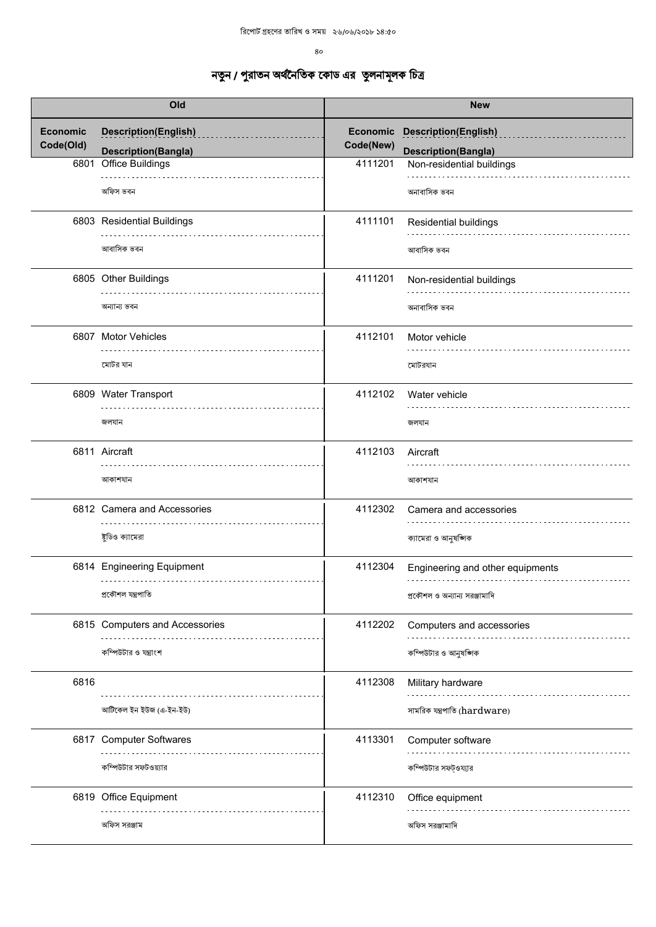| Old                          |                                                           | <b>New</b>                   |                                                           |
|------------------------------|-----------------------------------------------------------|------------------------------|-----------------------------------------------------------|
| <b>Economic</b><br>Code(Old) | <b>Description(English)</b><br><b>Description(Bangla)</b> | <b>Economic</b><br>Code(New) | <b>Description(English)</b><br><b>Description(Bangla)</b> |
| 6801                         | <b>Office Buildings</b>                                   | 4111201                      | Non-residential buildings                                 |
|                              | অফিস ভবন                                                  |                              | অনাবাসিক ভবন                                              |
|                              | 6803 Residential Buildings                                | 4111101                      | Residential buildings                                     |
|                              | আবাসিক ভবন                                                |                              | আবাসিক ভবন                                                |
|                              | 6805 Other Buildings                                      | 4111201                      | Non-residential buildings                                 |
|                              | অন্যান্য ভবন                                              |                              | অনাবাসিক ভবন                                              |
|                              | 6807 Motor Vehicles                                       | 4112101                      | Motor vehicle                                             |
|                              | মোটর যান                                                  |                              | মোটরযান                                                   |
|                              | 6809 Water Transport                                      | 4112102                      | Water vehicle                                             |
|                              | জলযান                                                     |                              | জলযান                                                     |
|                              | 6811 Aircraft                                             | 4112103                      | Aircraft                                                  |
|                              | আকাশযান                                                   |                              | আকাশযান                                                   |
|                              | 6812 Camera and Accessories                               | 4112302                      | Camera and accessories                                    |
|                              | ষ্টুডিও ক্যামেরা                                          |                              | ক্যামেরা ও আনুষজ্ঞাক                                      |
|                              | 6814 Engineering Equipment<br>.                           | 4112304                      | Engineering and other equipments                          |
|                              | প্ৰকৌশল যন্ত্ৰপাতি                                        |                              | প্রকৌশল ও অন্যান্য সরঞ্জামাদি                             |
|                              | 6815 Computers and Accessories                            | 4112202                      | Computers and accessories                                 |
|                              | কম্পিউটার ও যন্ত্রাংশ                                     |                              | কম্পিউটার ও আনুষঙ্গিক                                     |
| 6816                         |                                                           | 4112308                      | Military hardware                                         |
|                              | আৰ্টিকেল ইন ইউজ (এ-ইন-ইউ)                                 |                              | সামরিক যন্ত্রপাতি (hardware)                              |
|                              | 6817 Computer Softwares                                   | 4113301                      | Computer software                                         |
|                              | কম্পিউটার সফটওয়্যার                                      |                              | কম্পিউটার সফট্ওয্যার                                      |
|                              | 6819 Office Equipment                                     | 4112310                      | Office equipment                                          |
|                              | অফিস সরঞ্জাম                                              |                              | অফিস সরঞ্জামাদি                                           |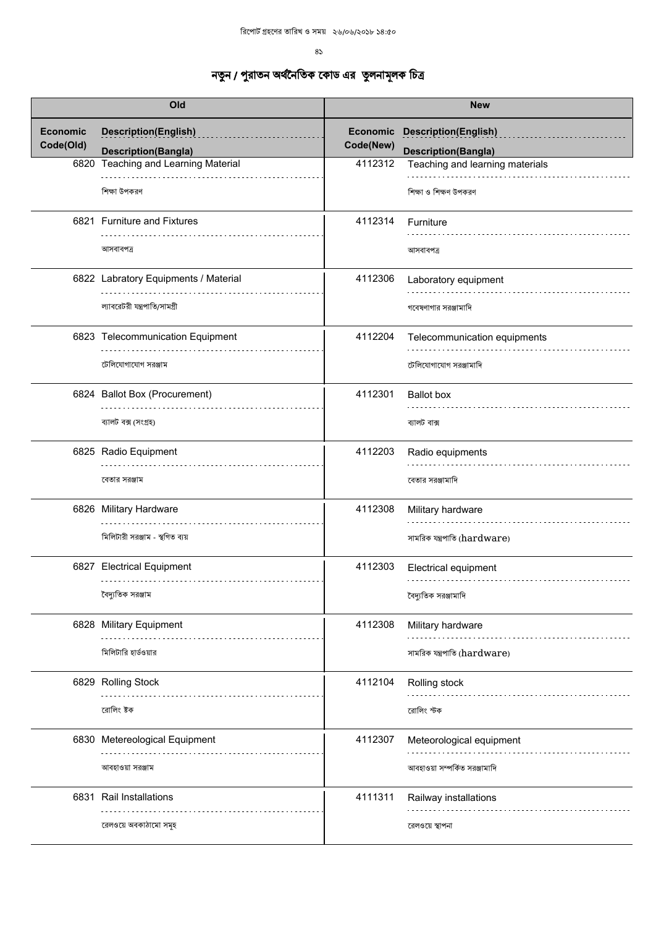| Old                          |                                                           | <b>New</b>            |                                                           |
|------------------------------|-----------------------------------------------------------|-----------------------|-----------------------------------------------------------|
| <b>Economic</b><br>Code(Old) | <b>Description(English)</b><br><b>Description(Bangla)</b> | Economic<br>Code(New) | <b>Description(English)</b><br><b>Description(Bangla)</b> |
|                              | 6820 Teaching and Learning Material                       | 4112312               | Teaching and learning materials                           |
|                              | শিক্ষা উপকরণ                                              |                       | শিক্ষা ও শিক্ষণ উপকরণ                                     |
|                              | 6821 Furniture and Fixtures                               | 4112314               | Furniture                                                 |
|                              | আসবাবপত্ৰ                                                 |                       | আসবাবপত্ৰ                                                 |
|                              | 6822 Labratory Equipments / Material                      | 4112306               | Laboratory equipment                                      |
|                              | ল্যাবরেটরী যন্ত্রপাতি/সামগ্রী                             |                       | গবেষণাগার সরঞ্জামাদি                                      |
|                              | 6823 Telecommunication Equipment                          | 4112204               | Telecommunication equipments                              |
|                              | টেলিযোগাযোগ সরঞ্জাম                                       |                       | টেলিযোগাযোগ সরঞ্জামাদি                                    |
|                              | 6824 Ballot Box (Procurement)                             | 4112301               | <b>Ballot</b> box                                         |
|                              | ব্যালট বক্স (সংগ্ৰহ)                                      |                       | ব্যালট বাক্স                                              |
|                              | 6825 Radio Equipment                                      | 4112203               | Radio equipments                                          |
|                              | বেতার সরঞ্জাম                                             |                       | বেতার সরঞ্জামাদি                                          |
|                              | 6826 Military Hardware                                    | 4112308               | Military hardware                                         |
|                              | মিলিটারী সরঞ্জাম - স্থগিত ব্যয়                           |                       | সামরিক যন্ত্রপাতি (hardware)                              |
|                              | 6827 Electrical Equipment                                 | 4112303               | Electrical equipment                                      |
|                              | বৈদ্যুতিক সরঞ্জাম                                         |                       | বৈদ্যুতিক সরঞ্জামাদি                                      |
|                              | 6828 Military Equipment                                   | 4112308               | Military hardware                                         |
|                              | মিলিটারি হার্ডওয়ার                                       |                       | সামরিক যন্ত্রপাতি (hardware)                              |
|                              | 6829 Rolling Stock                                        | 4112104               | Rolling stock                                             |
|                              | রোলিং ষ্টক                                                |                       | রোলিং স্টক                                                |
|                              | 6830 Metereological Equipment                             | 4112307               | Meteorological equipment                                  |
|                              | আবহাওয়া সরঞ্জাম                                          |                       | আবহাওয়া সম্পর্কিত সরঞ্জামাদি                             |
|                              | 6831 Rail Installations                                   | 4111311               | Railway installations                                     |
|                              | রেলওয়ে অবকাঠামো সমূহ                                     |                       | রেলওয়ে স্থাপনা                                           |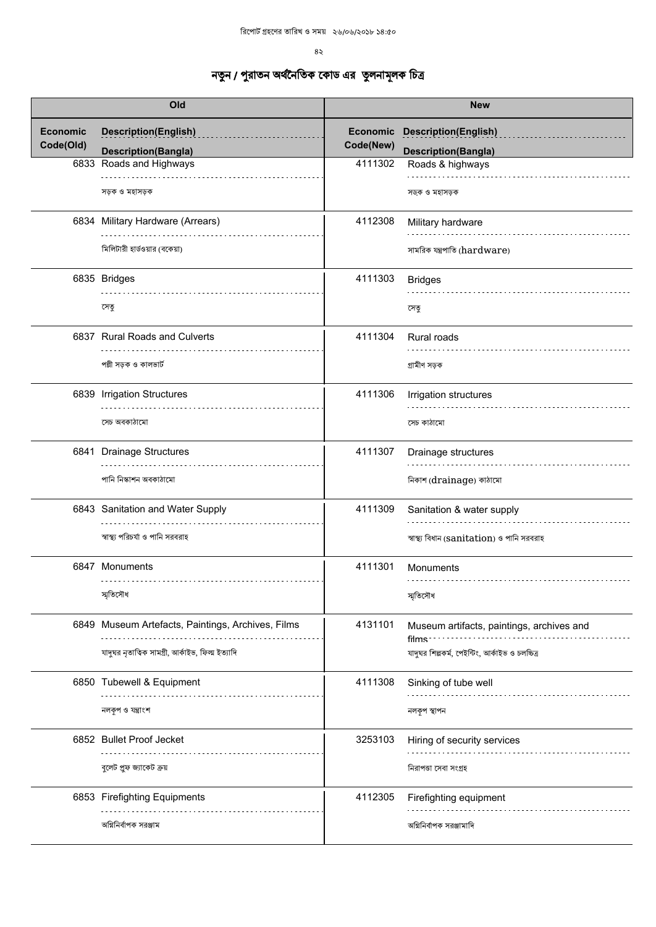$8\,$ 

| Old                          |                                                           | <b>New</b>                   |                                                                 |
|------------------------------|-----------------------------------------------------------|------------------------------|-----------------------------------------------------------------|
| <b>Economic</b><br>Code(Old) | <b>Description(English)</b><br><b>Description(Bangla)</b> | <b>Economic</b><br>Code(New) | <b>Description(English)</b><br><b>Description(Bangla)</b>       |
|                              | 6833 Roads and Highways                                   | 4111302                      | Roads & highways                                                |
|                              | সড়ক ও মহাসড়ক                                            |                              | সড়ক ও মহাসড়ক                                                  |
|                              | 6834 Military Hardware (Arrears)                          | 4112308                      | Military hardware                                               |
|                              | মিলিটারী হার্ডওয়ার (বকেয়া)                              |                              | সামরিক যন্ত্রপাতি (hardware)                                    |
|                              | 6835 Bridges                                              | 4111303                      | <b>Bridges</b>                                                  |
|                              | সেতু                                                      |                              | সেতু                                                            |
|                              | 6837 Rural Roads and Culverts                             | 4111304                      | Rural roads                                                     |
|                              | পল্লী সড়ক ও কালভার্ট                                     |                              | গ্ৰামীণ সড়ক                                                    |
|                              | 6839 Irrigation Structures                                | 4111306                      | Irrigation structures                                           |
|                              | সেচ অবকাঠামো                                              |                              | সেচ কাঠামো                                                      |
|                              | 6841 Drainage Structures                                  | 4111307                      | Drainage structures                                             |
|                              | পানি নিস্কাশন অবকাঠামো                                    |                              | নিকাশ (drainage) কাঠামো                                         |
|                              | 6843 Sanitation and Water Supply                          | 4111309                      | Sanitation & water supply                                       |
|                              | স্বাস্থ্য পরিচর্যা ও পানি সরবরাহ                          |                              | স্বাস্থ্য বিধান (sanitation) ও পানি সরবরাহ                      |
|                              | 6847 Monuments<br>.                                       | 4111301                      | Monuments                                                       |
|                              | স্মৃতিসৌধ                                                 |                              | স্মৃতিসৌধ                                                       |
|                              | 6849 Museum Artefacts, Paintings, Archives, Films         | 4131101                      | Museum artifacts, paintings, archives and<br>films <sup>-</sup> |
|                              | যাদুঘর নৃতাত্বিক সামগ্রী, আর্কাইভ, ফিল্ম ইত্যাদি          |                              | যাদুঘর শিল্পকর্ম, পেইন্টিং, আর্কাইভ ও চলচ্চিত্র                 |
|                              | 6850 Tubewell & Equipment                                 | 4111308                      | Sinking of tube well                                            |
|                              | নলকৃপ ও যন্ত্ৰাংশ                                         |                              | নলকপ স্থাপন                                                     |
|                              | 6852 Bullet Proof Jecket                                  | 3253103                      | Hiring of security services                                     |
|                              | বুলেট প্ৰুফ জ্যাকেট ক্ৰয়                                 |                              | নিরাপতা সেবা সংগ্রহ                                             |
|                              | 6853 Firefighting Equipments                              | 4112305                      | Firefighting equipment                                          |
|                              | অগ্নিনিৰ্বাপক সরঞ্জাম                                     |                              | অগ্নিনির্বাপক সরঞ্জামাদি                                        |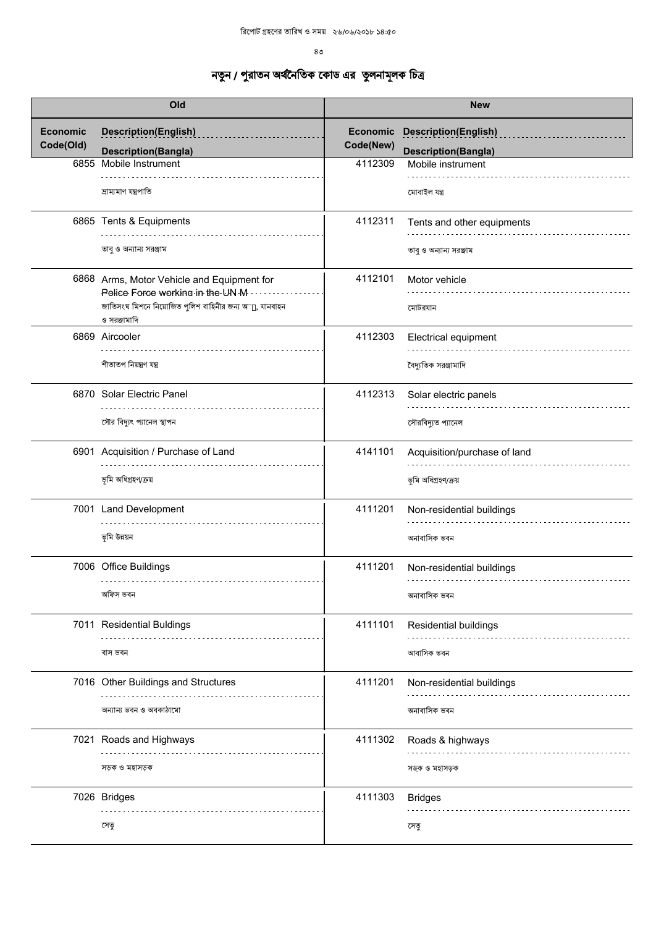$8<sub>0</sub>$ 

|                              | Old                                                                            |                       | <b>New</b>                                                |
|------------------------------|--------------------------------------------------------------------------------|-----------------------|-----------------------------------------------------------|
| <b>Economic</b><br>Code(Old) | <b>Description(English)</b><br><b>Description(Bangla)</b>                      | Economic<br>Code(New) | <b>Description(English)</b><br><b>Description(Bangla)</b> |
|                              | 6855 Mobile Instrument                                                         | 4112309               | Mobile instrument                                         |
|                              | ভ্ৰাম্যমাণ যন্ত্ৰপাতি                                                          |                       | মোবাইল যন্ত্ৰ                                             |
|                              | 6865 Tents & Equipments                                                        | 4112311               | Tents and other equipments                                |
|                              | তাবু ও অন্যান্য সরঞ্জাম                                                        |                       | তাব ও অন্যান্য সরঞ্জাম                                    |
|                              | 6868 Arms, Motor Vehicle and Equipment for<br>Police Force working in the UN M | 4112101               | Motor vehicle                                             |
|                              | জাতিসংঘ মিশনে নিয়োজিত পুলিশ বাহিনীর জন্য অাূ, যানবাহন<br>ও সরঞ্জামাদি         |                       | মোটরযান                                                   |
|                              | 6869 Aircooler                                                                 | 4112303               | Electrical equipment                                      |
|                              | শীতাতপ নিয়ন্ত্ৰণ যন্ত্ৰ                                                       |                       | বৈদ্যুতিক সরঞ্জামাদি                                      |
|                              | 6870 Solar Electric Panel                                                      | 4112313               | Solar electric panels                                     |
|                              | সৌর বিদ্যুৎ প্যানেল স্থাপন                                                     |                       | সৌরবিদ্যুত প্যানেল                                        |
|                              | 6901 Acquisition / Purchase of Land                                            | 4141101               | Acquisition/purchase of land                              |
|                              | ভূমি অধিগ্ৰহণ/ক্ৰয়                                                            |                       | ভূমি অধিগ্ৰহণ/ক্ৰয়                                       |
|                              | 7001 Land Development                                                          | 4111201               | Non-residential buildings                                 |
|                              | ভূমি উন্নয়ন                                                                   |                       | অনাবাসিক ভবন                                              |
|                              | 7006 Office Buildings                                                          | 4111201               | Non-residential buildings                                 |
|                              | অফিস ভবন                                                                       |                       | অনাবাসিক ভবন                                              |
|                              | 7011 Residential Buldings                                                      | 4111101               | Residential buildings                                     |
|                              | বাস ভবন                                                                        |                       | আবাসিক ভবন                                                |
|                              | 7016 Other Buildings and Structures                                            | 4111201               | Non-residential buildings                                 |
|                              | অন্যান্য ভবন ও অবকাঠামো                                                        |                       | অনাবাসিক ভবন                                              |
|                              | 7021 Roads and Highways                                                        | 4111302               | Roads & highways                                          |
|                              | সড়ক ও মহাসড়ক                                                                 |                       | সড়ক ও মহাসড়ক                                            |
|                              | 7026 Bridges                                                                   | 4111303               | <b>Bridges</b>                                            |
|                              | সেতু                                                                           |                       | সেতু                                                      |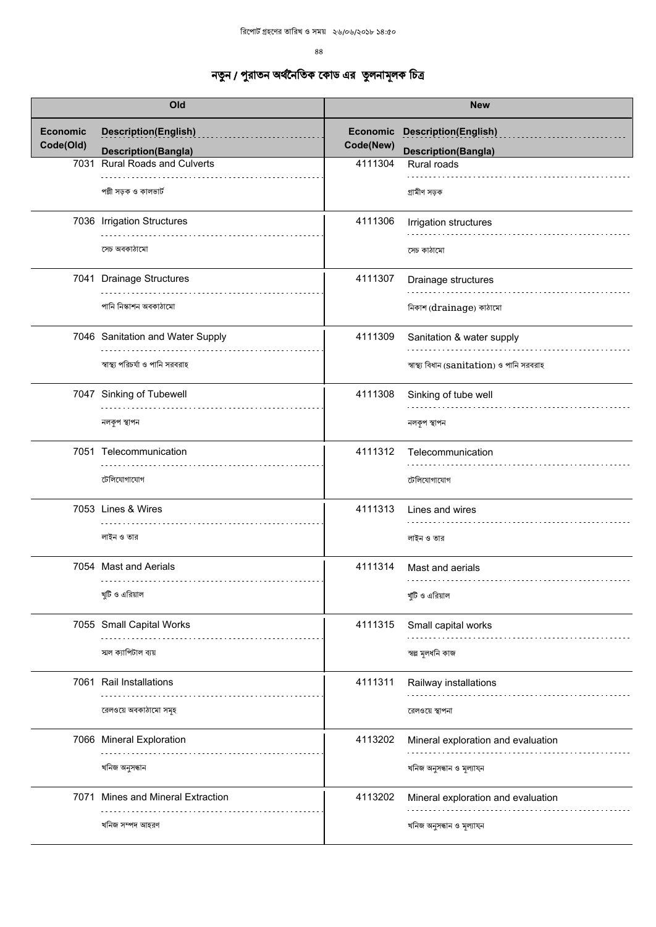| Old                          |                                                           | <b>New</b>                   |                                                           |
|------------------------------|-----------------------------------------------------------|------------------------------|-----------------------------------------------------------|
| <b>Economic</b><br>Code(Old) | <b>Description(English)</b><br><b>Description(Bangla)</b> | <b>Economic</b><br>Code(New) | <b>Description(English)</b><br><b>Description(Bangla)</b> |
|                              | 7031 Rural Roads and Culverts                             | 4111304                      | Rural roads                                               |
|                              | পল্লী সড়ক ও কালভার্ট                                     |                              | গ্ৰামীণ সড়ক                                              |
|                              | 7036 Irrigation Structures                                | 4111306                      | Irrigation structures                                     |
|                              | সেচ অবকাঠামো                                              |                              | সেচ কাঠামো                                                |
|                              | 7041 Drainage Structures                                  | 4111307                      | Drainage structures                                       |
|                              | পানি নিস্কাশন অবকাঠামো                                    |                              | নিকাশ (drainage) কাঠামো                                   |
|                              | 7046 Sanitation and Water Supply                          | 4111309                      | Sanitation & water supply                                 |
|                              | স্বাস্থ্য পরিচর্যা ও পানি সরবরাহ                          |                              | স্বাস্থ্য বিধান (sanitation) ও পানি সরবরাহ                |
|                              | 7047 Sinking of Tubewell                                  | 4111308                      | Sinking of tube well                                      |
|                              | নলকৃপ স্থাপন                                              |                              | নলকূপ স্থাপন                                              |
|                              | 7051 Telecommunication                                    | 4111312                      | Telecommunication                                         |
|                              | টেলিযোগাযোগ                                               |                              | টেলিযোগাযোগ                                               |
|                              | 7053 Lines & Wires                                        | 4111313                      | Lines and wires                                           |
|                              | লাইন ও তার                                                |                              | লাইন ও তার                                                |
|                              | 7054 Mast and Aerials<br>.                                | 4111314                      | Mast and aerials                                          |
|                              | খুটি ও এরিয়াল                                            |                              | খুটি ও এরিয়াল                                            |
|                              | 7055 Small Capital Works                                  | 4111315                      | Small capital works                                       |
|                              | স্মল ক্যাপিটাল ব্যয়                                      |                              | স্বল্প মূলধনি কাজ                                         |
|                              | 7061 Rail Installations                                   | 4111311                      | Railway installations                                     |
|                              | রেলওয়ে অবকাঠামো সমূহ                                     |                              | রেলওয়ে স্থাপনা                                           |
|                              | 7066 Mineral Exploration                                  | 4113202                      | Mineral exploration and evaluation                        |
|                              | খনিজ অনুসন্ধান                                            |                              | খনিজ অনুসন্ধান ও মূল্যাযন                                 |
|                              | 7071 Mines and Mineral Extraction                         | 4113202                      | Mineral exploration and evaluation                        |
|                              | খনিজ সম্পদ আহরণ                                           |                              | খনিজ অনুসন্ধান ও মূল্যাযন                                 |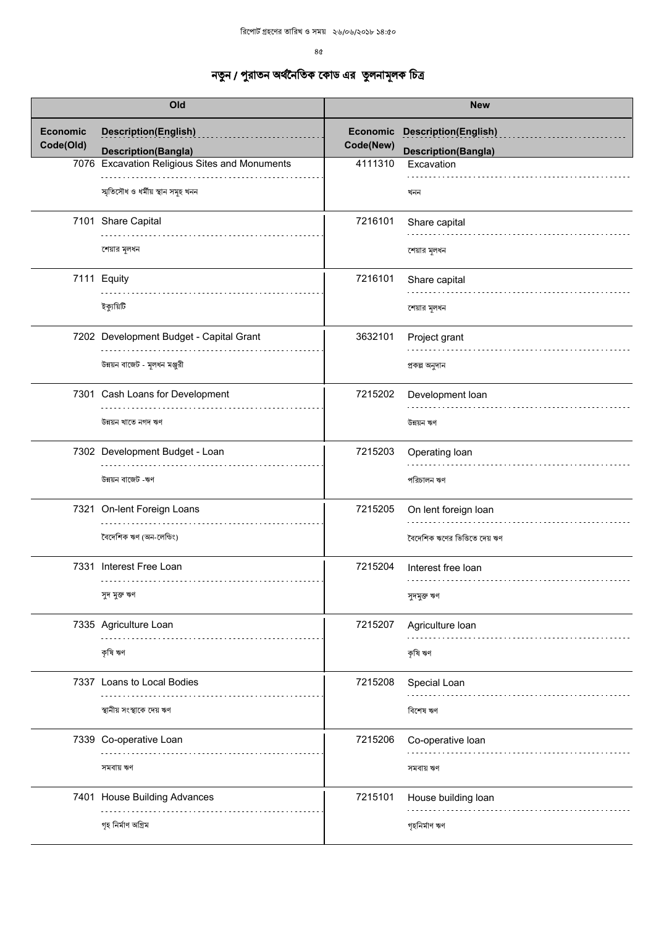$8<sub>0</sub>$ 

| Old                          |                                                           | <b>New</b>            |                                                           |
|------------------------------|-----------------------------------------------------------|-----------------------|-----------------------------------------------------------|
| <b>Economic</b><br>Code(Old) | <b>Description(English)</b><br><b>Description(Bangla)</b> | Economic<br>Code(New) | <b>Description(English)</b><br><b>Description(Bangla)</b> |
|                              | 7076 Excavation Religious Sites and Monuments             | 4111310               | Excavation                                                |
|                              | স্মৃতিসৌধ ও ধৰ্মীয় স্থান সমূহ খনন                        |                       | খনন                                                       |
|                              | 7101 Share Capital                                        | 7216101               | Share capital                                             |
|                              | শেয়ার মূলধন                                              |                       | শেয়ার মূলধন                                              |
|                              | 7111 Equity                                               | 7216101               | Share capital                                             |
|                              | ইক্যুয়িটি                                                |                       | শেয়ার মূলধন                                              |
|                              | 7202 Development Budget - Capital Grant                   | 3632101               | Project grant                                             |
|                              | উন্নয়ন বাজেট - মূলধন মঞ্জুরী                             |                       | প্ৰকল্প অনুদান                                            |
|                              | 7301 Cash Loans for Development                           | 7215202               | Development loan                                          |
|                              | উন্নয়ন খাতে নগদ ঋণ                                       |                       | উন্নয়ন ঋণ                                                |
|                              | 7302 Development Budget - Loan                            | 7215203               | Operating loan                                            |
|                              | উন্নয়ন বাজেট -ঋণ                                         |                       | পরিচালন ঋণ                                                |
|                              | 7321 On-lent Foreign Loans                                | 7215205               | On lent foreign loan                                      |
|                              | বৈদেশিক ঋণ (অন-লেন্ডিং)                                   |                       | বৈদেশিক ঋণের ভিত্তিতে দেয় ঋণ                             |
|                              | 7331 Interest Free Loan<br>.                              | 7215204               | Interest free loan<br>.                                   |
|                              | সুদ মুক্ত ঋণ                                              |                       | সুদমুক্ত ঋণ                                               |
|                              | 7335 Agriculture Loan                                     | 7215207               | Agriculture loan                                          |
|                              | কৃষি ঋণ                                                   |                       | কৃষি ঋণ                                                   |
|                              | 7337 Loans to Local Bodies                                | 7215208               | Special Loan                                              |
|                              | স্থানীয় সংস্থাকে দেয় ঋণ                                 |                       | বিশেষ ঋণ                                                  |
|                              | 7339 Co-operative Loan                                    | 7215206               | Co-operative loan                                         |
|                              | সমবায় ঋণ                                                 |                       | সমবায় ঋণ                                                 |
|                              | 7401 House Building Advances                              | 7215101               | House building loan                                       |
|                              | গৃহ নিৰ্মাণ অগ্ৰিম                                        |                       | গৃহনিৰ্মাণ ঋণ                                             |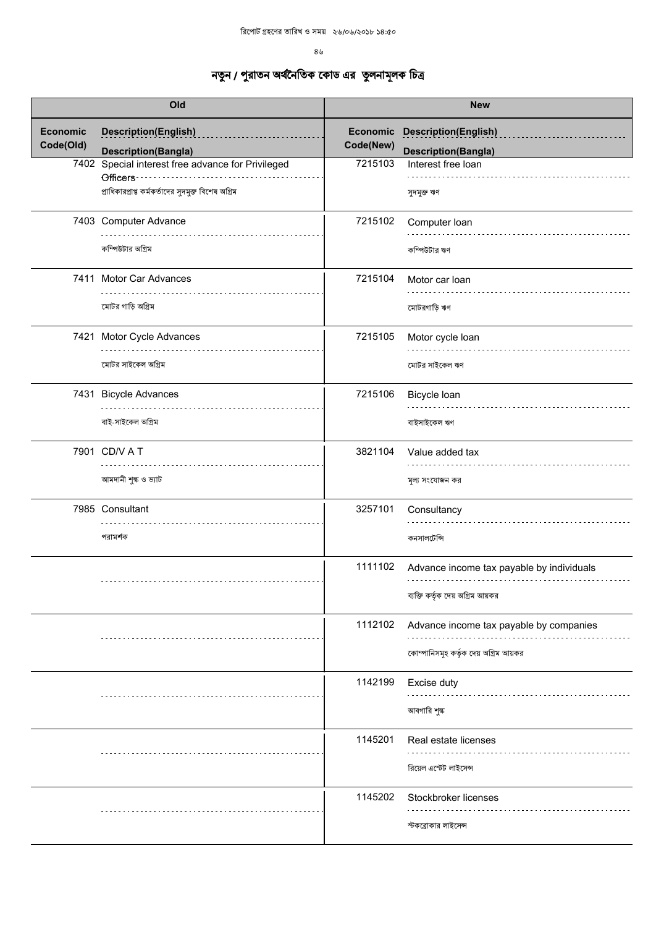$8<sub>6</sub>$ 

| Old                          |                                                                                                                      |           | <b>New</b>                                                         |
|------------------------------|----------------------------------------------------------------------------------------------------------------------|-----------|--------------------------------------------------------------------|
| <b>Economic</b><br>Code(Old) | <b>Description(English)</b><br><b>Description(Bangla)</b>                                                            | Code(New) | <b>Economic Description(English)</b><br><b>Description(Bangla)</b> |
|                              | 7402 Special interest free advance for Privileged<br>Officers<br>প্রাধিকারপ্রাপ্ত কর্মকর্তাদের সুদমুক্ত বিশেষ অগ্রিম | 7215103   | Interest free loan<br>সুদমুক্ত ঋণ                                  |
|                              | 7403 Computer Advance                                                                                                | 7215102   | Computer Ioan                                                      |
|                              | কম্পিউটার অগ্রিম                                                                                                     |           | কম্পিউটার ঋণ                                                       |
|                              | 7411 Motor Car Advances                                                                                              | 7215104   | Motor car loan                                                     |
|                              | মোটর গাড়ি অগ্রিম                                                                                                    |           | মোটরগাড়ি ঋণ                                                       |
|                              | 7421 Motor Cycle Advances                                                                                            | 7215105   | Motor cycle loan                                                   |
|                              | মোটর সাইকেল অগ্রিম                                                                                                   |           | মোটর সাইকেল ঋণ                                                     |
|                              | 7431 Bicycle Advances                                                                                                | 7215106   | Bicycle Ioan                                                       |
|                              | বাই-সাইকেল অগ্রিম                                                                                                    |           | বাইসাইকেল ঋণ                                                       |
|                              | 7901 CD/V A T                                                                                                        | 3821104   | Value added tax                                                    |
|                              | আমদানী শুল্ক ও ভ্যাট                                                                                                 |           | মূল্য সংযোজন কর                                                    |
|                              | 7985 Consultant                                                                                                      | 3257101   | Consultancy                                                        |
|                              | পরামর্শক                                                                                                             |           | কনসালটেন্সি                                                        |
|                              |                                                                                                                      | 1111102   | Advance income tax payable by individuals                          |
|                              |                                                                                                                      |           | ব্যক্তি কর্তৃক দেয় অগ্রিম আয়কর                                   |
|                              |                                                                                                                      | 1112102   | Advance income tax payable by companies                            |
|                              |                                                                                                                      |           | কোম্পানিসমূহ কর্তৃক দেয় অগ্রিম আয়কর                              |
|                              |                                                                                                                      | 1142199   | Excise duty                                                        |
|                              |                                                                                                                      |           | আবগারি শুল্ক                                                       |
|                              |                                                                                                                      | 1145201   | Real estate licenses                                               |
|                              |                                                                                                                      |           | রিয়েল এস্টেট লাইসেন্স                                             |
|                              |                                                                                                                      | 1145202   | Stockbroker licenses                                               |
|                              |                                                                                                                      |           | স্টকব্রোকার লাইসেন্স                                               |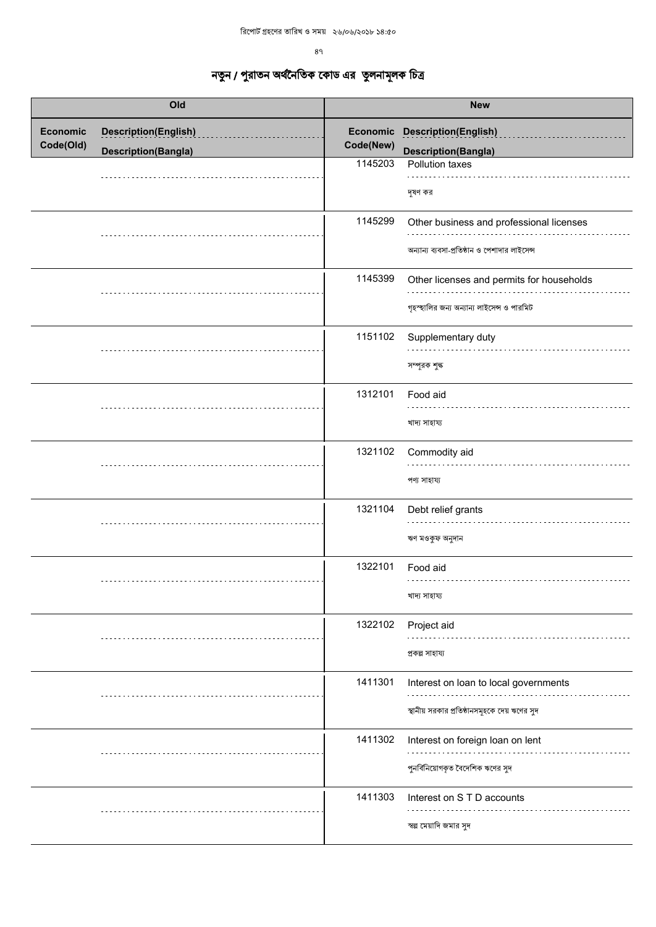| Old                          |                             | <b>New</b> |                                                                                           |
|------------------------------|-----------------------------|------------|-------------------------------------------------------------------------------------------|
| <b>Economic</b><br>Code(Old) | <b>Description(English)</b> | Code(New)  | Economic Description(English)                                                             |
|                              | <b>Description(Bangla)</b>  | 1145203    | <b>Description(Bangla)</b><br>Pollution taxes                                             |
|                              |                             |            | দূষণ কর                                                                                   |
|                              |                             | 1145299    | Other business and professional licenses<br>অন্যান্য ব্যবসা-প্রতিষ্ঠান ও পেশাদার লাইসেন্স |
|                              |                             | 1145399    | Other licenses and permits for households<br>গৃহস্হালির জন্য অন্যান্য লাইসেন্স ও পারমিট   |
|                              |                             | 1151102    | Supplementary duty<br>সম্পূরক শুল্ক                                                       |
|                              |                             | 1312101    | Food aid<br>খাদ্য সাহায্য                                                                 |
|                              |                             | 1321102    | Commodity aid<br>পণ্য সাহায্য                                                             |
|                              |                             | 1321104    | Debt relief grants<br>ঋণ মওকুফ অনুদান                                                     |
|                              |                             | 1322101    | Food aid<br>খাদ্য সাহায্য                                                                 |
|                              |                             | 1322102    | Project aid<br>প্ৰকল্প সাহায্য                                                            |
|                              |                             | 1411301    | Interest on loan to local governments<br>স্থানীয় সরকার প্রতিষ্ঠানসমূহকে দেয় ঋণের সুদ    |
|                              |                             | 1411302    | Interest on foreign loan on lent<br>পুনর্বিনিয়োগকৃত বৈদেশিক ঋণের সুদ                     |
|                              |                             | 1411303    | Interest on S T D accounts<br>স্বল্প মেয়াদি জমার সুদ                                     |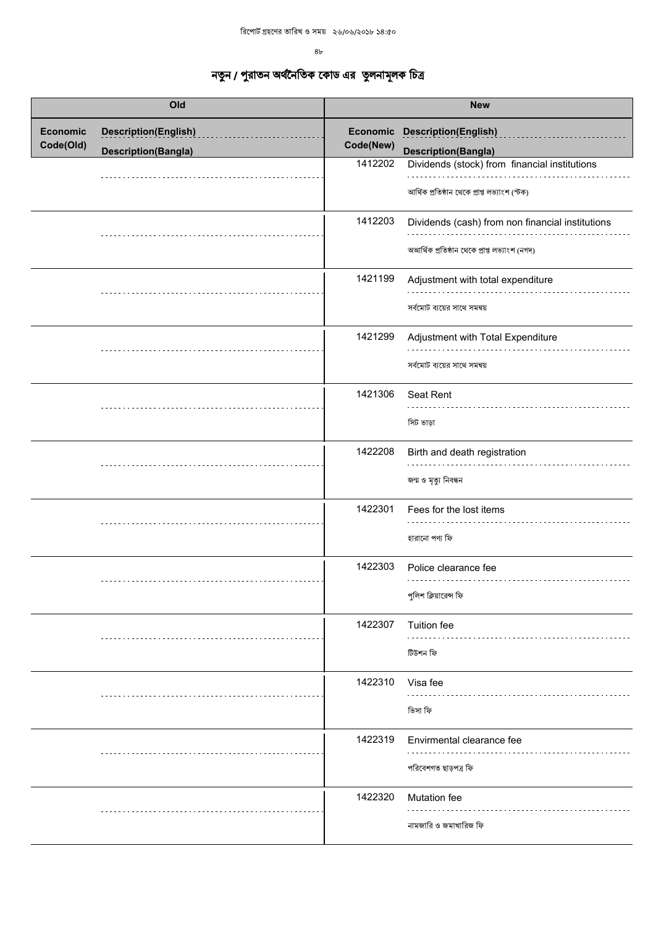$8<sub>b</sub>$ 

| Old                          |                                                           |                                  | <b>New</b>                                                                                                                                                  |
|------------------------------|-----------------------------------------------------------|----------------------------------|-------------------------------------------------------------------------------------------------------------------------------------------------------------|
| <b>Economic</b><br>Code(Old) | <b>Description(English)</b><br><b>Description(Bangla)</b> | Economic<br>Code(New)<br>1412202 | <b>Description(English)</b><br><b>Description(Bangla)</b><br>Dividends (stock) from financial institutions<br>আৰ্থিক প্ৰতিষ্ঠান থেকে প্ৰাপ্ত লভ্যাংশ (স্টক) |
|                              |                                                           | 1412203                          | Dividends (cash) from non financial institutions<br>অআৰ্থিক প্ৰতিষ্ঠান থেকে প্ৰাপ্ত লভ্যাংশ (নগদ)                                                           |
|                              |                                                           | 1421199                          | Adjustment with total expenditure<br>সর্বমোট ব্যয়ের সাথে সমন্বয়                                                                                           |
|                              |                                                           | 1421299                          | Adjustment with Total Expenditure<br>সর্বমোট ব্যয়ের সাথে সমন্বয়                                                                                           |
|                              |                                                           | 1421306                          | Seat Rent<br>সিট ভাড়া                                                                                                                                      |
|                              |                                                           | 1422208                          | Birth and death registration<br>জন্ম ও মৃত্যু নিবন্ধন                                                                                                       |
|                              |                                                           | 1422301                          | Fees for the lost items<br>হারানো পণ্য ফি                                                                                                                   |
|                              |                                                           | 1422303                          | Police clearance fee<br>পুলিশ ক্লিয়ারেন্স ফি                                                                                                               |
|                              |                                                           | 1422307                          | Tuition fee<br>টিউশন ফি                                                                                                                                     |
|                              |                                                           | 1422310                          | Visa fee<br>ভিসা ফি                                                                                                                                         |
|                              |                                                           | 1422319                          | Envirmental clearance fee<br>পরিবেশগত ছাড়পত্র ফি                                                                                                           |
|                              |                                                           | 1422320                          | Mutation fee<br>নামজারি ও জমাখারিজ ফি                                                                                                                       |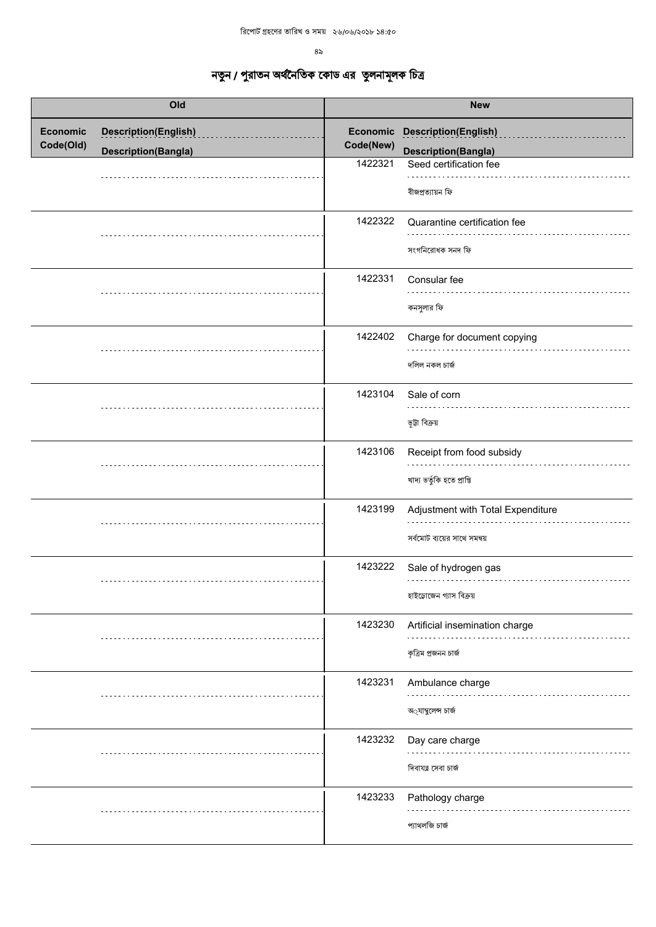$8<sub>2</sub>$ 

| Old                          |                             | <b>New</b> |                                                                          |
|------------------------------|-----------------------------|------------|--------------------------------------------------------------------------|
| <b>Economic</b><br>Code(Old) | <b>Description(English)</b> | Code(New)  | Economic Description(English)                                            |
|                              | <b>Description(Bangla)</b>  | 1422321    | <b>Description(Bangla)</b><br>Seed certification fee<br>বীজপ্ৰত্যায়ন ফি |
|                              |                             | 1422322    | Quarantine certification fee<br>সংগনিরোধক সনদ ফি                         |
|                              |                             | 1422331    | Consular fee<br>কনসুলার ফি                                               |
|                              |                             | 1422402    | Charge for document copying<br>দলিল নকল চার্জ                            |
|                              |                             | 1423104    | Sale of corn<br>ভূটা বিক্ৰয়                                             |
|                              |                             | 1423106    | Receipt from food subsidy<br>খাদ্য ভৰ্তুকি হতে প্ৰাপ্তি                  |
|                              |                             | 1423199    | Adjustment with Total Expenditure<br>সৰ্বমোট ব্যয়ের সাথে সমন্বয়        |
|                              |                             | 1423222    | Sale of hydrogen gas<br>হাইড্রোজেন গ্যাস বিক্রয়                         |
|                              |                             | 1423230    | Artificial insemination charge<br>কৃত্ৰিম প্ৰজনন চাৰ্জ                   |
|                              |                             | 1423231    | Ambulance charge<br>অ্যাম্বলেন্স চার্জ                                   |
|                              |                             | 1423232    | Day care charge<br>দিবাযত্ন সেবা চার্জ                                   |
|                              |                             | 1423233    | Pathology charge<br>প্যাথলজি চার্জ                                       |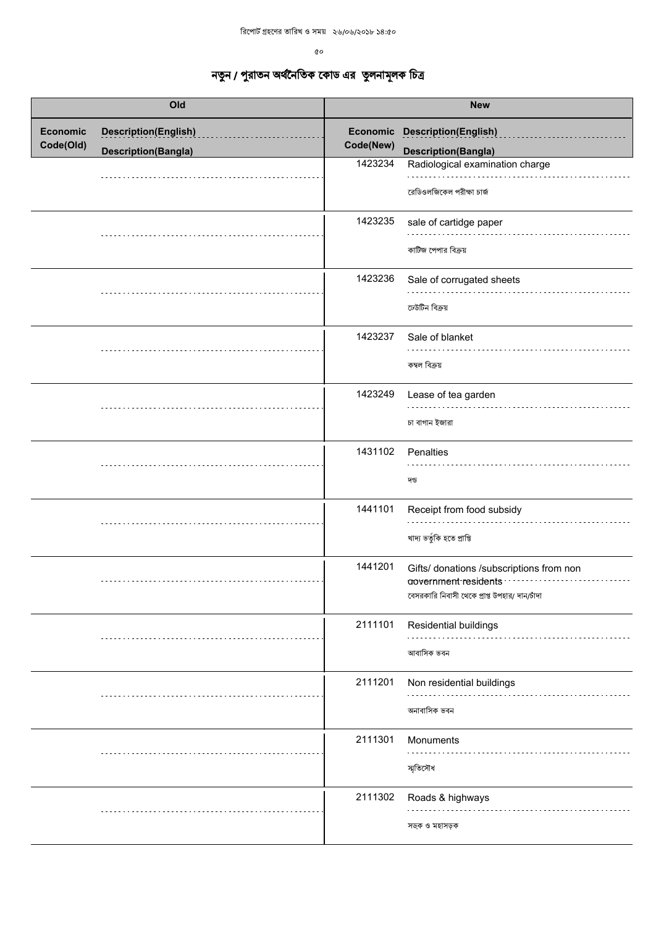$\mathfrak{o}\mathfrak{o}$ 

| Old                          |                                                           | <b>New</b>                       |                                                                                                                           |
|------------------------------|-----------------------------------------------------------|----------------------------------|---------------------------------------------------------------------------------------------------------------------------|
| <b>Economic</b><br>Code(Old) | <b>Description(English)</b><br><b>Description(Bangla)</b> | Economic<br>Code(New)<br>1423234 | <b>Description(English)</b><br><b>Description(Bangla)</b><br>Radiological examination charge<br>রেডিওলজিকেল পরীক্ষা চার্জ |
|                              |                                                           | 1423235                          | sale of cartidge paper<br>কাটিজ পেপার বিক্রয়                                                                             |
|                              |                                                           | 1423236                          | Sale of corrugated sheets<br>ঢেউটিন বিক্ৰয়                                                                               |
|                              |                                                           | 1423237                          | Sale of blanket<br>কম্বল বিক্ৰয়                                                                                          |
|                              |                                                           | 1423249                          | Lease of tea garden<br>চা বাগান ইজারা                                                                                     |
|                              |                                                           | 1431102                          | Penalties<br>দন্ড                                                                                                         |
|                              |                                                           | 1441101                          | Receipt from food subsidy<br>খাদ্য ভৰ্তুকি হতে প্ৰাপ্তি                                                                   |
|                              |                                                           | 1441201                          | Gifts/ donations /subscriptions from non<br>aovernment residents<br>বেসরকারি নিবাসী থেকে প্রাপ্ত উপহার/ দান/চাঁদা         |
|                              |                                                           | 2111101                          | Residential buildings<br>আবাসিক ভবন                                                                                       |
|                              |                                                           | 2111201                          | Non residential buildings<br>অনাবাসিক ভবন                                                                                 |
|                              |                                                           | 2111301                          | Monuments<br>স্মৃতিসৌধ                                                                                                    |
|                              |                                                           | 2111302                          | Roads & highways<br>সডক ও মহাসড়ক                                                                                         |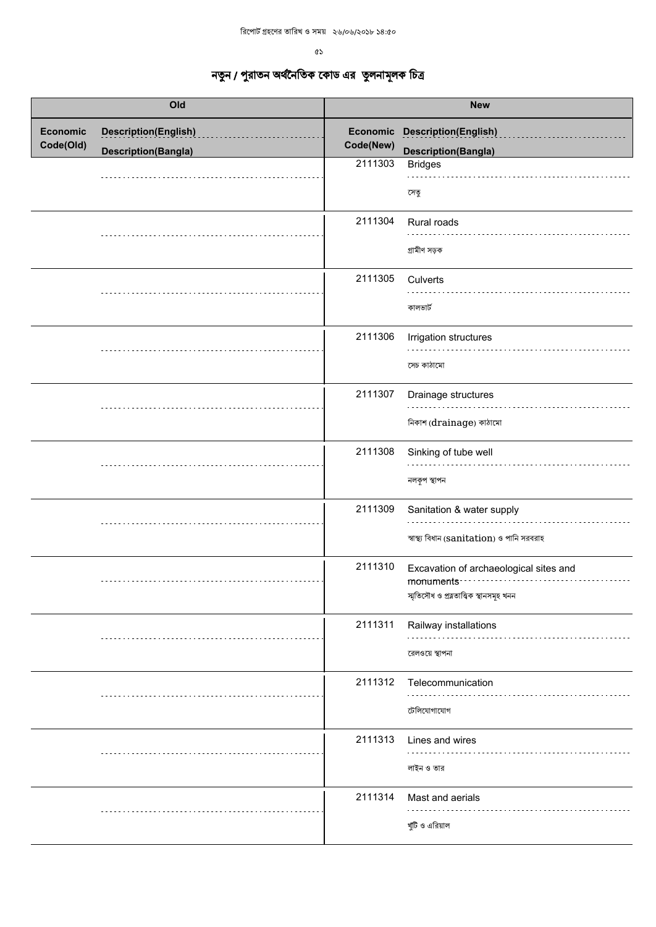|                              | Old                                                       |                       | <b>New</b>                                                                                       |
|------------------------------|-----------------------------------------------------------|-----------------------|--------------------------------------------------------------------------------------------------|
| <b>Economic</b><br>Code(Old) | <b>Description(English)</b><br><b>Description(Bangla)</b> | Economic<br>Code(New) | Description(English)<br><b>Description(Bangla)</b>                                               |
|                              |                                                           | 2111303               | <b>Bridges</b><br>সেতু                                                                           |
|                              |                                                           | 2111304               | Rural roads<br>গ্ৰামীণ সড়ক                                                                      |
|                              |                                                           | 2111305               | Culverts<br>কালভার্ট                                                                             |
|                              |                                                           | 2111306               | Irrigation structures<br>সেচ কাঠামো                                                              |
|                              |                                                           | 2111307               | Drainage structures<br>নিকাশ (drainage) কাঠামো                                                   |
|                              |                                                           | 2111308               | Sinking of tube well<br>নলকূপ স্থাপন                                                             |
|                              |                                                           | 2111309               | Sanitation & water supply<br>স্বাস্থ্য বিধান (sanitation) ও পানি সরবরাহ                          |
|                              |                                                           | 2111310               | Excavation of archaeological sites and<br>monuments<br>স্মৃতিসৌধ ও প্ৰত্নতাত্ত্বিক স্থানসমূহ খনন |
|                              |                                                           | 2111311               | Railway installations<br>রেলওয়ে স্থাপনা                                                         |
|                              |                                                           | 2111312               | Telecommunication<br>টেলিযোগাযোগ                                                                 |
|                              |                                                           | 2111313               | Lines and wires<br>লাইন ও তার                                                                    |
|                              |                                                           | 2111314               | Mast and aerials<br>খুঁটি ও এরিয়াল                                                              |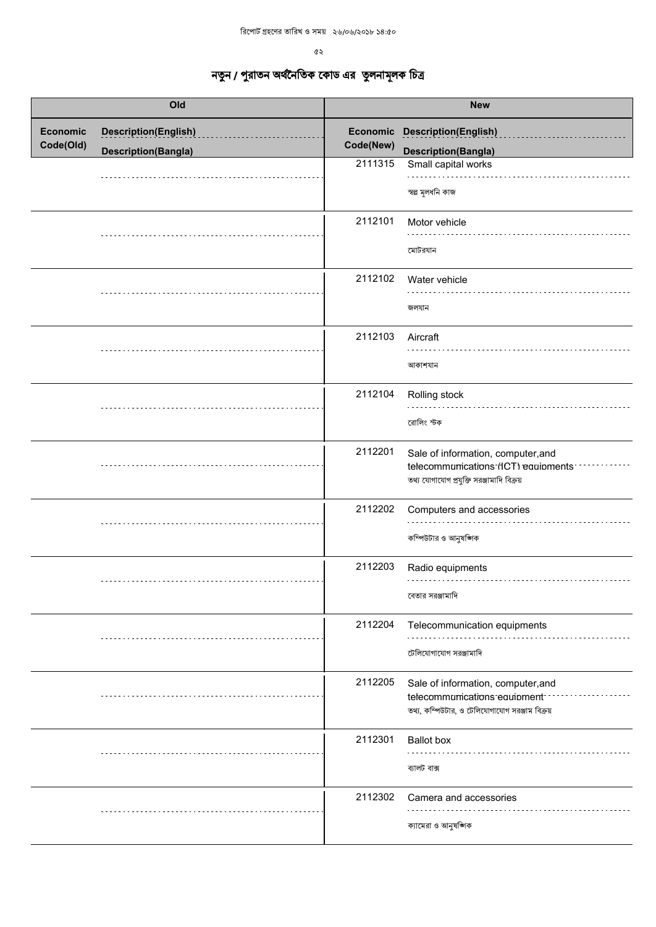$\alpha$ 

| Old                          |                                                           | <b>New</b>            |                                                                                                                        |
|------------------------------|-----------------------------------------------------------|-----------------------|------------------------------------------------------------------------------------------------------------------------|
| <b>Economic</b><br>Code(Old) | <b>Description(English)</b><br><b>Description(Bangla)</b> | Economic<br>Code(New) | <b>Description(English)</b><br><b>Description(Bangla)</b>                                                              |
|                              |                                                           | 2111315               | Small capital works<br>স্বল্প মূলধনি কাজ                                                                               |
|                              |                                                           | 2112101               | Motor vehicle<br>মোটরযান                                                                                               |
|                              |                                                           | 2112102               | Water vehicle<br>জলযান                                                                                                 |
|                              |                                                           | 2112103               | Aircraft<br>আকাশযান                                                                                                    |
|                              |                                                           | 2112104               | Rolling stock<br>রোলিং স্টক                                                                                            |
|                              |                                                           | 2112201               | Sale of information, computer, and<br>telecommunications (ICT) equipments<br>তথ্য যোগাযোগ প্রযুক্তি সরঞ্জামাদি বিক্রয় |
|                              |                                                           | 2112202               | Computers and accessories<br>কম্পিউটার ও আনুষঙ্গিক                                                                     |
|                              |                                                           | 2112203               | Radio equipments<br>বেতার সরঞ্জামাদি                                                                                   |
|                              |                                                           | 2112204               | Telecommunication equipments<br>টেলিযোগাযোগ সরঞ্জামাদি                                                                 |
|                              |                                                           | 2112205               | Sale of information, computer, and<br>telecommunications equipment<br>তথ্য, কম্পিউটার, ও টেলিযোগাযোগ সরঞ্জাম বিক্রয়   |
|                              |                                                           | 2112301               | <b>Ballot</b> box<br>ব্যালট বাক্স                                                                                      |
|                              |                                                           | 2112302               | Camera and accessories<br>ক্যামেরা ও আনুষজ্ঞাক                                                                         |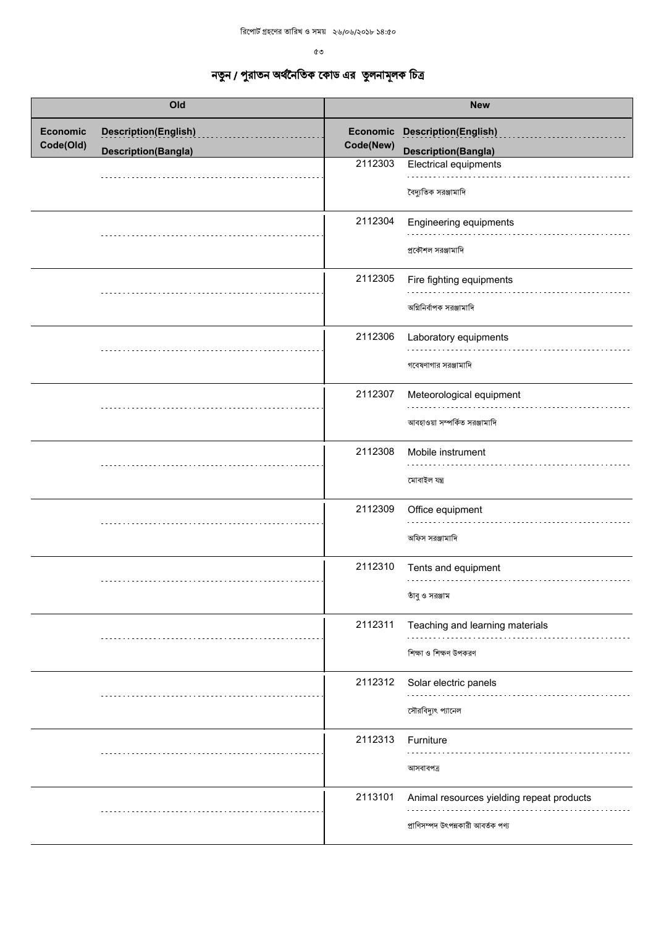$\mathfrak{G}$  ଓ

| Old                          |                             | <b>New</b> |                                                                                 |
|------------------------------|-----------------------------|------------|---------------------------------------------------------------------------------|
| <b>Economic</b><br>Code(Old) | <b>Description(English)</b> | Code(New)  | <b>Economic Description(English)</b>                                            |
|                              | <b>Description(Bangla)</b>  |            | <b>Description(Bangla)</b>                                                      |
|                              |                             | 2112303    | Electrical equipments<br>বৈদ্যুতিক সরঞ্জামাদি                                   |
|                              |                             | 2112304    | Engineering equipments<br>প্রকৌশল সরঞ্জামাদি                                    |
|                              |                             | 2112305    | Fire fighting equipments<br>অগ্নিনির্বাপক সরঞ্জামাদি                            |
|                              |                             | 2112306    | Laboratory equipments<br>গবেষণাগার সরঞ্জামাদি                                   |
|                              |                             | 2112307    | Meteorological equipment<br>আবহাওয়া সম্পর্কিত সরঞ্জামাদি                       |
|                              |                             | 2112308    | Mobile instrument<br>মোবাইল যন্ত্ৰ                                              |
|                              |                             | 2112309    | Office equipment<br>অফিস সরঞ্জামাদি                                             |
|                              |                             | 2112310    | Tents and equipment<br>তাঁবু ও সরঞ্জাম                                          |
|                              |                             | 2112311    | Teaching and learning materials<br>শিক্ষা ও শিক্ষণ উপকরণ                        |
|                              |                             | 2112312    | Solar electric panels<br>সৌরবিদ্যুৎ প্যানেল                                     |
|                              |                             | 2112313    | Furniture<br>আসবাবপত্ৰ                                                          |
|                              |                             | 2113101    | Animal resources yielding repeat products<br>প্রাণিসম্পদ উৎপন্নকারী আবর্তক পণ্য |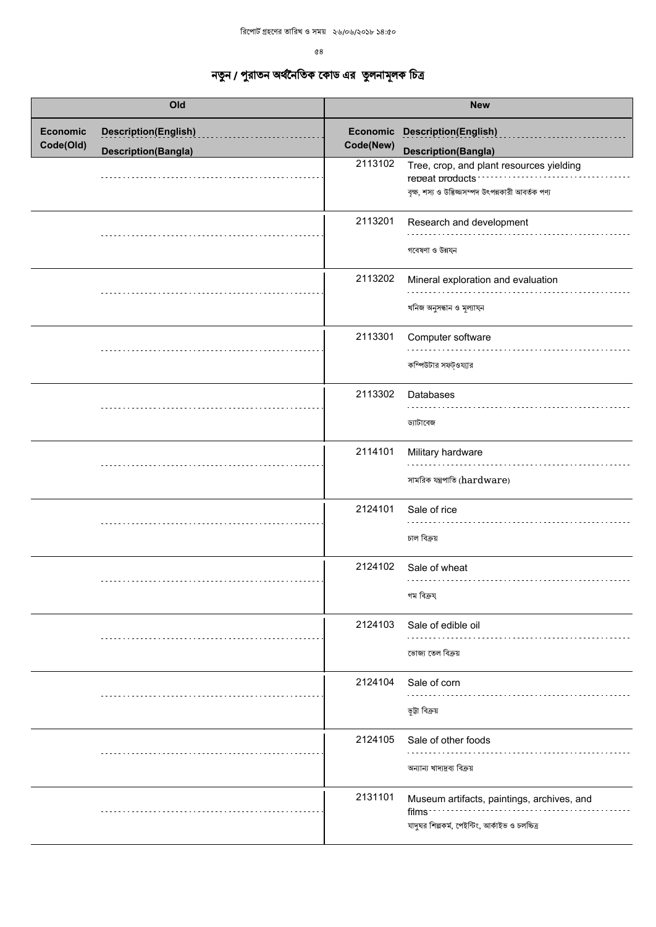| Old                          |                                                           |           | <b>New</b>                                                                                                          |
|------------------------------|-----------------------------------------------------------|-----------|---------------------------------------------------------------------------------------------------------------------|
| <b>Economic</b><br>Code(Old) | <b>Description(English)</b><br><b>Description(Bangla)</b> | Code(New) | Economic Description(English)<br><b>Description(Bangla)</b>                                                         |
|                              |                                                           | 2113102   | Tree, crop, and plant resources yielding<br>reneat products<br>বৃক্ষ, শস্য ও উদ্ভিজ্জসম্পদ উৎপন্নকারী আবর্তক পণ্য   |
|                              |                                                           | 2113201   | Research and development<br>গবেষণা ও উন্নয্ন                                                                        |
|                              |                                                           | 2113202   | Mineral exploration and evaluation<br>খনিজ অনুসন্ধান ও মূল্যায্ন                                                    |
|                              |                                                           | 2113301   | Computer software<br>কম্পিউটার সফট্ওয্যার                                                                           |
|                              |                                                           | 2113302   | Databases<br>ড্যাটাবেজ                                                                                              |
|                              |                                                           | 2114101   | Military hardware<br>সামরিক যন্ত্রপাতি (hardware)                                                                   |
|                              |                                                           | 2124101   | Sale of rice<br>চাল বিক্ৰয়                                                                                         |
|                              |                                                           | 2124102   | Sale of wheat<br>গম বিক্ৰয                                                                                          |
|                              |                                                           | 2124103   | Sale of edible oil<br>ভোজ্য তেল বিক্ৰয়                                                                             |
|                              |                                                           | 2124104   | Sale of corn<br>ভূটা বিক্ৰয়                                                                                        |
|                              |                                                           | 2124105   | Sale of other foods<br>অন্যান্য খাদ্যদ্রব্য বিক্রয়                                                                 |
|                              |                                                           | 2131101   | Museum artifacts, paintings, archives, and<br>films <sup>-</sup><br>যাদুঘর শিল্পকর্ম, পেইন্টিং, আর্কাইভ ও চলচ্চিত্র |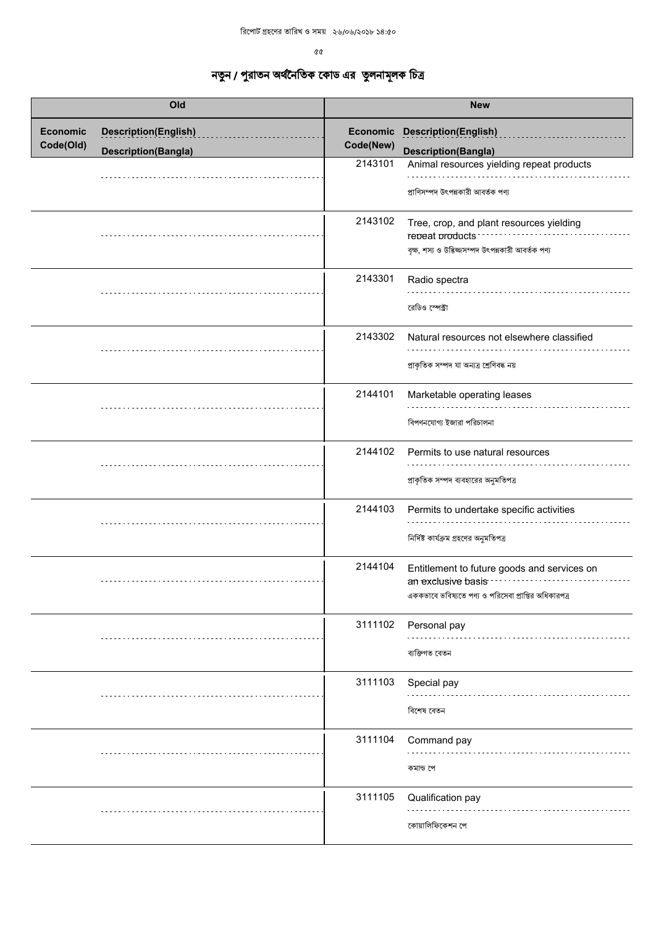| Old                          |                                                           |                      | <b>New</b>                                                                                                                                            |
|------------------------------|-----------------------------------------------------------|----------------------|-------------------------------------------------------------------------------------------------------------------------------------------------------|
| <b>Economic</b><br>Code(Old) | <b>Description(English)</b><br><b>Description(Bangla)</b> | Code(New)<br>2143101 | <b>Economic Description(English)</b><br><b>Description(Bangla)</b><br>Animal resources yielding repeat products<br>প্ৰাণিসম্পদ উৎপন্নকারী আবর্তক পণ্য |
|                              |                                                           | 2143102              | Tree, crop, and plant resources yielding<br>reneat products:<br>বৃক্ষ, শস্য ও উত্তিজ্জসম্পদ উৎপন্নকারী আবর্তক পণ্য                                    |
|                              |                                                           | 2143301              | Radio spectra<br>রেডিও স্পেক্টা                                                                                                                       |
|                              |                                                           | 2143302              | Natural resources not elsewhere classified<br>প্ৰাকৃতিক সম্পদ যা অন্যত্ৰ শ্ৰেণিবদ্ধ নয়                                                               |
|                              |                                                           | 2144101              | Marketable operating leases<br>বিপণনযোগ্য ইজারা পরিচালনা                                                                                              |
|                              |                                                           | 2144102              | Permits to use natural resources<br>প্রাকৃতিক সম্পদ ব্যবহারের অনুমতিপত্র                                                                              |
|                              |                                                           | 2144103              | Permits to undertake specific activities<br>নির্দিষ্ট কার্যক্রম গ্রহণের অনুমতিপত্র                                                                    |
|                              |                                                           | 2144104              | Entitlement to future goods and services on<br>an exclusive basis<br>এককভাবে ভবিষ্যতে পণ্য ও পরিসেবা প্রাপ্তির অধিকারপত্র                             |
|                              |                                                           | 3111102              | Personal pay<br>ব্যক্তিগত বেতন                                                                                                                        |
|                              |                                                           | 3111103              | Special pay<br>বিশেষ বেতন                                                                                                                             |
|                              |                                                           | 3111104              | Command pay<br>কমান্ড পে                                                                                                                              |
|                              |                                                           | 3111105              | Qualification pay<br>কোয়ালিফিকেশন পে                                                                                                                 |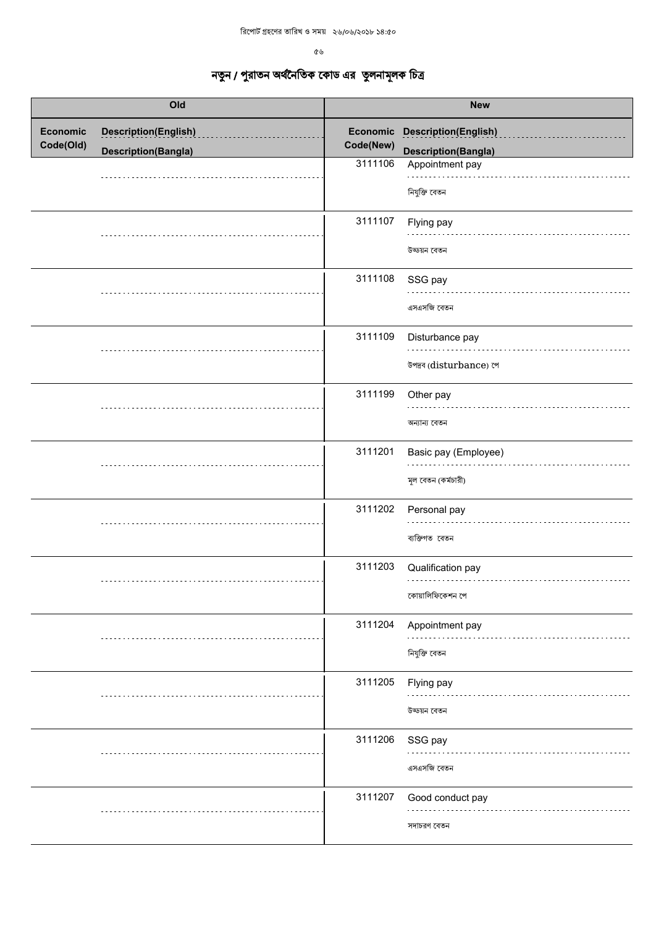| Old                          |                             | <b>New</b> |                                             |
|------------------------------|-----------------------------|------------|---------------------------------------------|
| <b>Economic</b><br>Code(Old) | <b>Description(English)</b> | Code(New)  | Economic Description(English)               |
|                              | <b>Description(Bangla)</b>  | 3111106    | Description(Bangla)<br>Appointment pay      |
|                              |                             |            | নিযুক্তি বেতন                               |
|                              |                             | 3111107    | Flying pay<br>উড্ডয়ন বেতন                  |
|                              |                             | 3111108    | SSG pay<br>এসএসজি বেতন                      |
|                              |                             | 3111109    | Disturbance pay<br>উপদ্রব (disturbance) পে  |
|                              |                             | 3111199    | Other pay<br>অন্যান্য বেতন                  |
|                              |                             | 3111201    | Basic pay (Employee)<br>মূল বেতন (কর্মচারী) |
|                              |                             | 3111202    | Personal pay<br>ব্যক্তিগত বেতন              |
|                              |                             | 3111203    | Qualification pay<br>কোয়ালিফিকেশন পে       |
|                              |                             | 3111204    | Appointment pay<br>নিযুক্তি বেতন            |
|                              |                             | 3111205    | Flying pay<br>উড্ডয়ন বেতন                  |
|                              |                             | 3111206    | SSG pay<br>এসএসজি বেতন                      |
|                              |                             | 3111207    | Good conduct pay<br>সদাচরণ বেতন             |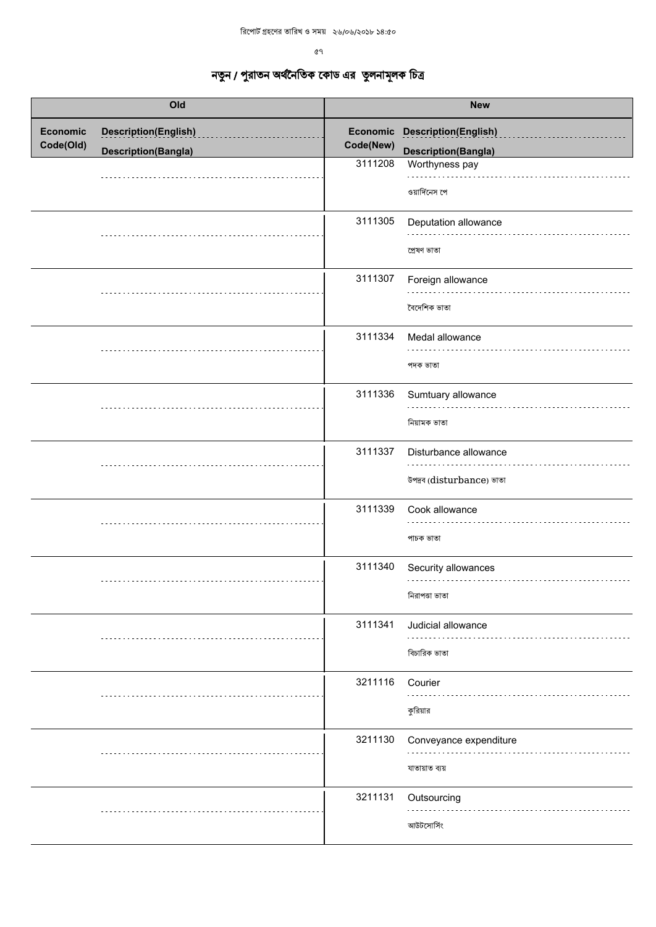| Old                          |                             | <b>New</b> |                                                    |
|------------------------------|-----------------------------|------------|----------------------------------------------------|
| <b>Economic</b><br>Code(Old) | <b>Description(English)</b> | Code(New)  | Economic Description(English)                      |
|                              | <b>Description(Bangla)</b>  | 3111208    | <b>Description(Bangla)</b><br>Worthyness pay       |
|                              |                             |            | ওয়ার্দিনেস পে                                     |
|                              |                             | 3111305    | Deputation allowance<br>প্ৰেষণ ভাতা                |
|                              |                             | 3111307    | Foreign allowance<br>বৈদেশিক ভাতা                  |
|                              |                             | 3111334    | Medal allowance<br>পদক ভাতা                        |
|                              |                             | 3111336    | Sumtuary allowance<br>নিয়ামক ভাতা                 |
|                              |                             | 3111337    | Disturbance allowance<br>উপদ্ৰব (disturbance) ভাতা |
|                              |                             | 3111339    | Cook allowance<br>পাচক ভাতা                        |
|                              |                             | 3111340    | Security allowances<br>নিরাপতা ভাতা                |
|                              |                             | 3111341    | Judicial allowance<br>বিচারিক ভাতা                 |
|                              |                             | 3211116    | Courier<br>কুরিয়ার                                |
|                              |                             | 3211130    | Conveyance expenditure<br>যাতায়াত ব্যয়           |
|                              |                             | 3211131    | Outsourcing<br>আউটসোর্সিং                          |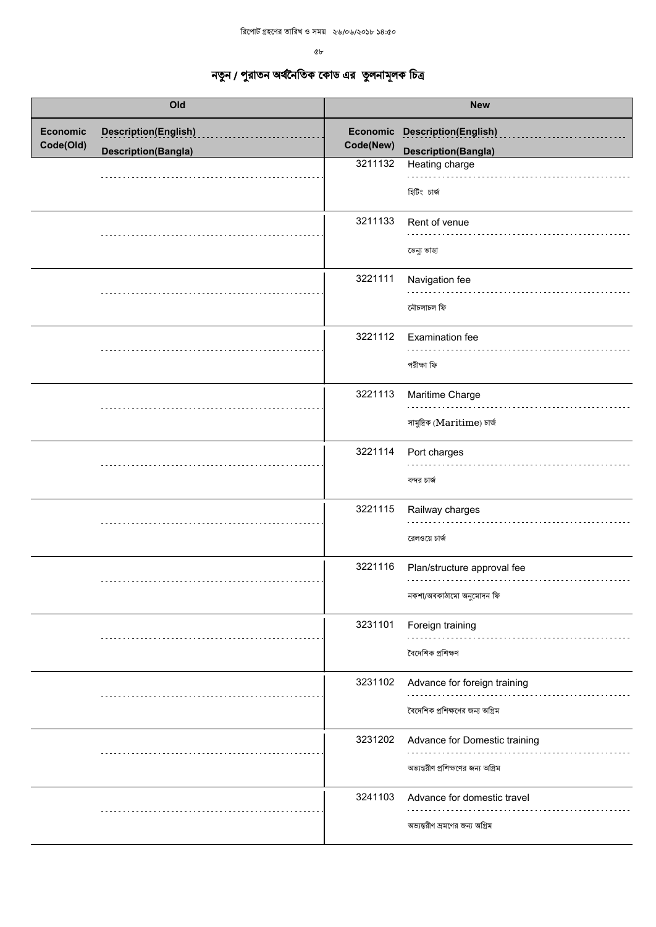৫৮  $\sqrt{2}$ 

| Old                          |                                                           | <b>New</b> |                                                                     |
|------------------------------|-----------------------------------------------------------|------------|---------------------------------------------------------------------|
| <b>Economic</b><br>Code(Old) | <b>Description(English)</b><br><b>Description(Bangla)</b> | Code(New)  | <b>Economic Description(English)</b><br><b>Description(Bangla)</b>  |
|                              |                                                           | 3211132    | Heating charge<br>হিটিং চাৰ্জ                                       |
|                              |                                                           | 3211133    | Rent of venue<br>ভেন্যু ভাডা                                        |
|                              |                                                           | 3221111    | Navigation fee<br>নৌচলাচল ফি                                        |
|                              |                                                           | 3221112    | Examination fee<br>পরীক্ষা ফি                                       |
|                              |                                                           | 3221113    | Maritime Charge<br>সামুদ্রিক (Maritime) চার্জ                       |
|                              |                                                           | 3221114    | Port charges<br>বন্দর চার্জ                                         |
|                              |                                                           | 3221115    | Railway charges<br>রেলওয়ে চার্জ                                    |
|                              |                                                           | 3221116    | Plan/structure approval fee<br>নকশা/অবকাঠামো অনুমোদন ফি             |
|                              |                                                           | 3231101    | Foreign training<br>বৈদেশিক প্ৰশিক্ষণ                               |
|                              |                                                           | 3231102    | Advance for foreign training<br>বৈদেশিক প্রশিক্ষণের জন্য অগ্রিম     |
|                              |                                                           | 3231202    | Advance for Domestic training<br>অভ্যন্তরীণ প্রশিক্ষণের জন্য অগ্রিম |
|                              |                                                           | 3241103    | Advance for domestic travel<br>অভ্যন্তরীণ ভ্রমণের জন্য অগ্রিম       |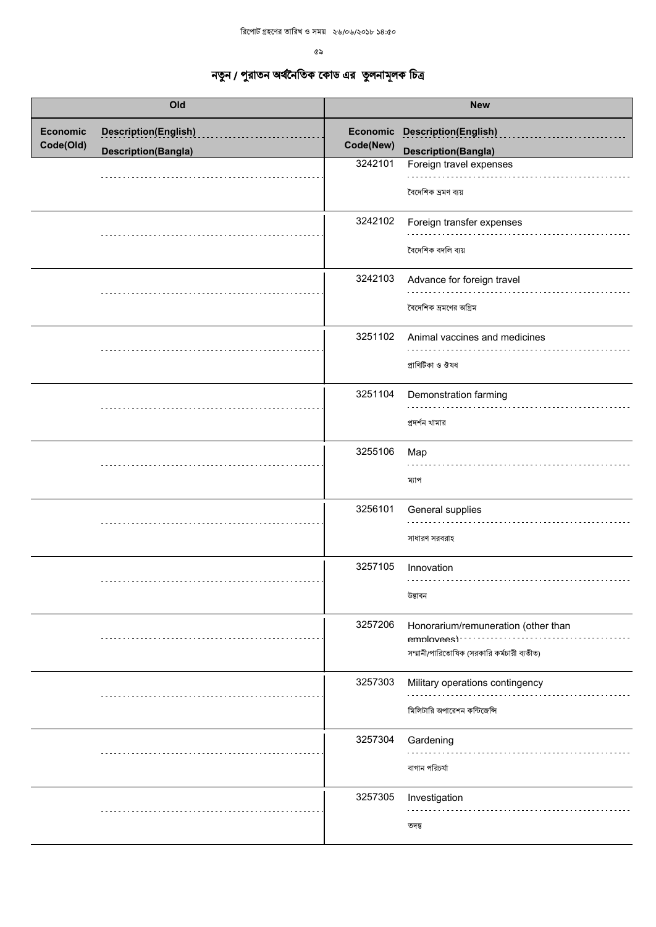| Old                          |                                                           |                      | <b>New</b>                                                                                      |
|------------------------------|-----------------------------------------------------------|----------------------|-------------------------------------------------------------------------------------------------|
| <b>Economic</b><br>Code(Old) | <b>Description(English)</b><br><b>Description(Bangla)</b> | Code(New)<br>3242101 | <b>Economic Description(English)</b><br><b>Description(Bangla)</b><br>Foreign travel expenses   |
|                              |                                                           | 3242102              | বৈদেশিক ভ্ৰমণ ব্যয়<br>Foreign transfer expenses<br>বৈদেশিক বদলি ব্যয়                          |
|                              |                                                           | 3242103              | Advance for foreign travel<br>বৈদেশিক ভ্রমণের অগ্রিম                                            |
|                              |                                                           | 3251102              | Animal vaccines and medicines<br>প্ৰাণিটিকা ও ঔষধ                                               |
|                              |                                                           | 3251104              | Demonstration farming<br>প্ৰদৰ্শন খামার                                                         |
|                              |                                                           | 3255106              | Map<br>ম্যাপ                                                                                    |
|                              |                                                           | 3256101              | General supplies<br>সাধারণ সরবরাহ                                                               |
|                              |                                                           | 3257105              | Innovation<br>উদ্ভাবন                                                                           |
|                              |                                                           | 3257206              | Honorarium/remuneration (other than<br>emplovees)<br>সম্মানী/পারিতোষিক (সরকারি কর্মচারী ব্যতীত) |
|                              |                                                           | 3257303              | Military operations contingency<br>মিলিটারি অপারেশন কন্টিজেন্সি                                 |
|                              |                                                           | 3257304              | Gardening<br>বাগান পরিচর্যা                                                                     |
|                              |                                                           | 3257305              | Investigation<br>তদন্ত                                                                          |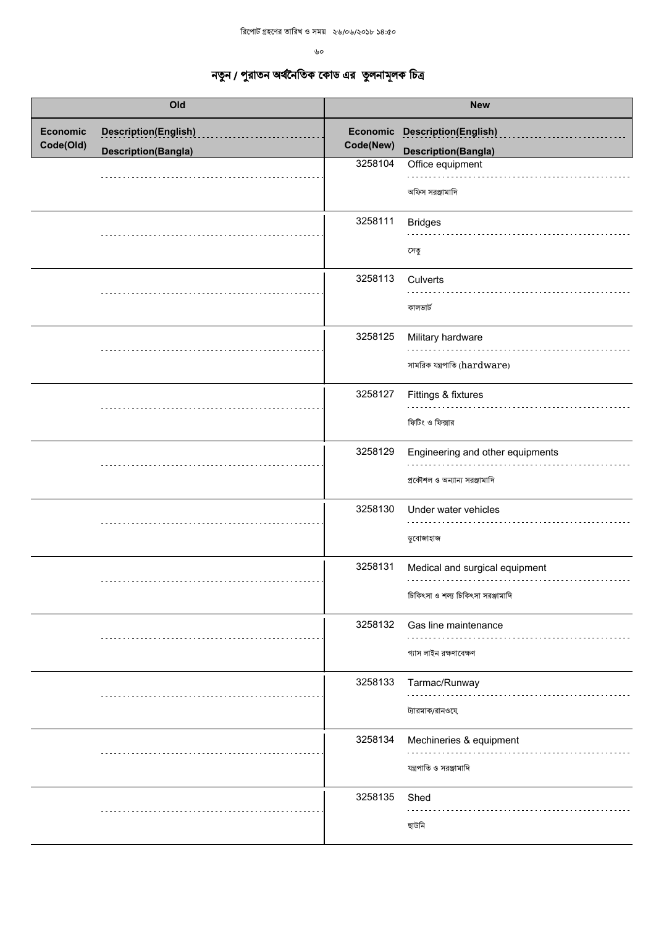| Old                          |                                                           |                                  | <b>New</b>                                                                                       |
|------------------------------|-----------------------------------------------------------|----------------------------------|--------------------------------------------------------------------------------------------------|
| <b>Economic</b><br>Code(Old) | <b>Description(English)</b><br><b>Description(Bangla)</b> | Economic<br>Code(New)<br>3258104 | <b>Description(English)</b><br><b>Description(Bangla)</b><br>Office equipment<br>অফিস সরঞ্জামাদি |
|                              |                                                           | 3258111                          | <b>Bridges</b><br>সেতু                                                                           |
|                              |                                                           | 3258113                          | Culverts<br>কালভাৰ্ট                                                                             |
|                              |                                                           | 3258125                          | Military hardware<br>সামরিক যন্ত্রপাতি (hardware)                                                |
|                              |                                                           | 3258127                          | Fittings & fixtures<br>ফিটিং ও ফিক্সার                                                           |
|                              |                                                           | 3258129                          | Engineering and other equipments<br>প্রকৌশল ও অন্যান্য সরঞ্জামাদি                                |
|                              |                                                           | 3258130                          | Under water vehicles<br>ডুবোজাহাজ                                                                |
|                              |                                                           | 3258131                          | Medical and surgical equipment<br>চিকিৎসা ও শল্য চিকিৎসা সরঞ্জামাদি                              |
|                              |                                                           | 3258132                          | Gas line maintenance<br>গ্যাস লাইন রক্ষণাবেক্ষণ                                                  |
|                              |                                                           | 3258133                          | Tarmac/Runway<br>ট্যারমাক/রানওযে                                                                 |
|                              |                                                           | 3258134                          | Mechineries & equipment<br>যন্ত্রপাতি ও সরঞ্জামাদি                                               |
|                              |                                                           | 3258135                          | Shed<br>ছাউনি                                                                                    |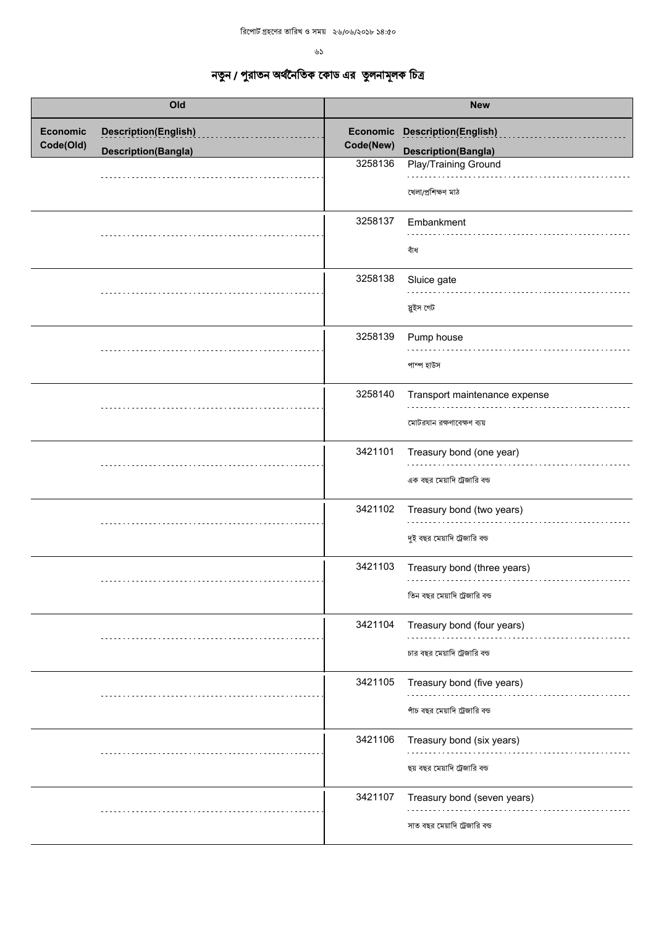$\mathcal{B}$ 

| Old                          |                                                           |                                  | <b>New</b>                                                                                              |
|------------------------------|-----------------------------------------------------------|----------------------------------|---------------------------------------------------------------------------------------------------------|
| <b>Economic</b><br>Code(Old) | <b>Description(English)</b><br><b>Description(Bangla)</b> | Economic<br>Code(New)<br>3258136 | <b>Description(English)</b><br><b>Description(Bangla)</b><br>Play/Training Ground<br>খেলা/প্ৰশিক্ষণ মাঠ |
|                              |                                                           | 3258137                          | Embankment<br>বাঁধ                                                                                      |
|                              |                                                           | 3258138                          | Sluice gate<br>স্নুইস গেট                                                                               |
|                              |                                                           | 3258139                          | Pump house<br>পাম্প হাউস                                                                                |
|                              |                                                           | 3258140                          | Transport maintenance expense<br>মোটরযান রক্ষণাবেক্ষণ ব্যয়                                             |
|                              |                                                           | 3421101                          | Treasury bond (one year)<br>এক বছর মেয়াদি ট্রেজারি বন্ড                                                |
|                              |                                                           | 3421102                          | Treasury bond (two years)<br>দুই বছর মেয়াদি ট্রেজারি বন্ড                                              |
|                              |                                                           | 3421103                          | Treasury bond (three years)<br>তিন বছর মেয়াদি ট্রেজারি বন্ড                                            |
|                              |                                                           | 3421104                          | Treasury bond (four years)<br>চার বছর মেয়াদি ট্রেজারি বন্ড                                             |
|                              |                                                           | 3421105                          | Treasury bond (five years)<br>পাঁচ বছর মেয়াদি ট্রেজারি বন্ড                                            |
|                              |                                                           | 3421106                          | Treasury bond (six years)<br>ছয় বছর মেয়াদি ট্রেজারি বন্ড                                              |
|                              |                                                           | 3421107                          | Treasury bond (seven years)<br>সাত বছর মেয়াদি ট্রেজারি বন্ড                                            |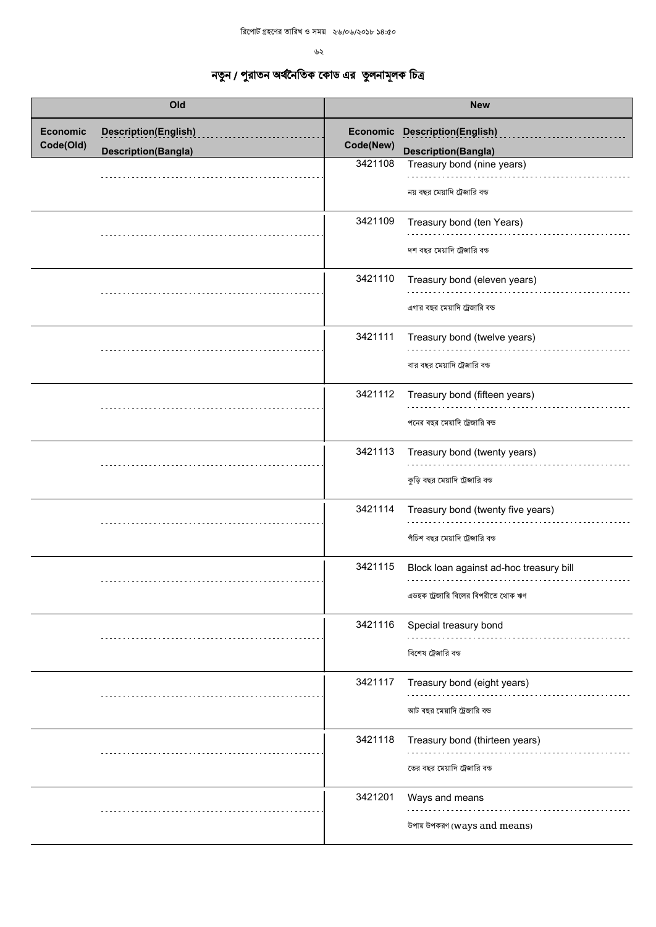| Old                          |                                                           |                                  | <b>New</b>                                                                              |
|------------------------------|-----------------------------------------------------------|----------------------------------|-----------------------------------------------------------------------------------------|
| <b>Economic</b><br>Code(Old) | <b>Description(English)</b><br><b>Description(Bangla)</b> | Economic<br>Code(New)<br>3421108 | <b>Description(English)</b><br><b>Description(Bangla)</b><br>Treasury bond (nine years) |
|                              |                                                           |                                  | নয় বছর মেয়াদি ট্রেজারি বন্ড                                                           |
|                              |                                                           | 3421109                          | Treasury bond (ten Years)<br>দশ বছর মেয়াদি ট্রেজারি বন্ড                               |
|                              |                                                           | 3421110                          | Treasury bond (eleven years)<br>এগার বছর মেয়াদি ট্রেজারি বন্ড                          |
|                              |                                                           | 3421111                          | Treasury bond (twelve years)<br>বার বছর মেয়াদি ট্রেজারি বন্ড                           |
|                              |                                                           | 3421112                          | Treasury bond (fifteen years)<br>পনের বছর মেয়াদি ট্রেজারি বন্ড                         |
|                              |                                                           | 3421113                          | Treasury bond (twenty years)<br>কুড়ি বছর মেয়াদি ট্রেজারি বন্ড                         |
|                              |                                                           | 3421114                          | Treasury bond (twenty five years)<br>পঁচিশ বছর মেয়াদি ট্রেজারি বন্ড                    |
|                              |                                                           | 3421115                          | Block loan against ad-hoc treasury bill<br>এডহক ট্রেজারি বিলের বিপরীতে থোক ঋণ           |
|                              |                                                           | 3421116                          | Special treasury bond<br>বিশেষ ট্রেজারি বন্ড                                            |
|                              |                                                           | 3421117                          | Treasury bond (eight years)<br>আট বছর মেয়াদি ট্রেজারি বন্ড                             |
|                              |                                                           | 3421118                          | Treasury bond (thirteen years)<br>তের বছর মেয়াদি ট্রেজারি বন্ড                         |
|                              |                                                           | 3421201                          | Ways and means<br>উপায় উপকরণ (ways and means)                                          |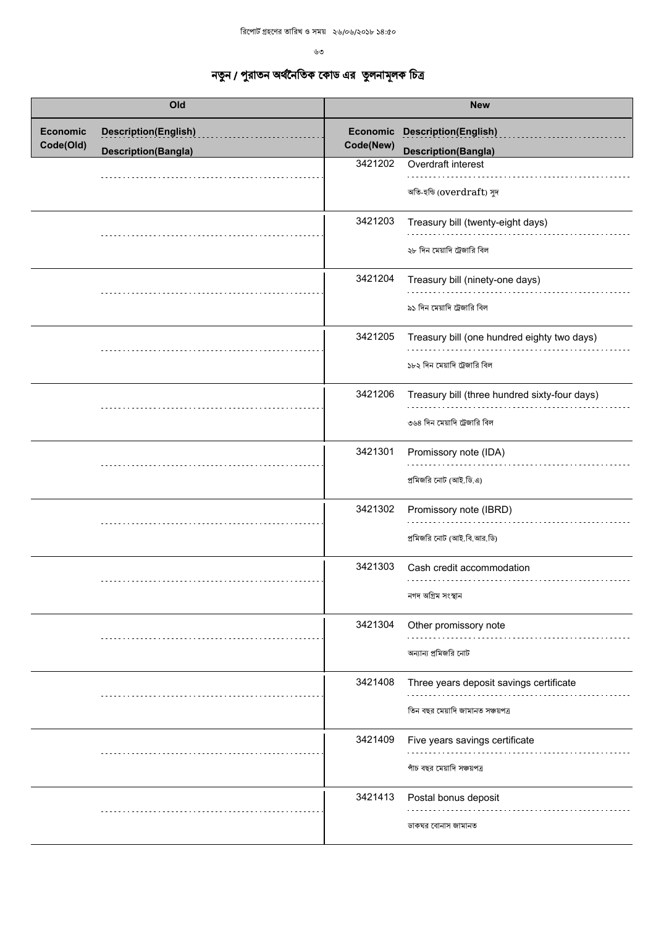| Old                          |                             | <b>New</b>            |                                                                               |
|------------------------------|-----------------------------|-----------------------|-------------------------------------------------------------------------------|
| <b>Economic</b><br>Code(Old) | <b>Description(English)</b> | Economic<br>Code(New) | <b>Description(English)</b>                                                   |
|                              | <b>Description(Bangla)</b>  |                       | <b>Description(Bangla)</b>                                                    |
|                              |                             | 3421202               | Overdraft interest<br>অতি-হন্ডি (overdraft) সুদ                               |
|                              |                             | 3421203               | Treasury bill (twenty-eight days)<br>২৮ দিন মেয়াদি ট্রেজারি বিল              |
|                              |                             | 3421204               | Treasury bill (ninety-one days)<br>৯১ দিন মেয়াদি ট্রেজারি বিল                |
|                              |                             | 3421205               | Treasury bill (one hundred eighty two days)<br>১৮২ দিন মেয়াদি ট্রেজারি বিল   |
|                              |                             | 3421206               | Treasury bill (three hundred sixty-four days)<br>৩৬৪ দিন মেয়াদি ট্রেজারি বিল |
|                              |                             | 3421301               | Promissory note (IDA)<br>প্রমিজরি নোট (আই.ডি.এ)                               |
|                              |                             | 3421302               | Promissory note (IBRD)<br>প্রমিজরি নোট (আই.বি.আর.ডি)                          |
|                              |                             | 3421303               | Cash credit accommodation<br>নগদ অগ্ৰিম সংস্থান                               |
|                              |                             | 3421304               | Other promissory note<br>অন্যান্য প্রমিজরি নোট                                |
|                              |                             | 3421408               | Three years deposit savings certificate<br>তিন বছর মেয়াদি জামানত সঞ্চয়পত্র  |
|                              |                             | 3421409               | Five years savings certificate<br>পাঁচ বছর মেয়াদি সঞ্চয়পত্র                 |
|                              |                             | 3421413               | Postal bonus deposit<br>ডাকঘর বোনাস জামানত                                    |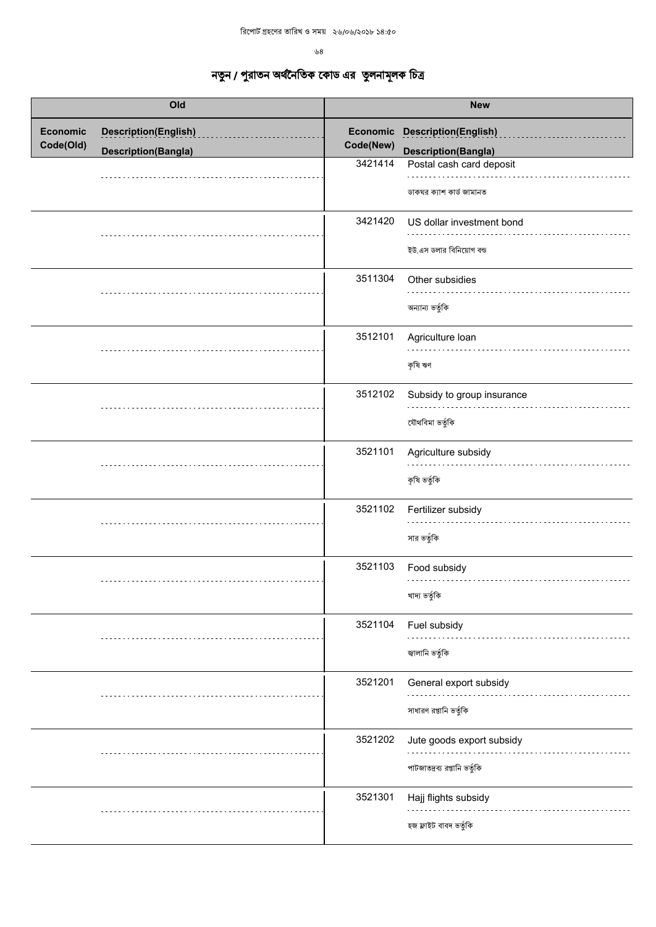৬ $8\,$ 

| Old                          |                                                           |                                  | <b>New</b>                                                                            |
|------------------------------|-----------------------------------------------------------|----------------------------------|---------------------------------------------------------------------------------------|
| <b>Economic</b><br>Code(Old) | <b>Description(English)</b><br><b>Description(Bangla)</b> | Economic<br>Code(New)<br>3421414 | <b>Description(English)</b><br><b>Description(Bangla)</b><br>Postal cash card deposit |
|                              |                                                           |                                  | ডাকঘর ক্যাশ কার্ড জামানত                                                              |
|                              |                                                           | 3421420                          | US dollar investment bond<br>ইউ.এস ডলার বিনিয়োগ বন্ড                                 |
|                              |                                                           | 3511304                          | Other subsidies<br>অন্যান্য ভর্তুকি                                                   |
|                              |                                                           | 3512101                          | Agriculture Ioan<br>কৃষি ঋণ                                                           |
|                              |                                                           | 3512102                          | Subsidy to group insurance<br>যৌথবিমা ভৰ্তুকি                                         |
|                              |                                                           | 3521101                          | Agriculture subsidy<br>কৃষি ভৰ্তুকি                                                   |
|                              |                                                           | 3521102                          | Fertilizer subsidy<br>সার ভর্তুকি                                                     |
|                              |                                                           | 3521103                          | Food subsidy<br>খাদ্য ভৰ্তুকি                                                         |
|                              |                                                           | 3521104                          | Fuel subsidy<br>জ্বালানি ভর্তুকি                                                      |
|                              |                                                           | 3521201                          | General export subsidy<br>সাধারণ রপ্তানি ভর্তুকি                                      |
|                              |                                                           | 3521202                          | Jute goods export subsidy<br>পাটজাতদ্রব্য রপ্তানি ভর্তুকি                             |
|                              |                                                           | 3521301                          | Hajj flights subsidy<br>হজ ফ্লাইট বাবদ ভৰ্তুকি                                        |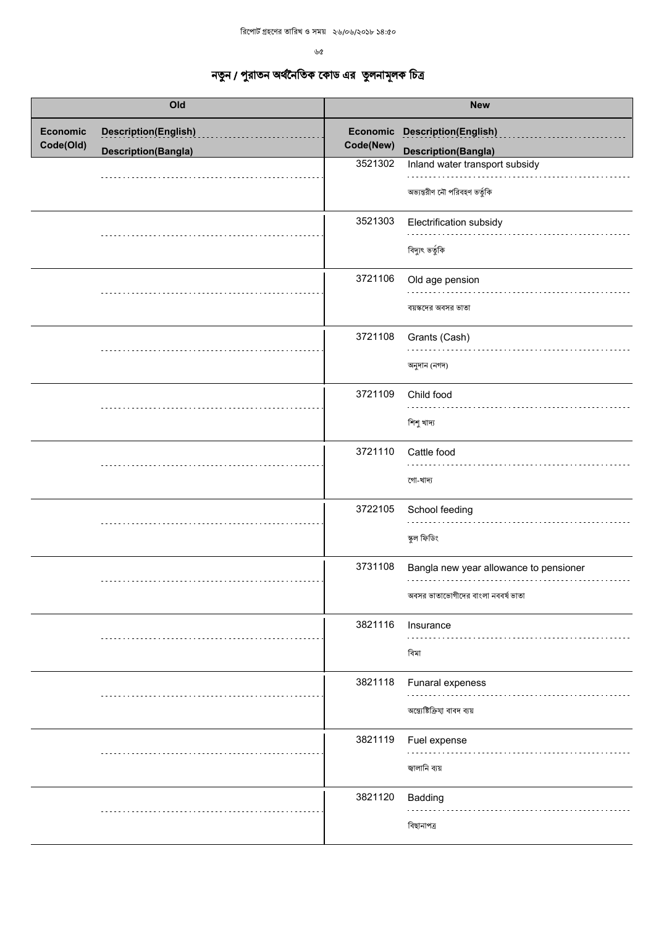| Old                          |                                                           | <b>New</b>                       |                                                                                             |
|------------------------------|-----------------------------------------------------------|----------------------------------|---------------------------------------------------------------------------------------------|
| <b>Economic</b><br>Code(Old) | <b>Description(English)</b><br><b>Description(Bangla)</b> | Economic<br>Code(New)<br>3521302 | <b>Description(English)</b><br><b>Description(Bangla)</b><br>Inland water transport subsidy |
|                              |                                                           |                                  | অভ্যন্তরীণ নৌ পরিবহণ ভর্তুকি                                                                |
|                              |                                                           | 3521303                          | Electrification subsidy<br>বিদ্যুৎ ভৰ্তুকি                                                  |
|                              |                                                           | 3721106                          | Old age pension<br>বয়স্কদের অবসর ভাতা                                                      |
|                              |                                                           | 3721108                          | Grants (Cash)<br>অনুদান (নগদ)                                                               |
|                              |                                                           | 3721109                          | Child food<br>শিশু খাদ্য                                                                    |
|                              |                                                           | 3721110                          | Cattle food<br>গো-খাদ্য                                                                     |
|                              |                                                           | 3722105                          | School feeding<br>স্কুল ফিডিং                                                               |
|                              |                                                           | 3731108                          | Bangla new year allowance to pensioner<br>অবসর ভাতাভোগীদের বাংলা নববর্ষ ভাতা                |
|                              |                                                           | 3821116                          | Insurance<br>বিমা                                                                           |
|                              |                                                           | 3821118                          | Funaral expeness<br>অন্ত্যেষ্টিক্রিয়া বাবদ ব্যয়                                           |
|                              |                                                           | 3821119                          | Fuel expense<br>জ্বালানি ব্যয়                                                              |
|                              |                                                           | 3821120                          | Badding<br>বিছানাপত্ৰ                                                                       |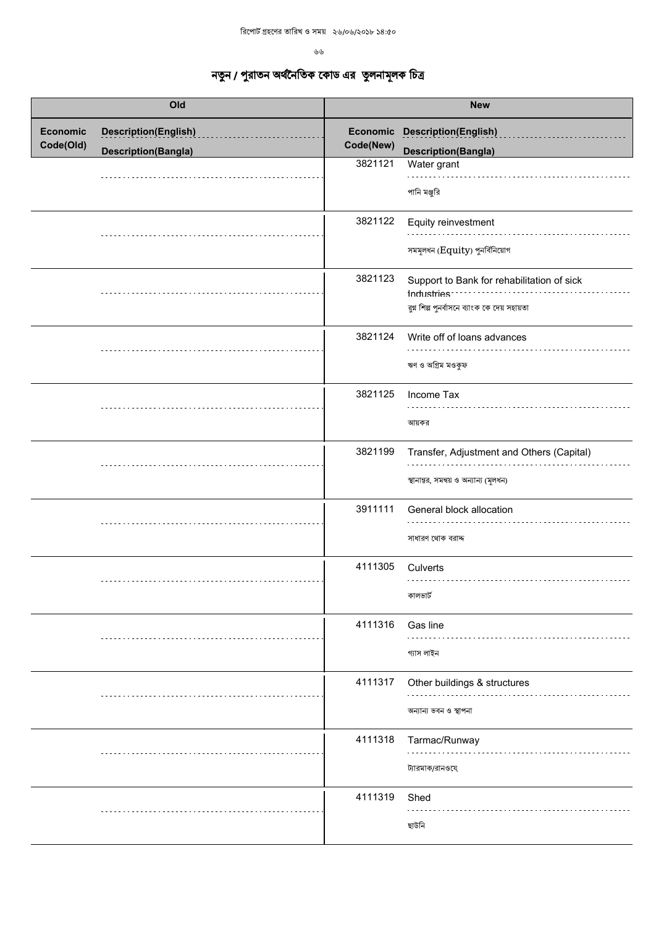| Old                          |                             | <b>New</b> |                                                                                                           |
|------------------------------|-----------------------------|------------|-----------------------------------------------------------------------------------------------------------|
| <b>Economic</b><br>Code(Old) | <b>Description(English)</b> | Code(New)  | Economic Description(English)                                                                             |
|                              | <b>Description(Bangla)</b>  |            | <b>Description(Bangla)</b>                                                                                |
|                              |                             | 3821121    | Water grant<br>পানি মঞ্জুরি                                                                               |
|                              |                             | 3821122    | Equity reinvestment<br>সমমূলধন $(Equity)$ পুনর্বিনিয়োগ                                                   |
|                              |                             | 3821123    | Support to Bank for rehabilitation of sick<br>Industries<br>রুগ্ন শিল্প পুনর্বাসনে ব্যাংক কে দেয় সহায়তা |
|                              |                             | 3821124    | Write off of loans advances<br>ঋণ ও অগ্রিম মওকুফ                                                          |
|                              |                             | 3821125    | Income Tax<br>আয়কর                                                                                       |
|                              |                             | 3821199    | Transfer, Adjustment and Others (Capital)<br>স্থানান্তর, সমন্বয় ও অন্যান্য (মূলধন)                       |
|                              |                             | 3911111    | General block allocation<br>সাধারণ থোক বরাদ্দ                                                             |
|                              |                             | 4111305    | Culverts<br>কালভাৰ্ট                                                                                      |
|                              |                             | 4111316    | Gas line<br>গ্যাস লাইন                                                                                    |
|                              |                             | 4111317    | Other buildings & structures<br>অন্যান্য ভবন ও স্থাপনা                                                    |
|                              |                             | 4111318    | Tarmac/Runway<br>ট্যারমাক/রানওযে                                                                          |
|                              |                             | 4111319    | Shed<br>ছাউনি                                                                                             |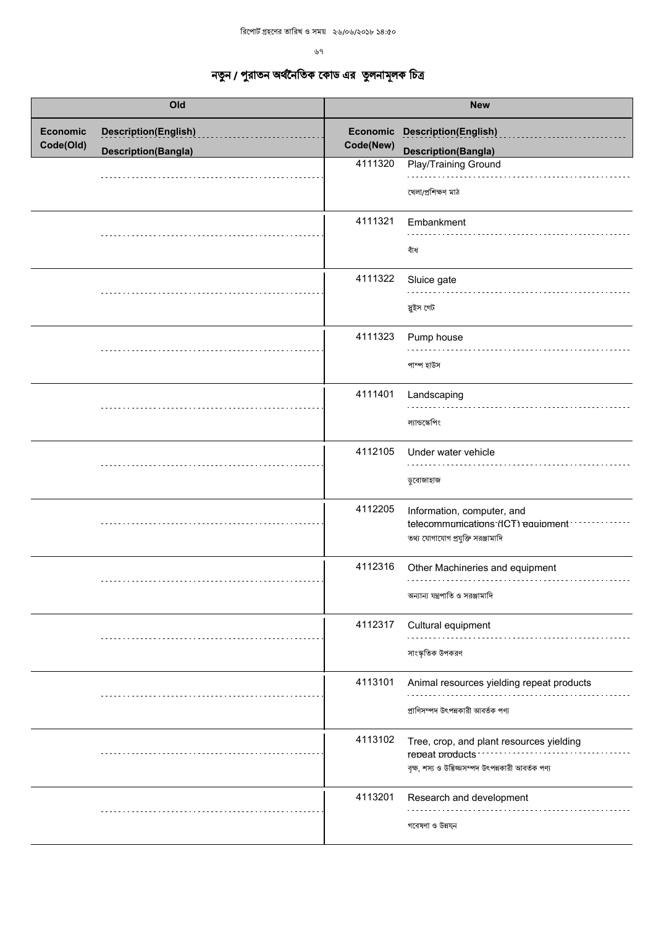| <b>New</b> |                                                                                                                   |
|------------|-------------------------------------------------------------------------------------------------------------------|
| Code(New)  | <b>Description(English)</b><br><b>Description(Bangla)</b>                                                         |
| 4111320    | Play/Training Ground<br>খেলা/প্ৰশিক্ষণ মাঠ                                                                        |
| 4111321    | Embankment<br>বাঁধ                                                                                                |
| 4111322    | Sluice gate<br>স্নুইস গেট                                                                                         |
| 4111323    | Pump house<br>পাম্প হাউস                                                                                          |
| 4111401    | Landscaping<br>ল্যান্ডস্কেপিং                                                                                     |
| 4112105    | Under water vehicle<br>ডুবোজাহাজ                                                                                  |
| 4112205    | Information, computer, and<br>telecommunications (ICT) equipment<br>তথ্য যোগাযোগ প্রযুক্তি সরঞ্জামাদি             |
| 4112316    | Other Machineries and equipment<br>অন্যান্য যন্ত্রপাতি ও সরঞ্জামাদি                                               |
| 4112317    | Cultural equipment<br>সাংস্কৃতিক উপকরণ                                                                            |
| 4113101    | Animal resources yielding repeat products<br>প্ৰাণিসম্পদ উৎপন্নকারী আবর্তক পণ্য                                   |
| 4113102    | Tree, crop, and plant resources yielding<br>repeat products<br>বৃক্ষ, শস্য ও উদ্ভিজ্জসম্পদ উৎপন্নকারী আবর্তক পণ্য |
| 4113201    | Research and development<br>গবেষণা ও উন্নয়ন                                                                      |
|            | Economic                                                                                                          |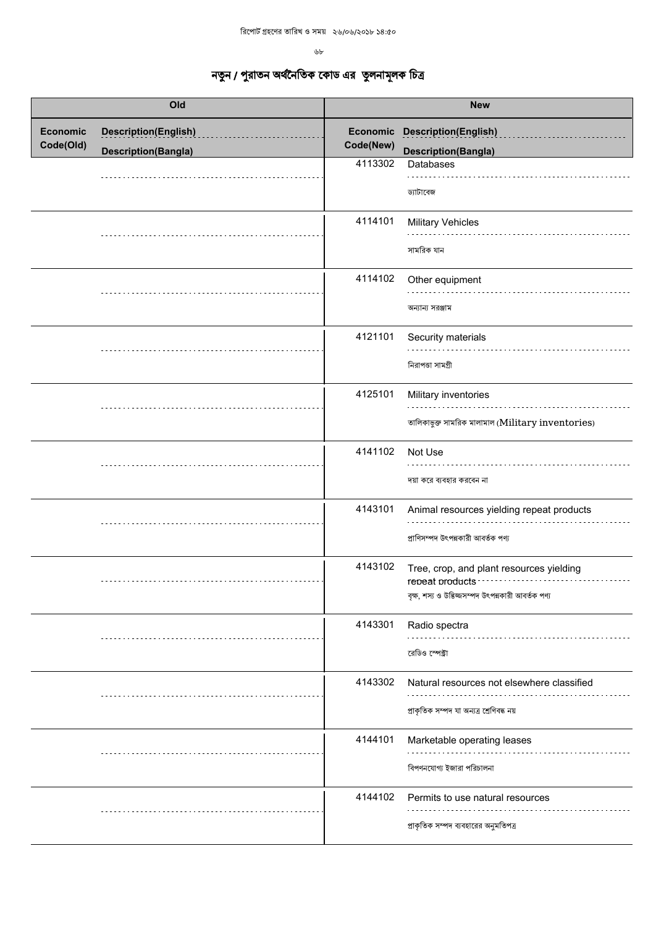$b$ 

| Old                          |                             | <b>New</b> |                                                                                                                   |
|------------------------------|-----------------------------|------------|-------------------------------------------------------------------------------------------------------------------|
| <b>Economic</b><br>Code(Old) | <b>Description(English)</b> | Code(New)  | Economic Description(English)                                                                                     |
|                              | <b>Description(Bangla)</b>  | 4113302    | <b>Description(Bangla)</b><br>Databases                                                                           |
|                              |                             |            | ড্যাটাবেজ                                                                                                         |
|                              |                             | 4114101    | <b>Military Vehicles</b><br>সামরিক যান                                                                            |
|                              |                             | 4114102    | Other equipment<br>অন্যান্য সরঞ্জাম                                                                               |
|                              |                             | 4121101    | Security materials<br>নিরাপতা সামগ্রী                                                                             |
|                              |                             | 4125101    | Military inventories<br>তালিকাভুক্ত সামরিক মালামাল (Military inventories)                                         |
|                              |                             | 4141102    | Not Use<br>দয়া করে ব্যবহার করবেন না                                                                              |
|                              |                             | 4143101    | Animal resources yielding repeat products<br>প্ৰাণিসম্পদ উৎপন্নকারী আবর্তক পণ্য                                   |
|                              |                             | 4143102    | Tree, crop, and plant resources yielding<br>repeat products<br>বৃক্ষ, শস্য ও উদ্ভিজ্জসম্পদ উৎপন্নকারী আবর্তক পণ্য |
|                              |                             | 4143301    | Radio spectra<br>রেডিও স্পেক্টা                                                                                   |
|                              |                             | 4143302    | Natural resources not elsewhere classified<br>প্ৰাকৃতিক সম্পদ যা অন্যত্ৰ শ্ৰেণিবদ্ধ নয়                           |
|                              |                             | 4144101    | Marketable operating leases<br>বিপণনযোগ্য ইজারা পরিচালনা                                                          |
|                              |                             | 4144102    | Permits to use natural resources<br>প্রাকৃতিক সম্পদ ব্যবহারের অনুমতিপত্র                                          |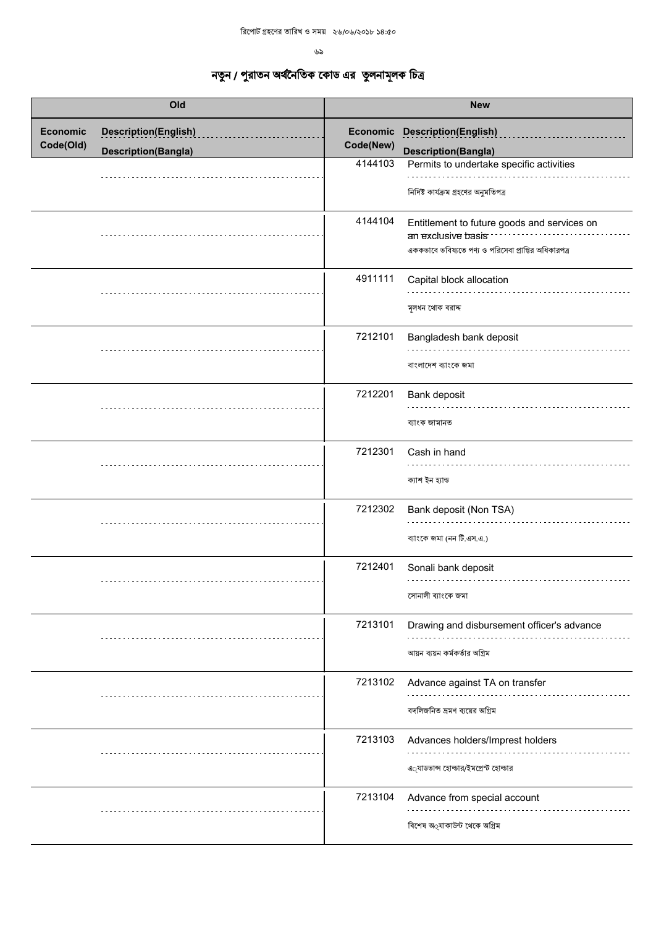|                              | Old                                                       |                      | <b>New</b>                                                                                                                                        |
|------------------------------|-----------------------------------------------------------|----------------------|---------------------------------------------------------------------------------------------------------------------------------------------------|
| <b>Economic</b><br>Code(Old) | <b>Description(English)</b><br><b>Description(Bangla)</b> | Code(New)<br>4144103 | Economic Description(English)<br><b>Description(Bangla)</b><br>Permits to undertake specific activities<br>নির্দিষ্ট কার্যক্রম গ্রহণের অনুমতিপত্র |
|                              |                                                           | 4144104              | Entitlement to future goods and services on<br>an exclusive basis:<br>এককভাবে ভবিষ্যতে পণ্য ও পরিসেবা প্রাপ্তির অধিকারপত্র                        |
|                              |                                                           | 4911111              | Capital block allocation<br>মূলধন থোক বরাদ্দ                                                                                                      |
|                              |                                                           | 7212101              | Bangladesh bank deposit<br>বাংলাদেশ ব্যাংকে জমা                                                                                                   |
|                              |                                                           | 7212201              | Bank deposit<br>ব্যাংক জামানত                                                                                                                     |
|                              |                                                           | 7212301              | Cash in hand<br>ক্যাশ ইন হ্যান্ড                                                                                                                  |
|                              |                                                           | 7212302              | Bank deposit (Non TSA)<br>ব্যাংকে জমা (নন টি.এস.এ.)                                                                                               |
|                              |                                                           | 7212401              | Sonali bank deposit<br>সোনালী ব্যাংকে জমা                                                                                                         |
|                              |                                                           | 7213101              | Drawing and disbursement officer's advance<br>আয়ন ব্যয়ন কর্মকর্তার অগ্রিম                                                                       |
|                              |                                                           | 7213102              | Advance against TA on transfer<br>বদলিজনিত ভ্ৰমণ ব্যয়ের অগ্রিম                                                                                   |
|                              |                                                           | 7213103              | Advances holders/Imprest holders<br>এ্যাডভান্স হোল্ডার/ইমপ্রেস্ট হোল্ডার                                                                          |
|                              |                                                           | 7213104              | Advance from special account<br>বিশেষ অ্যাকাউন্ট থেকে অগ্রিম                                                                                      |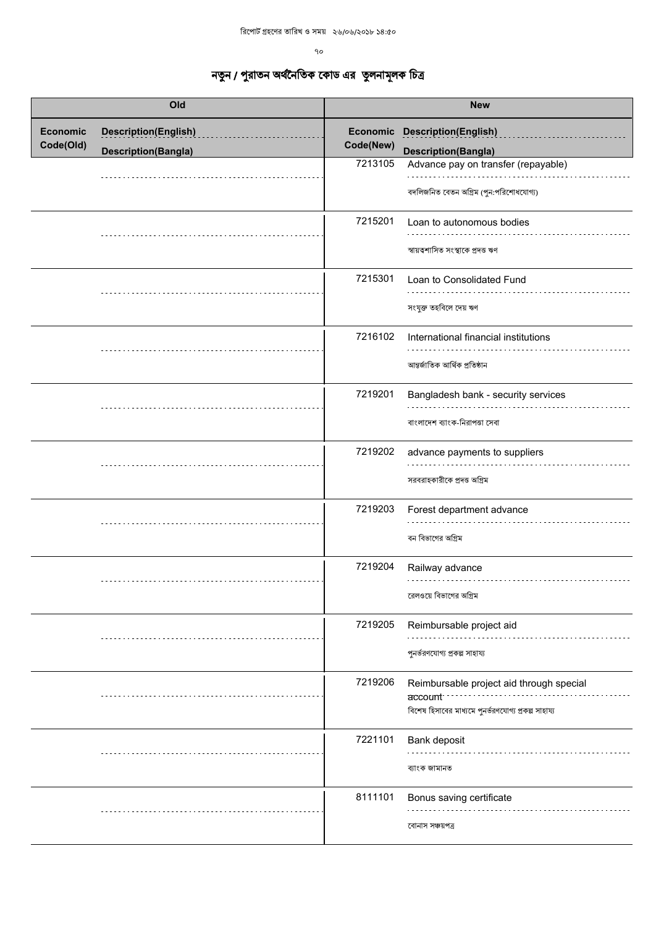$90^{\circ}$ 

|                              | Old                                                       |                      | <b>New</b>                                                                                                                                          |
|------------------------------|-----------------------------------------------------------|----------------------|-----------------------------------------------------------------------------------------------------------------------------------------------------|
| <b>Economic</b><br>Code(Old) | <b>Description(English)</b><br><b>Description(Bangla)</b> | Code(New)<br>7213105 | <b>Economic Description(English)</b><br><b>Description(Bangla)</b><br>Advance pay on transfer (repayable)<br>বদলিজনিত বেতন অগ্রিম (পুন:পরিশোধযোগ্য) |
|                              |                                                           | 7215201              | Loan to autonomous bodies<br>স্বায়ত্বশাসিত সংস্থাকে প্ৰদত্ত ঋণ                                                                                     |
|                              |                                                           | 7215301              | Loan to Consolidated Fund<br>সংযুক্ত তহবিলে দেয় ঋণ                                                                                                 |
|                              |                                                           | 7216102              | International financial institutions<br>আন্তর্জাতিক আর্থিক প্রতিষ্ঠান                                                                               |
|                              |                                                           | 7219201              | Bangladesh bank - security services<br>বাংলাদেশ ব্যাংক-নিরাপত্তা সেবা                                                                               |
|                              |                                                           | 7219202              | advance payments to suppliers<br>সরবরাহকারীকে প্রদত্ত অগ্রিম                                                                                        |
|                              |                                                           | 7219203              | Forest department advance<br>বন বিভাগের অগ্রিম                                                                                                      |
|                              |                                                           | 7219204              | Railway advance<br>রেলওয়ে বিভাগের অগ্রিম                                                                                                           |
|                              |                                                           | 7219205              | Reimbursable project aid<br>পুনর্ভরণযোগ্য প্রকল্প সাহায্য                                                                                           |
|                              |                                                           | 7219206              | Reimbursable project aid through special<br>account:<br>বিশেষ হিসাবের মাধ্যমে পুনর্ভরণযোগ্য প্রকল্প সাহায্য                                         |
|                              |                                                           | 7221101              | Bank deposit<br>ব্যাংক জামানত                                                                                                                       |
|                              |                                                           | 8111101              | Bonus saving certificate<br>বোনাস সঞ্চয়পত্ৰ                                                                                                        |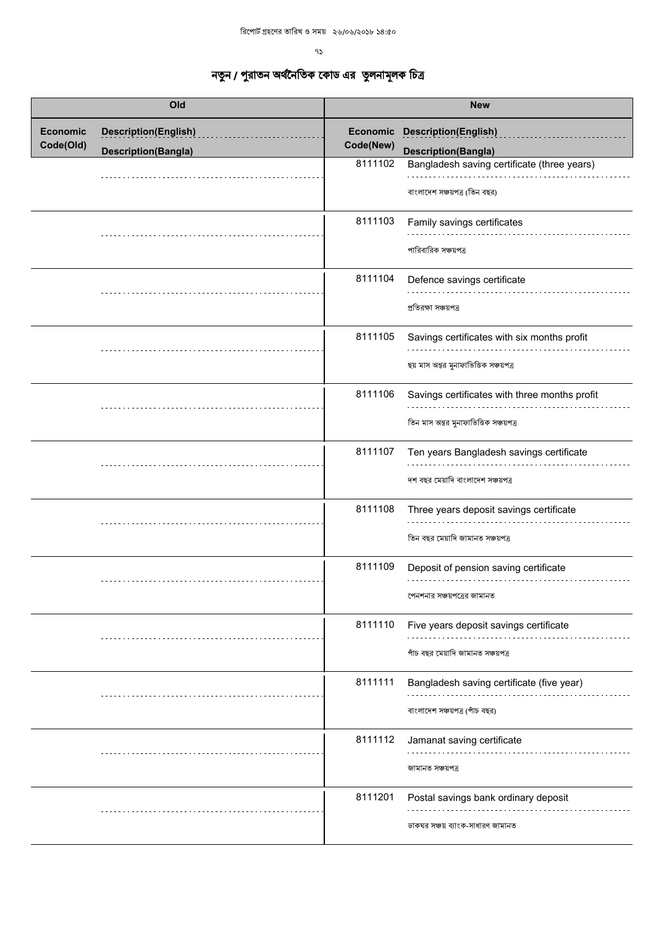ዓ $\mathcal{S}$ 

| Old                          |                             | <b>New</b> |                                                                                         |
|------------------------------|-----------------------------|------------|-----------------------------------------------------------------------------------------|
| <b>Economic</b><br>Code(Old) | <b>Description(English)</b> | Code(New)  | <b>Economic Description(English)</b>                                                    |
|                              | <b>Description(Bangla)</b>  | 8111102    | <b>Description(Bangla)</b><br>Bangladesh saving certificate (three years)               |
|                              |                             |            | বাংলাদেশ সঞ্চয়পত্র (তিন বছর)                                                           |
|                              |                             | 8111103    | Family savings certificates<br>পারিবারিক সঞ্চয়পত্র                                     |
|                              |                             | 8111104    | Defence savings certificate<br>প্রতিরক্ষা সঞ্চয়পত্র                                    |
|                              |                             | 8111105    | Savings certificates with six months profit<br>ছয় মাস অন্তর মুনাফাভিত্তিক সঞ্চয়পত্র   |
|                              |                             | 8111106    | Savings certificates with three months profit<br>তিন মাস অন্তর মুনাফাভিত্তিক সঞ্চয়পত্র |
|                              |                             | 8111107    | Ten years Bangladesh savings certificate<br>দশ বছর মেয়াদি বাংলাদেশ সঞ্চয়পত্র          |
|                              |                             | 8111108    | Three years deposit savings certificate<br>তিন বছর মেয়াদি জামানত সঞ্চয়পত্র            |
|                              |                             | 8111109    | Deposit of pension saving certificate<br>পেনশনার সঞ্চয়পত্রের জামানত                    |
|                              |                             | 8111110    | Five years deposit savings certificate<br>পাঁচ বছর মেয়াদি জামানত সঞ্চয়পত্র            |
|                              |                             | 8111111    | Bangladesh saving certificate (five year)<br>বাংলাদেশ সঞ্চয়পত্র (পাঁচ বছর)             |
|                              |                             | 8111112    | Jamanat saving certificate<br>জামানত সঞ্চয়পত্ৰ                                         |
|                              |                             | 8111201    | Postal savings bank ordinary deposit<br>ডাকঘর সঞ্চয় ব্যাংক-সাধারণ জামানত               |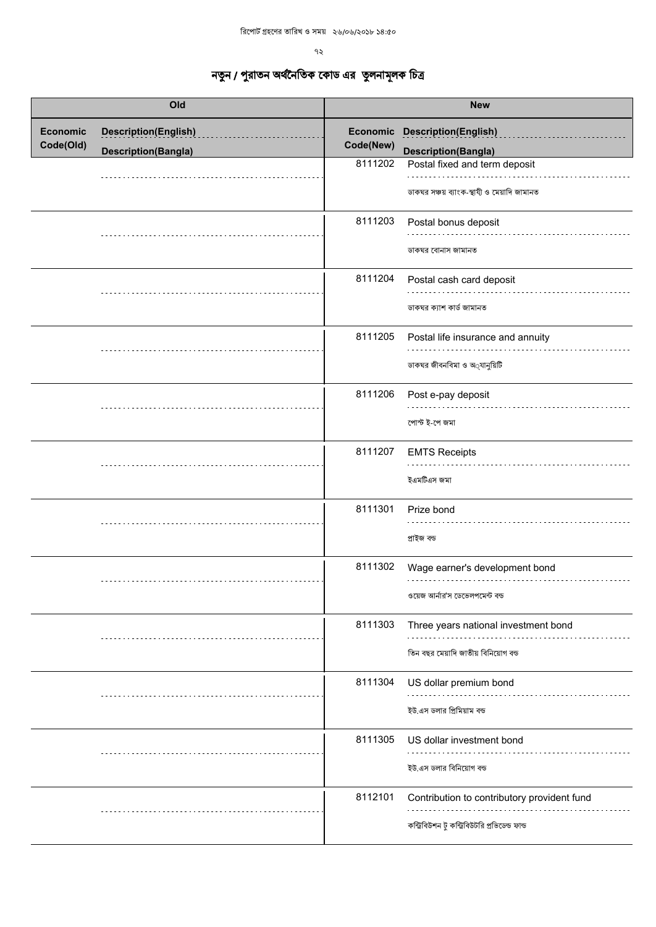|                              | Old                                                       |           | <b>New</b>                                                                                    |
|------------------------------|-----------------------------------------------------------|-----------|-----------------------------------------------------------------------------------------------|
| <b>Economic</b><br>Code(Old) | <b>Description(English)</b><br><b>Description(Bangla)</b> | Code(New) | <b>Economic Description(English)</b><br><b>Description(Bangla)</b>                            |
|                              |                                                           | 8111202   | Postal fixed and term deposit<br>ডাকঘর সঞ্চয় ব্যাংক-স্থাযী ও মেয়াদি জামানত                  |
|                              |                                                           | 8111203   | Postal bonus deposit<br>ডাকঘর বোনাস জামানত                                                    |
|                              |                                                           | 8111204   | Postal cash card deposit<br>ডাকঘর ক্যাশ কার্ড জামানত                                          |
|                              |                                                           | 8111205   | Postal life insurance and annuity<br>ডাকঘর জীবনবিমা ও অ্যানুয়িটি                             |
|                              |                                                           | 8111206   | Post e-pay deposit<br>পোস্ট ই-পে জমা                                                          |
|                              |                                                           | 8111207   | <b>EMTS Receipts</b><br>ইএমটিএস জমা                                                           |
|                              |                                                           | 8111301   | Prize bond<br>প্ৰাইজ বন্ড                                                                     |
|                              |                                                           | 8111302   | Wage earner's development bond<br>ওয়েজ আর্নার'স ডেভেলপমেন্ট বন্ড                             |
|                              |                                                           | 8111303   | Three years national investment bond<br>তিন বছর মেয়াদি জাতীয় বিনিয়োগ বন্ড                  |
|                              |                                                           | 8111304   | US dollar premium bond<br>ইউ.এস ডলার প্রিমিয়াম বন্ড                                          |
|                              |                                                           | 8111305   | US dollar investment bond<br>ইউ.এস ডলার বিনিয়োগ বন্ড                                         |
|                              |                                                           | 8112101   | Contribution to contributory provident fund<br>কন্ট্রিবিউশন টু কন্ট্রিবিউটরি প্রভিডেন্ড ফান্ড |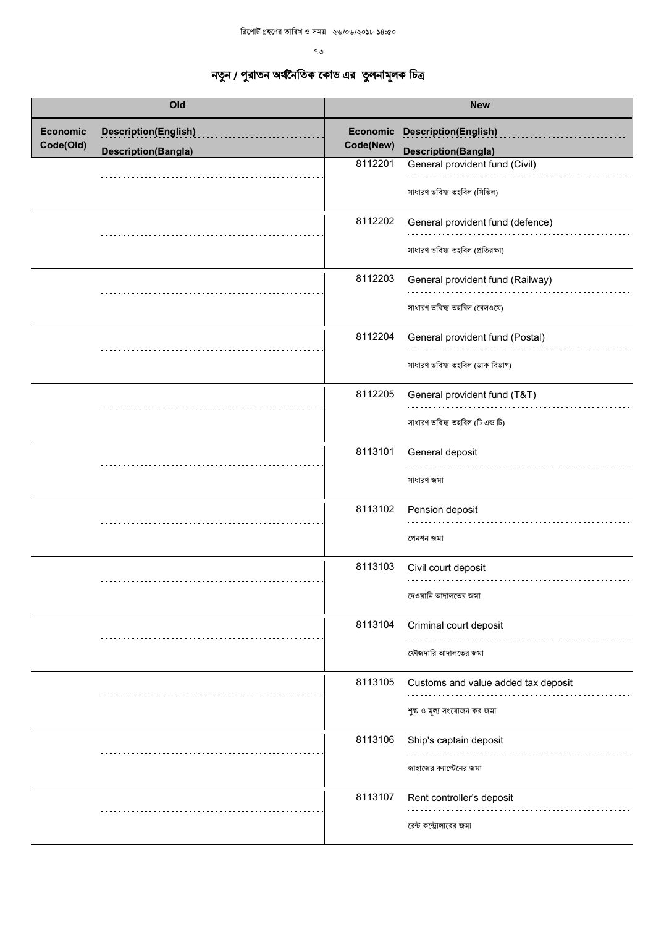| Old                          |                                                           | <b>New</b>                       |                                                                                             |
|------------------------------|-----------------------------------------------------------|----------------------------------|---------------------------------------------------------------------------------------------|
| <b>Economic</b><br>Code(Old) | <b>Description(English)</b><br><b>Description(Bangla)</b> | Economic<br>Code(New)<br>8112201 | <b>Description(English)</b><br><b>Description(Bangla)</b><br>General provident fund (Civil) |
|                              |                                                           |                                  | সাধারণ ভবিষ্য তহবিল (সিভিল)                                                                 |
|                              |                                                           | 8112202                          | General provident fund (defence)<br>সাধারণ ভবিষ্য তহবিল (প্রতিরক্ষা)                        |
|                              |                                                           | 8112203                          | General provident fund (Railway)<br>সাধারণ ভবিষ্য তহবিল (রেলওয়ে)                           |
|                              |                                                           | 8112204                          | General provident fund (Postal)<br>সাধারণ ভবিষ্য তহবিল (ডাক বিভাগ)                          |
|                              |                                                           | 8112205                          | General provident fund (T&T)<br>সাধারণ ভবিষ্য তহবিল (টি এন্ড টি)                            |
|                              |                                                           | 8113101                          | General deposit<br>সাধারণ জমা                                                               |
|                              |                                                           | 8113102                          | Pension deposit<br>পেনশন জমা                                                                |
|                              |                                                           | 8113103                          | Civil court deposit<br>দেওয়ানি আদালতের জমা                                                 |
|                              |                                                           | 8113104                          | Criminal court deposit<br>ফৌজদারি আদালতের জমা                                               |
|                              |                                                           | 8113105                          | Customs and value added tax deposit<br>শুল্ক ও মূল্য সংযোজন কর জমা                          |
|                              |                                                           | 8113106                          | Ship's captain deposit<br>জাহাজের ক্যাপ্টেনের জমা                                           |
|                              |                                                           | 8113107                          | Rent controller's deposit<br>রেন্ট কন্ট্রোলারের জমা                                         |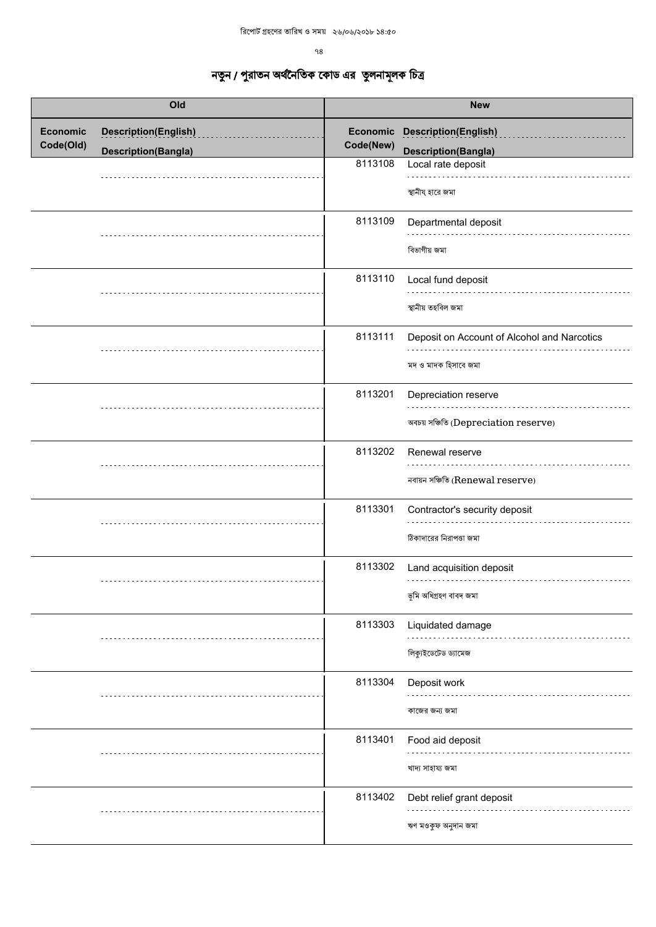| Old                          |                                                           | <b>New</b>                       |                                                                                 |
|------------------------------|-----------------------------------------------------------|----------------------------------|---------------------------------------------------------------------------------|
| <b>Economic</b><br>Code(Old) | <b>Description(English)</b><br><b>Description(Bangla)</b> | Economic<br>Code(New)<br>8113108 | <b>Description(English)</b><br><b>Description(Bangla)</b><br>Local rate deposit |
|                              |                                                           | 8113109                          | স্থানীয হারে জমা<br>Departmental deposit<br>বিভাগীয় জমা                        |
|                              |                                                           | 8113110                          | Local fund deposit<br>স্থানীয় তহবিল জমা                                        |
|                              |                                                           | 8113111                          | Deposit on Account of Alcohol and Narcotics<br>মদ ও মাদক হিসাবে জমা             |
|                              |                                                           | 8113201                          | Depreciation reserve<br>অবচয় সঞ্চিতি (Depreciation reserve)                    |
|                              |                                                           | 8113202                          | Renewal reserve<br>নবায়ন সঞ্চিতি (Renewal reserve)                             |
|                              |                                                           | 8113301                          | Contractor's security deposit<br>ঠিকাদারের নিরাপত্তা জমা                        |
|                              |                                                           | 8113302                          | Land acquisition deposit<br>ভূমি অধিগ্ৰহণ বাবদ জমা                              |
|                              |                                                           | 8113303                          | Liquidated damage<br>লিক্যুইডেটেড ড্যামেজ                                       |
|                              |                                                           | 8113304                          | Deposit work<br>কাজের জন্য জমা                                                  |
|                              |                                                           | 8113401                          | Food aid deposit<br>খাদ্য সাহায্য জমা                                           |
|                              |                                                           | 8113402                          | Debt relief grant deposit<br>ঋণ মওকুফ অনুদান জমা                                |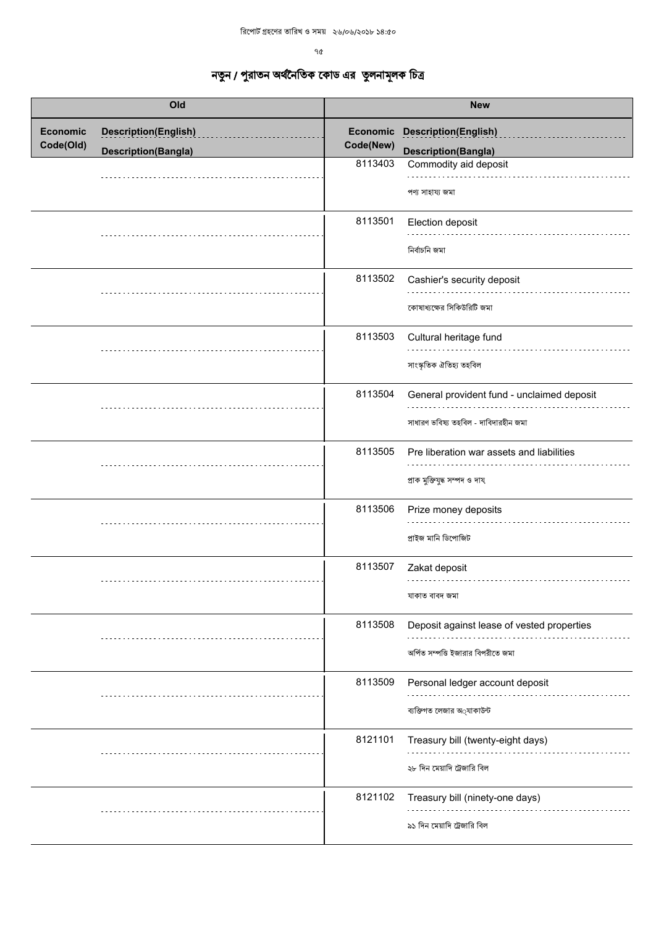ዓ $\alpha$ 

| Old                          |                             | <b>New</b> |                                                                                    |
|------------------------------|-----------------------------|------------|------------------------------------------------------------------------------------|
| <b>Economic</b><br>Code(Old) | <b>Description(English)</b> | Code(New)  | Economic Description(English)                                                      |
|                              | <b>Description(Bangla)</b>  | 8113403    | <b>Description(Bangla)</b><br>Commodity aid deposit                                |
|                              |                             |            | পণ্য সাহায্য জমা                                                                   |
|                              |                             | 8113501    | Election deposit<br>নিৰ্বাচনি জমা                                                  |
|                              |                             | 8113502    | Cashier's security deposit<br>কোষাধ্যক্ষের সিকিউরিটি জমা                           |
|                              |                             | 8113503    | Cultural heritage fund<br>সাংস্কৃতিক ঐতিহ্য তহবিল                                  |
|                              |                             | 8113504    | General provident fund - unclaimed deposit<br>সাধারণ ভবিষ্য তহবিল - দাবিদারহীন জমা |
|                              |                             | 8113505    | Pre liberation war assets and liabilities<br>প্ৰাক মুক্তিযুদ্ধ সম্পদ ও দায         |
|                              |                             | 8113506    | Prize money deposits<br>প্ৰাইজ মানি ডিপোজিট                                        |
|                              |                             | 8113507    | Zakat deposit<br>যাকাত বাবদ জমা                                                    |
|                              |                             | 8113508    | Deposit against lease of vested properties<br>অৰ্পিত সম্পত্তি ইজারার বিপরীতে জমা   |
|                              |                             | 8113509    | Personal ledger account deposit<br>ব্যক্তিগত লেজার অ্যাকাউন্ট                      |
|                              |                             | 8121101    | Treasury bill (twenty-eight days)<br>২৮ দিন মেয়াদি ট্রেজারি বিল                   |
|                              |                             | 8121102    | Treasury bill (ninety-one days)<br>৯১ দিন মেয়াদি ট্রেজারি বিল                     |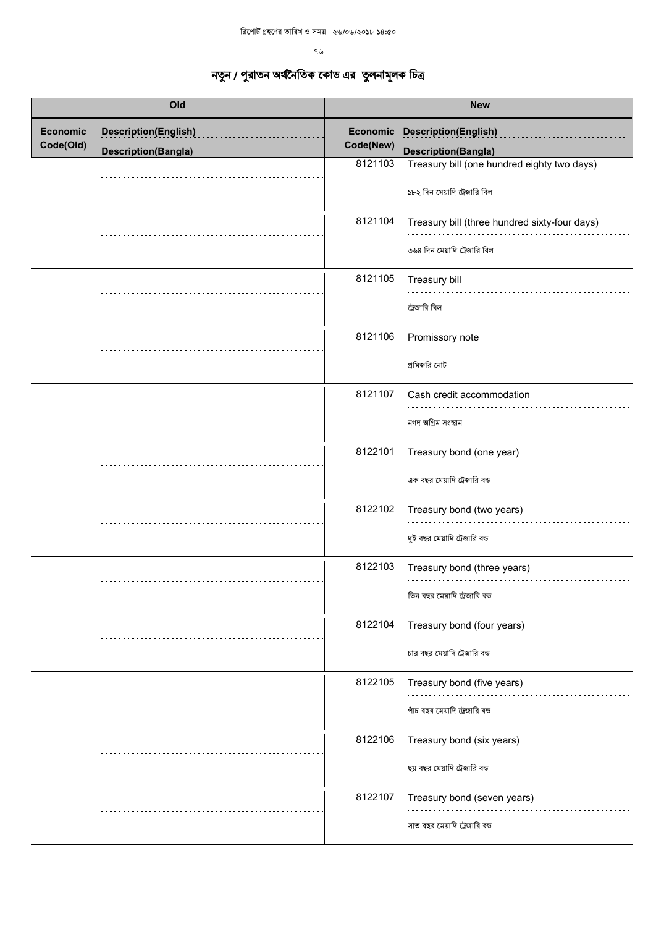ዓ৬

| Old                          |                             | <b>New</b> |                                                                               |
|------------------------------|-----------------------------|------------|-------------------------------------------------------------------------------|
| <b>Economic</b><br>Code(Old) | <b>Description(English)</b> | Code(New)  | <b>Economic Description(English)</b>                                          |
|                              | <b>Description(Bangla)</b>  |            | <b>Description(Bangla)</b>                                                    |
|                              |                             | 8121103    | Treasury bill (one hundred eighty two days)<br>১৮২ দিন মেয়াদি ট্রেজারি বিল   |
|                              |                             | 8121104    | Treasury bill (three hundred sixty-four days)<br>৩৬৪ দিন মেয়াদি ট্রেজারি বিল |
|                              |                             | 8121105    | Treasury bill<br>ট্রেজারি বিল                                                 |
|                              |                             | 8121106    | Promissory note<br>প্রমিজরি নোট                                               |
|                              |                             | 8121107    | Cash credit accommodation<br>নগদ অগ্ৰিম সংস্থান                               |
|                              |                             | 8122101    | Treasury bond (one year)<br>এক বছর মেয়াদি ট্রেজারি বন্ড                      |
|                              |                             | 8122102    | Treasury bond (two years)<br>দুই বছর মেয়াদি ট্রেজারি বন্ড                    |
|                              |                             | 8122103    | Treasury bond (three years)<br>তিন বছর মেয়াদি ট্রেজারি বন্ড                  |
|                              |                             | 8122104    | Treasury bond (four years)<br>চার বছর মেয়াদি ট্রেজারি বন্ড                   |
|                              |                             | 8122105    | Treasury bond (five years)<br>পাঁচ বছর মেয়াদি ট্রেজারি বন্ড                  |
|                              |                             | 8122106    | Treasury bond (six years)<br>ছয় বছর মেয়াদি ট্রেজারি বন্ড                    |
|                              |                             | 8122107    | Treasury bond (seven years)<br>সাত বছর মেয়াদি ট্রেজারি বন্ড                  |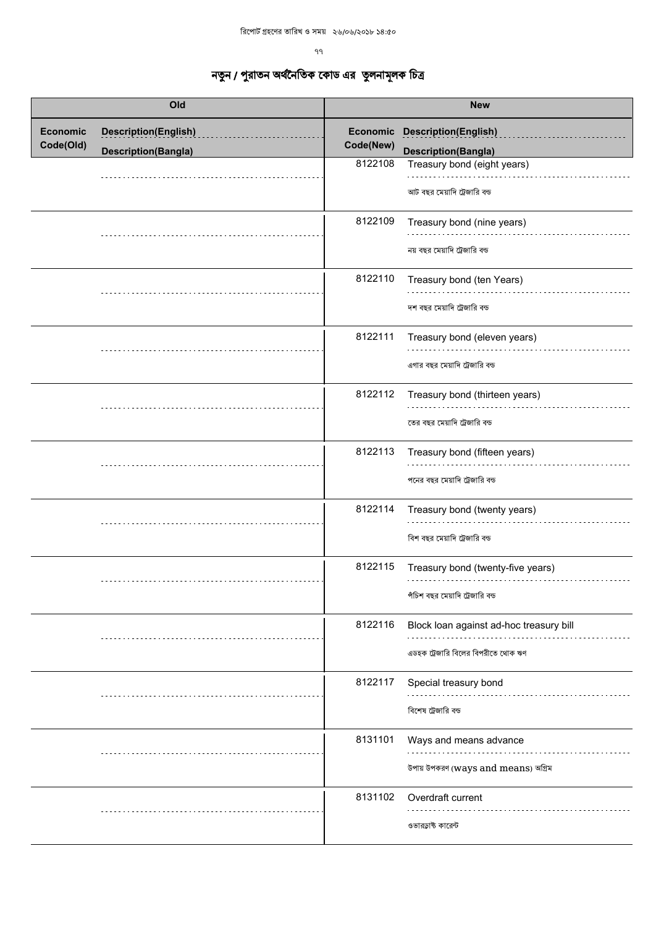| Old                          |                                                           | <b>New</b>                       |                                                                                             |
|------------------------------|-----------------------------------------------------------|----------------------------------|---------------------------------------------------------------------------------------------|
| <b>Economic</b><br>Code(Old) | <b>Description(English)</b><br><b>Description(Bangla)</b> | Economic<br>Code(New)<br>8122108 | <b>Description(English)</b><br><b>Description(Bangla)</b><br>Treasury bond (eight years)    |
|                              |                                                           | 8122109                          | আট বছর মেয়াদি ট্রেজারি বন্ড<br>Treasury bond (nine years)<br>নয় বছর মেয়াদি ট্রেজারি বন্ড |
|                              |                                                           | 8122110                          | Treasury bond (ten Years)<br>দশ বছর মেয়াদি ট্রেজারি বন্ড                                   |
|                              |                                                           | 8122111                          | Treasury bond (eleven years)<br>এগার বছর মেয়াদি ট্রেজারি বন্ড                              |
|                              |                                                           | 8122112                          | Treasury bond (thirteen years)<br>তের বছর মেয়াদি ট্রেজারি বন্ড                             |
|                              |                                                           | 8122113                          | Treasury bond (fifteen years)<br>পনের বছর মেয়াদি ট্রেজারি বন্ড                             |
|                              |                                                           | 8122114                          | Treasury bond (twenty years)<br>বিশ বছর মেয়াদি ট্রেজারি বন্ড                               |
|                              |                                                           | 8122115                          | Treasury bond (twenty-five years)<br>পঁচিশ বছর মেয়াদি ট্রেজারি বন্ড                        |
|                              |                                                           | 8122116                          | Block loan against ad-hoc treasury bill<br>এডহক ট্রেজারি বিলের বিপরীতে থোক ঋণ               |
|                              |                                                           | 8122117                          | Special treasury bond<br>বিশেষ ট্রেজারি বন্ড                                                |
|                              |                                                           | 8131101                          | Ways and means advance<br>উপায় উপকরণ (ways and means) অগ্রিম                               |
|                              |                                                           | 8131102                          | Overdraft current<br>ওভারড়াষ্ট কারেন্ট                                                     |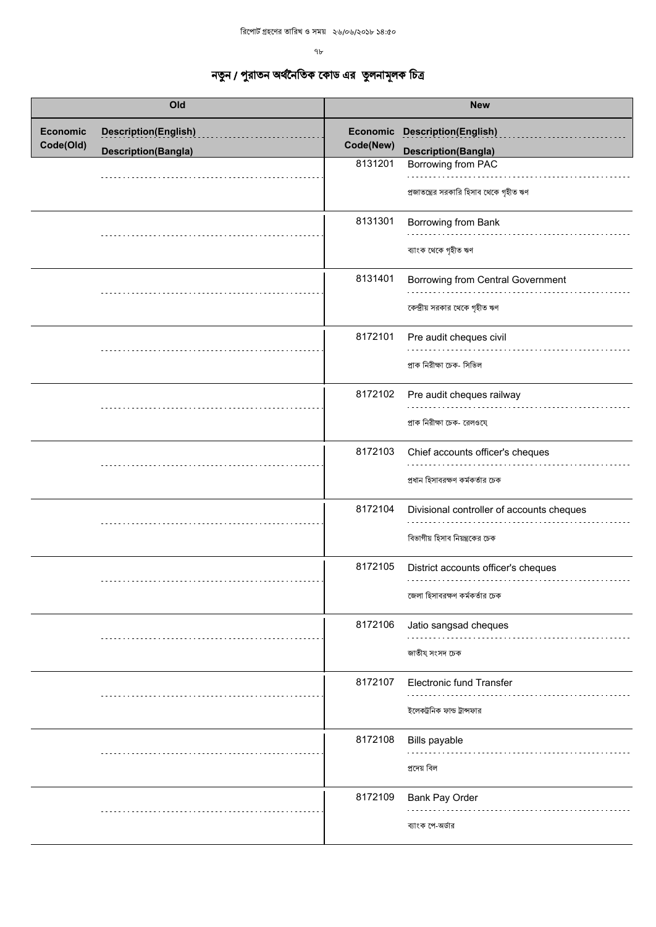ዓ৮  $\,$ 

| Old                          |                                                           | <b>New</b>                       |                                                                                 |
|------------------------------|-----------------------------------------------------------|----------------------------------|---------------------------------------------------------------------------------|
| <b>Economic</b><br>Code(Old) | <b>Description(English)</b><br><b>Description(Bangla)</b> | Economic<br>Code(New)<br>8131201 | <b>Description(English)</b><br><b>Description(Bangla)</b><br>Borrowing from PAC |
|                              |                                                           |                                  | প্রজাতন্ত্রের সরকারি হিসাব থেকে গৃহীত ঋণ                                        |
|                              |                                                           | 8131301                          | Borrowing from Bank<br>ব্যাংক থেকে গৃহীত ঋণ                                     |
|                              |                                                           | 8131401                          | Borrowing from Central Government<br>কেন্দ্রীয় সরকার থেকে গৃহীত ঋণ             |
|                              |                                                           | 8172101                          | Pre audit cheques civil<br>প্ৰাক নিরীক্ষা চেক- সিভিল                            |
|                              |                                                           | 8172102                          | Pre audit cheques railway<br>প্রাক নিরীক্ষা চেক- রেলওযে                         |
|                              |                                                           | 8172103                          | Chief accounts officer's cheques<br>প্রধান হিসাবরক্ষণ কর্মকর্তার চেক            |
|                              |                                                           | 8172104                          | Divisional controller of accounts cheques<br>বিভাগীয় হিসাব নিয়ন্ত্রকের চেক    |
|                              |                                                           | 8172105                          | District accounts officer's cheques<br>জেলা হিসাবরক্ষণ কর্মকর্তার চেক           |
|                              |                                                           | 8172106                          | Jatio sangsad cheques<br>জাতীয্ সংসদ চেক                                        |
|                              |                                                           | 8172107                          | Electronic fund Transfer<br>ইলেকট্রনিক ফান্ড ট্রান্সফার                         |
|                              |                                                           | 8172108                          | Bills payable<br>প্ৰদেয় বিল                                                    |
|                              |                                                           | 8172109                          | Bank Pay Order<br>ব্যাংক পে-অর্ডার                                              |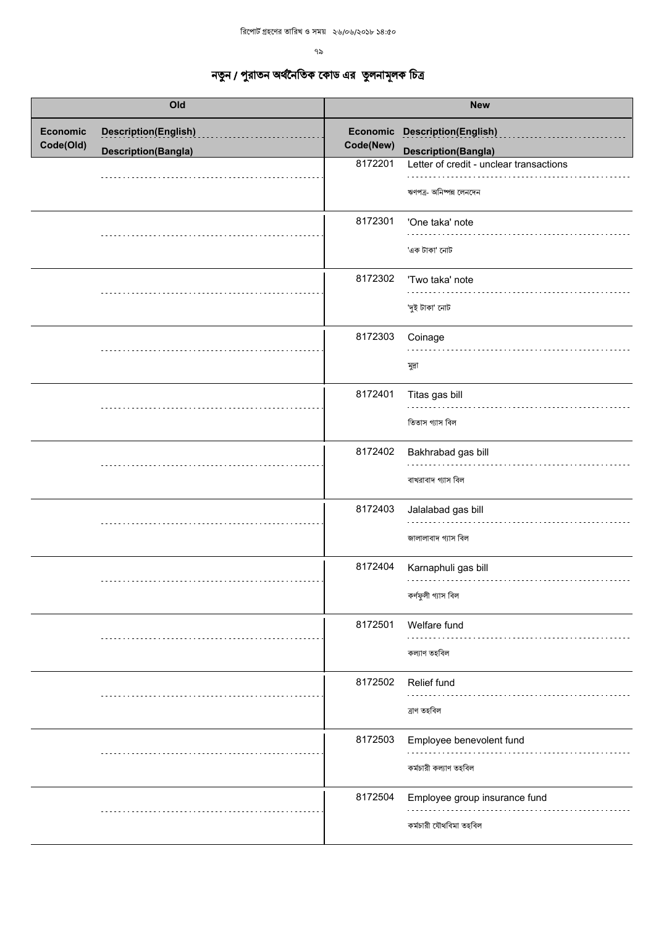| Old                          |                                                           | <b>New</b>           |                                                                                                        |
|------------------------------|-----------------------------------------------------------|----------------------|--------------------------------------------------------------------------------------------------------|
| <b>Economic</b><br>Code(Old) | <b>Description(English)</b><br><b>Description(Bangla)</b> | Code(New)<br>8172201 | Economic Description(English)<br><b>Description(Bangla)</b><br>Letter of credit - unclear transactions |
|                              |                                                           |                      | ঋণপত্র- অনিষ্পন্ন লেনদেন                                                                               |
|                              |                                                           | 8172301              | 'One taka' note<br>'এক টাকা' নোট                                                                       |
|                              |                                                           | 8172302              | 'Two taka' note<br>'দুই টাকা' নোট                                                                      |
|                              |                                                           | 8172303              | Coinage<br>মুদ্ৰা                                                                                      |
|                              |                                                           | 8172401              | Titas gas bill<br>তিতাস গ্যাস বিল                                                                      |
|                              |                                                           | 8172402              | Bakhrabad gas bill<br>বাখরাবাদ গ্যাস বিল                                                               |
|                              |                                                           | 8172403              | Jalalabad gas bill<br>জালালাবাদ গ্যাস বিল                                                              |
|                              |                                                           | 8172404              | Karnaphuli gas bill<br>কৰ্ণফুলী গ্যাস বিল                                                              |
|                              |                                                           | 8172501              | Welfare fund<br>কল্যাণ তহবিল                                                                           |
|                              |                                                           | 8172502              | Relief fund<br>ত্ৰাণ তহবিল                                                                             |
|                              |                                                           | 8172503              | Employee benevolent fund<br>কৰ্মচারী কল্যাণ তহবিল                                                      |
|                              |                                                           | 8172504              | Employee group insurance fund<br>কৰ্মচারী যৌথবিমা তহবিল                                                |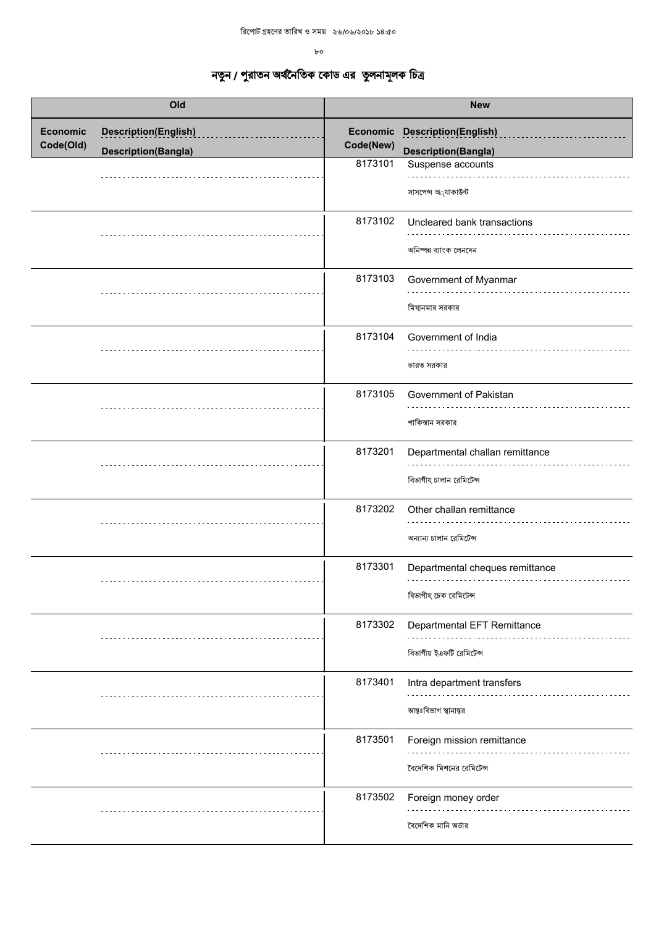$b$ o

| Old             |                             | <b>New</b> |                                                            |
|-----------------|-----------------------------|------------|------------------------------------------------------------|
| <b>Economic</b> | <b>Description(English)</b> |            | Economic Description(English)                              |
| Code(Old)       | <b>Description(Bangla)</b>  | Code(New)  | <b>Description(Bangla)</b>                                 |
|                 |                             | 8173101    | Suspense accounts<br>সাসপেন্স অ্যাকাউন্ট                   |
|                 |                             | 8173102    | Uncleared bank transactions<br>অনিষ্পন্ন ব্যাংক লেনদেন     |
|                 |                             | 8173103    | Government of Myanmar<br>মিযানমার সরকার                    |
|                 |                             | 8173104    | Government of India<br>ভারত সরকার                          |
|                 |                             | 8173105    | Government of Pakistan<br>পাকিস্তান সরকার                  |
|                 |                             | 8173201    | Departmental challan remittance<br>বিভাগীয চালান রেমিটেন্স |
|                 |                             | 8173202    | Other challan remittance<br>অন্যান্য চালান রেমিটেন্স       |
|                 |                             | 8173301    | Departmental cheques remittance<br>বিভাগীয চেক রেমিটেন্স   |
|                 |                             | 8173302    | Departmental EFT Remittance<br>বিভাগীয় ইএফটি রেমিটেন্স    |
|                 |                             | 8173401    | Intra department transfers<br>আন্তঃবিভাগ স্থানান্তর        |
|                 |                             | 8173501    | Foreign mission remittance<br>বৈদেশিক মিশনের রেমিটেন্স     |
|                 |                             | 8173502    | Foreign money order<br>বৈদেশিক মানি অর্ডার                 |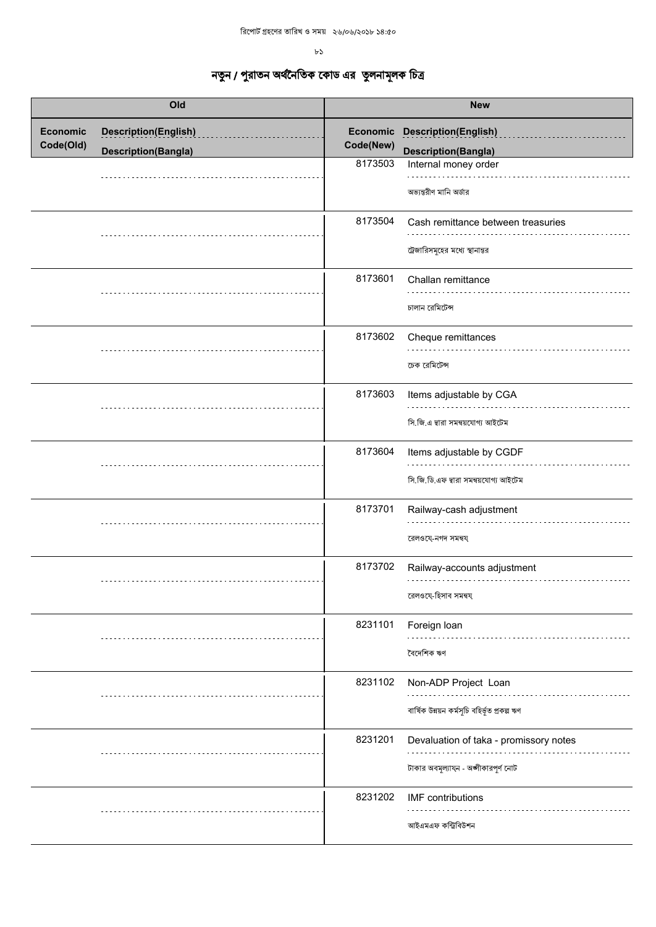$b3$ 

| Old                          |                                                           | <b>New</b> |                                                                                 |
|------------------------------|-----------------------------------------------------------|------------|---------------------------------------------------------------------------------|
| <b>Economic</b><br>Code(Old) | <b>Description(English)</b><br><b>Description(Bangla)</b> | Code(New)  | Economic Description(English)<br><b>Description(Bangla)</b>                     |
|                              |                                                           | 8173503    | Internal money order<br>অভ্যন্তরীণ মানি অর্ডার                                  |
|                              |                                                           | 8173504    | Cash remittance between treasuries<br>ট্রেজারিসমূহের মধ্যে স্থানান্তর           |
|                              |                                                           | 8173601    | Challan remittance<br>চালান রেমিটেন্স                                           |
|                              |                                                           | 8173602    | Cheque remittances<br>চেক রেমিটেন্স                                             |
|                              |                                                           | 8173603    | Items adjustable by CGA<br>সি.জি.এ দ্বারা সমন্বয়যোগ্য আইটেম                    |
|                              |                                                           | 8173604    | Items adjustable by CGDF<br>সি.জি.ডি.এফ দ্বারা সমন্বয়যোগ্য আইটেম               |
|                              |                                                           | 8173701    | Railway-cash adjustment<br>রেলওযে-নগদ সমন্বয                                    |
|                              |                                                           | 8173702    | Railway-accounts adjustment<br>রেলওযে-হিসাব সমন্বয                              |
|                              |                                                           | 8231101    | Foreign loan<br>বৈদেশিক ঋণ                                                      |
|                              |                                                           | 8231102    | Non-ADP Project Loan<br>বাৰ্ষিক উন্নয়ন কৰ্মসূচি বহিৰ্ভূত প্ৰকল্প ঋণ            |
|                              |                                                           | 8231201    | Devaluation of taka - promissory notes<br>টাকার অবমূল্যায্ন - অঙ্গীকারপূর্ণ নোট |
|                              |                                                           | 8231202    | <b>IMF</b> contributions<br>আইএমএফ কন্ট্ৰিবিউশন                                 |